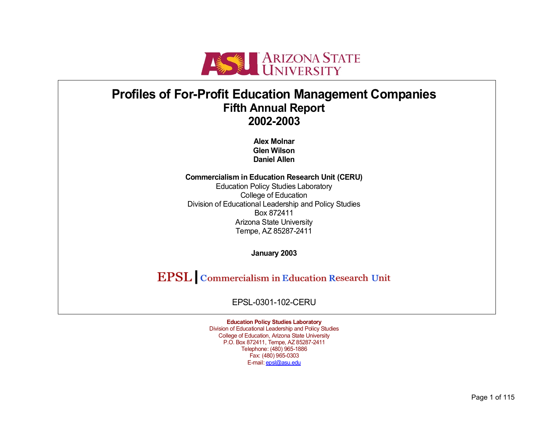

# **Profiles of For-Profit Education Management Companies Fifth Annual Report 2002-2003**

**Alex Molnar Glen Wilson Daniel Allen** 

**Commercialism in Education Research Unit (CERU)**  Education Policy Studies Laboratory College of Education Division of Educational Leadership and Policy Studies Box 872411 Arizona State University Tempe, AZ 85287-2411

**January 2003** 

**EPSL** Commercialism in Education Research Unit

EPSL-0301-102-CERU

**Education Policy Studies Laboratory**  Division of Educational Leadership and Policy Studies College of Education, Arizona State University P.O. Box 872411, Tempe, AZ 85287-2411 Telephone: (480) 965-1886 Fax: (480) 965-0303 E-mail: epsl@asu.edu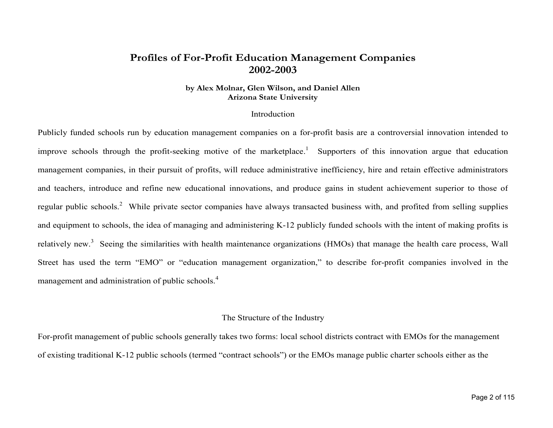## **Profiles of For-Profit Education Management Companies 2002-2003**

#### **by Alex Molnar, Glen Wilson, and Daniel Allen Arizona State University**

#### Introduction

Publicly funded schools run by education management companies on a for-profit basis are a controversial innovation intended to improve schools through the profit-seeking motive of the marketplace.<sup>1</sup> Supporters of this innovation argue that education management companies, in their pursuit of profits, will reduce administrative inefficiency, hire and retain effective administrators and teachers, introduce and refine new educational innovations, and produce gains in student achievement superior to those o f regular public schools.<sup>2</sup> While private sector companies have always transacted business with, and profited from selling supplies and equipment to schools, the idea of managing and administering K-12 publicly funded schools with the intent of making profits is relatively new.<sup>3</sup> Seeing the similarities with health maintenance organizations (HMOs) that manage the health care process, Wall Street has used the term "EMO" or "education management organization," to describe for-profit companies involved in the management and administration of public schools.<sup>4</sup>

#### The Structure of the Industry

For-profit management of public schools generally takes two forms: local school districts contract with EMOs for the management of existing traditional K-12 public schools (termed "contract schools") or the EMOs manage public charter schools either as the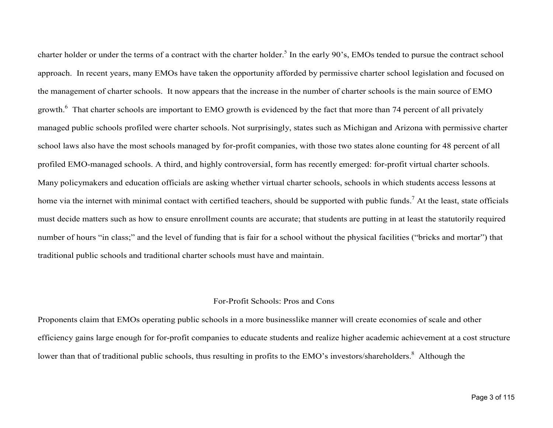charter holder or under the terms of a contract with the charter holder.<sup>5</sup> In the early 90's, EMOs tended to pursue the contract school approach. In recent years, many EMOs have taken the opportunity afforded by permissive charter school legislation and focused on the management of charter schools. It now appears that the increase in the number of charter schools is the main source of EMO growth.<sup>6</sup> That charter schools are important to EMO growth is evidenced by the fact that more than 74 percent of all privately managed public schools profiled were charter schools. Not surprisingly, states such as Michigan and Arizona with permissive charter school laws also have the most schools managed by for-profit companies, with those two states alone counting for 48 percent of all profiled EMO-managed schools. A third, and highly controversial, form has recently emerged: for-profit virtual charter schools. Many policymakers and education officials are asking whether virtual charter schools, schools in which students access lessons at home via the internet with minimal contact with certified teachers, should be supported with public funds.<sup>7</sup> At the least, state officials must decide matters such as how to ensure enrollment counts are accurate; that students are putting in at least the statutorily required number of hours "in class;" and the level of funding that is fair for a school without the physical facilities ("bricks and mortar") that traditional public schools and traditional charter schools must have and maintain.

#### For-Profit Schools: Pros and Cons

Proponents claim that EMOs operating public schools in a more businesslike manner will create economies of scale and other efficiency gains large enough for for-profit companies to educate students and realize higher academic achievement at a cost structure lower than that of traditional public schools, thus resulting in profits to the EMO's investors/shareholders.<sup>8</sup> Although the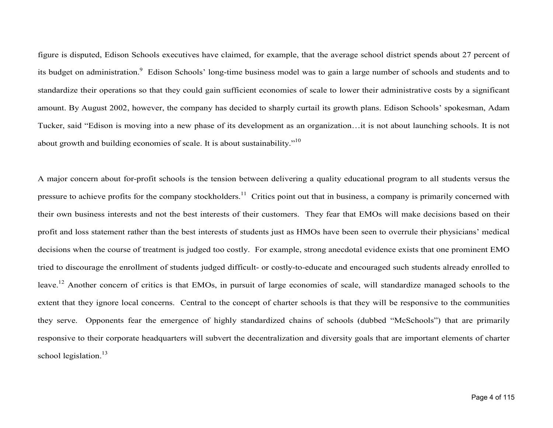figure is disputed, Edison Schools executives have claimed, for example, that the average school district spends about 27 percent o f its budget on administration.<sup>9</sup> Edison Schools' long-time business model was to gain a large number of schools and students and to standardize their operations so that they could gain sufficient economies of scale to lower their administrative costs by a significant amount. By August 2002, however, the company has decided to sharply curtail its growth plans. Edison Schools' spokesman, Adam Tucker, said "Edison is moving into a new phase of its development as an organization…it is not about launching schools. It is not about growth and building economies of scale. It is about sustainability."<sup>10</sup>

A major concern about for-profit schools is the tension between delivering a quality educational program to all students versus the pressure to achieve profits for the company stockholders.<sup>11</sup> Critics point out that in business, a company is primarily concerned with their own business interests and not the best interests of their customers. They fear that EMOs will make decisions based on their profit and loss statement rather than the best interests of students just as HMOs have been seen to overrule their physicians' medical decisions when the course of treatment is judged too costly. For example, strong anecdotal evidence exists that one prominent EMO tried to discourage the enrollment of students judged difficult- or costly-to-educate and encouraged such students already enrolled to leave.<sup>12</sup> Another concern of critics is that EMOs, in pursuit of large economies of scale, will standardize managed schools to the extent that they ignore local concerns. Central to the concept of charter schools is that they will be responsive to the communities they serve. Opponents fear the emergence of highly standardized chains of schools (dubbed "McSchools") that are primarily responsive to their corporate headquarters will subvert the decentralization and diversity goals that are important elements of charter school legislation.<sup>13</sup>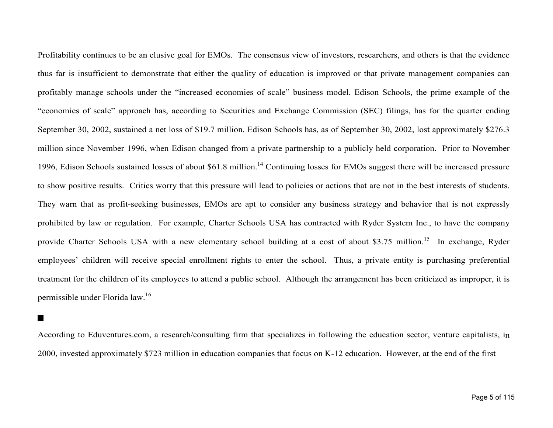Profitability continues to be an elusive goal for EMOs. The consensus view of investors, researchers, and others is that the evidence thus far is insufficient to demonstrate that either the quality of education is improved or that private management companies can profitably manage schools under the "increased economies of scale" business model. Edison Schools, the prime example of the "economies of scale" approach has, according to Securities and Exchange Commission (SEC) filings, has for the quarter ending September 30, 2002, sustained a net loss of \$19.7 million. Edison Schools has, as of September 30, 2002, lost approximately \$276.3 million since November 1996, when Edison changed from a private partnership to a publicly held corporation. Prior to Novem ber 1996, Edison Schools sustained losses of about \$61.8 million.<sup>14</sup> Continuing losses for EMOs suggest there will be increased pressure to show positive results. Critics worry that this pressure will lead to policies or actions that are not in the best interests of students. They warn that as profit-seeking businesses, EMOs are apt to consider any business strategy and behavior that is not expressl y prohibited by law or regulation. For example, Charter Schools USA has contracted with Ryder System Inc., to have the company provide Charter Schools USA with a new elementary school building at a cost of about \$3.75 million.<sup>15</sup> In exchange, Ryder employees' children will receive special enrollment rights to enter the school. Thus, a private entity is purchasing preferential treatment for the children of its employees to attend a public school. Although the arrangement has been criticized as improper, it is permissible under Florida law.<sup>16</sup>

 $\blacksquare$ 

According to Eduventures.com, a research/consulting firm that specializes in following the education sector, venture capitalists, i n 2000, invested approximately \$723 million in education companies that focus on K-12 education. However, at the end of the first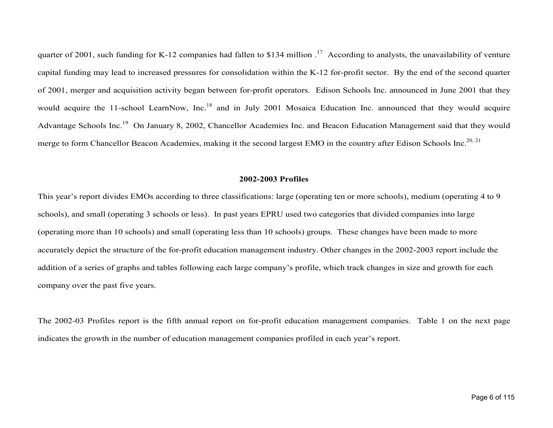quarter of 2001, such funding for K-12 companies had fallen to \$134 million  $<sup>17</sup>$  According to analysts, the unavailability of venture</sup> capital funding may lead to increased pressures for consolidation within the K-12 for-profit sector. By the end of the second quarter of 2001, merger and acquisition activity began between for-profit operators. Edison Schools Inc. announced in June 2001 that the y would acquire the 11-school LearnNow, Inc.<sup>18</sup> and in July 2001 Mosaica Education Inc. announced that they would acquire Advantage Schools Inc.19 On January 8, 2002, Chancellor Academies Inc. and Beacon Education Management said that they would merge to form Chancellor Beacon Academies, making it the second largest EMO in the country after Edison Schools Inc.<sup>20, 21</sup>

#### **2002-2003 Profiles**

This year's report divides EMOs according to three classifications: large (operating ten or more schools), medium (operating 4 to 9 schools), and small (operating 3 schools or less). In past years EPRU used two categories that divided companies into large (operating more than 10 schools) and small (operating less than 10 schools) groups. These changes have been made to more accurately depict the structure of the for-profit education management industry. Other changes in the 2002-2003 report include the addition of a series of graphs and tables following each large company's profile, which track changes in size and growth for each company over the past five years.

The 2002-03 Profiles report is the fifth annual report on for-profit education management companies. Table 1 on the next page indicates the growth in the number of education management companies profiled in each year's report.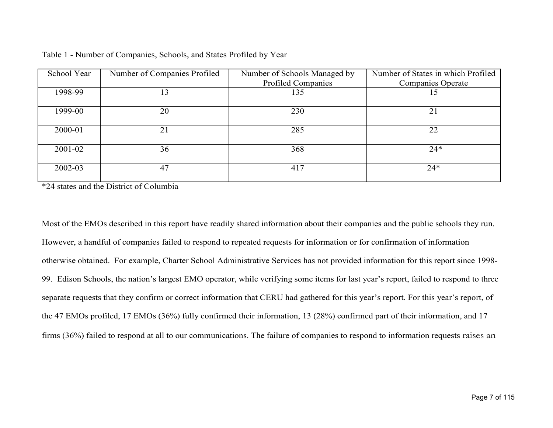| School Year | Number of Companies Profiled | Number of Schools Managed by | Number of States in which Profiled |
|-------------|------------------------------|------------------------------|------------------------------------|
|             |                              | <b>Profiled Companies</b>    | <b>Companies Operate</b>           |
| 1998-99     | 13                           | 135                          | 15                                 |
| 1999-00     | 20                           | 230                          | 21                                 |
| 2000-01     | 21                           | 285                          | 22                                 |
| 2001-02     | 36                           | 368                          | $24*$                              |
| 2002-03     | 47                           | 417                          | $24*$                              |

\*24 states and the District of Columbia

Most of the EMOs described in this report have readily shared information about their companies and the public schools they run. However, a handful of companies failed to respond to repeated requests for information or for confirmation of information otherwise obtained. For example, Charter School Administrative Services has not provided information for this report since 1998- 99. Edison Schools, the nation's largest EMO operator, while verifying some items for last year's report, failed to respond to three separate requests that they confirm or correct information that CERU had gathered for this year's report. For this year's report, of the 47 EMOs profiled, 17 EMOs (36%) fully confirmed their information, 13 (28%) confirmed part of their information, and 17 firms (36%) failed to respond at all to our communications. The failure of companies to respond to information requests raises an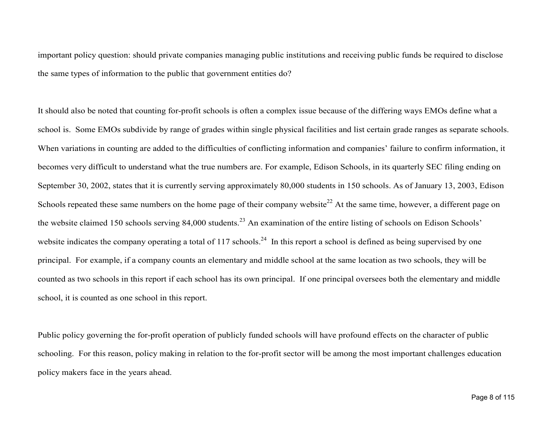important policy question: should private companies managing public institutions and receiving public funds be required to disclose the same types of information to the public that government entities do?

It should also be noted that counting for-profit schools is often a complex issue because of the differing ways EMOs define what a school is. Some EMOs subdivide by range of grades within single physical facilities and list certain grade ranges as separate schools. When variations in counting are added to the difficulties of conflicting information and companies' failure to confirm information, it becomes very difficult to understand what the true numbers are. For example, Edison Schools, in its quarterly SEC filing ending on September 30, 2002, states that it is currently serving approximately 80,000 students in 150 schools. As of January 13, 2003, Edison Schools repeated these same numbers on the home page of their company website<sup>22</sup> At the same time, however, a different page on the website claimed 150 schools serving 84,000 students.<sup>23</sup> An examination of the entire listing of schools on Edison Schools' website indicates the company operating a total of 117 schools.<sup>24</sup> In this report a school is defined as being supervised by one principal. For example, if a company counts an elementary and middle school at the same location as two schools, they will be counted as two schools in this report if each school has its own principal. If one principal oversees both the elementary and middle school, it is counted as one school in this report.

Public policy governing the for-profit operation of publicly funded schools will have profound effects on the character of public schooling. For this reason, policy making in relation to the for-profit sector will be among the most important challenges education policy makers face in the years ahead.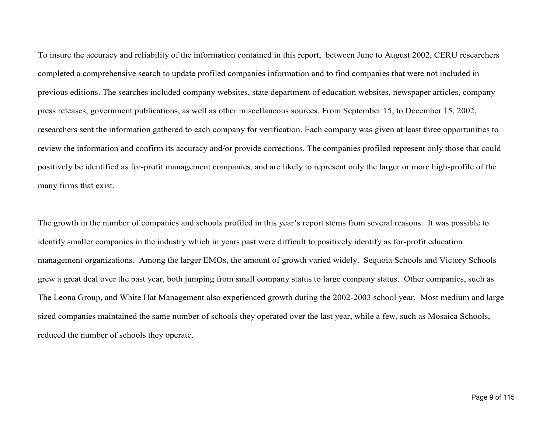To insure the accuracy and reliability of the information contained in this report, between June to August 2002, CERU researchers completed a comprehensive search to update profiled companies information and to find companies that were not included in previous editions. The searches included company websites, state department of education websites, newspaper articles, company press releases, government publications, as well as other miscellaneous sources. From September 15, to December 15, 2002, researchers sent the information gathered to each company for verification. Each company was given at least three opportunities to review the information and confirm its accuracy and/or provide corrections. The companies profiled represent only those that could positively be identified as for-profit management companies, and are likely to represent only the larger or more high-profile of the many firms that exist.

The growth in the number of companies and schools profiled in this year's report stems from several reasons. It was possible to identify smaller companies in the industry which in years past were difficult to positively identify as for-profit education management organizations. Among the larger EMOs, the amount of growth varied widely. Sequoia Schools and Victory Schools grew a great deal over the past year, both jumping from small company status to large company status. Other companies, such as The Leona Group, and White Hat Management also experienced growth during the 2002-2003 school year. Most medium and large sized companies maintained the same number of schools they operated over the last year, while a few, such as Mosaica Schools, reduced the number of schools they operate.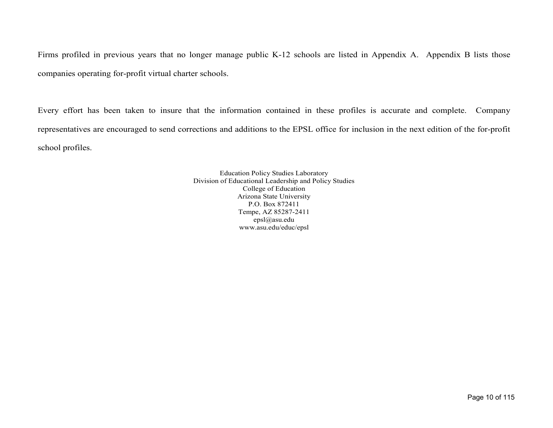Firms profiled in previous years that no longer manage public K-12 schools are listed in Appendix A. Appendix B lists those companies operating for-profit virtual charter schools.

Every effort has been taken to insure that the information contained in these profiles is accurate and complete. Compan y representatives are encouraged to send corrections and additions to the EPSL office for inclusion in the next edition of the for-profit school profiles.

> Education Policy Studies Laboratory Division of Educational Leadership and Policy Studies College of Education Arizona State University P.O. Box 872411 Tempe, AZ 85287-2411 epsl@asu.edu www.asu.edu/educ/epsl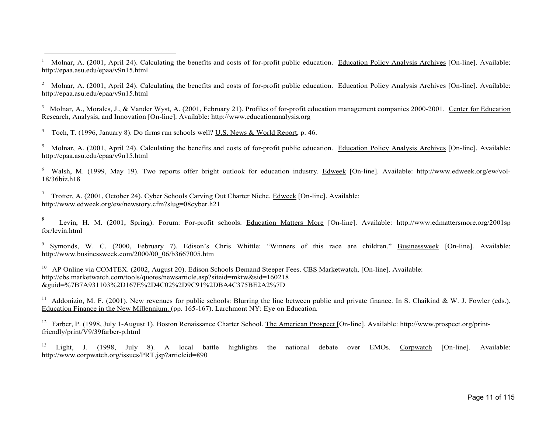<sup>1</sup> Molnar, A. (2001, April 24). Calculating the benefits and costs of for-profit public education. Education Policy Analysis Archives [On-line]. Available: http://epaa.asu.edu/epaa/v9n15.html

<sup>2</sup> Molnar, A. (2001, April 24). Calculating the benefits and costs of for-profit public education. Education Policy Analysis Archives [On-line]. Available: http://epaa.asu.edu/epaa/v9n15.html

<sup>3</sup> Molnar, A., Morales, J., & Vander Wyst, A. (2001, February 21). Profiles of for-profit education management companies 2000-2001. Center for Education Research, Analysis, and Innovation [On-line]. Available: http://www.educationanalysis.org

4 Toch, T. (1996, January 8). Do firms run schools well? U.S. News & World Report, p. 46.

<sup>5</sup> Molnar, A. (2001, April 24). Calculating the benefits and costs of for-profit public education. Education Policy Analysis Archives [On-line]. Available: http://epaa.asu.edu/epaa/v9n15.html

6 Walsh, M. (1999, May 19). Two reports offer bright outlook for education industry. Edweek [On-line]. Available: http://www.edweek.org/ew/vol-18/36biz.h18

<sup>7</sup> Trotter, A. (2001, October 24). Cyber Schools Carving Out Charter Niche. Edweek [On-line]. Available: http://www.edweek.org/ew/newstory.cfm?slug=08cyber.h21

8 Levin, H. M. (2001, Spring). Forum: For-profit schools. Education Matters More [On-line]. Available: http://www.edmattersmore.org/2001sp for/levin.html

9 Symonds, W. C. (2000, February 7). Edison's Chris Whittle: "Winners of this race are children." Businessweek [On-line]. Available: http://www.businessweek.com/2000/00\_06/b3667005.htm

<sup>10</sup> AP Online via COMTEX. (2002, August 20). Edison Schools Demand Steeper Fees. CBS Marketwatch. [On-line]. Available: http://cbs.marketwatch.com/tools/quotes/newsarticle.asp?siteid=mktw&sid=160218 &guid=%7B7A931103%2D167E%2D4C02%2D9C91%2DBA4C375BE2A2%7D

<sup>11</sup> Addonizio, M. F. (2001). New revenues for public schools: Blurring the line between public and private finance. In S. Chaikind & W. J. Fowler (eds.), Education Finance in the New Millennium. (pp. 165-167). Larchmont NY: Eye on Education.

<sup>12</sup> Farber, P. (1998, July 1-August 1). Boston Renaissance Charter School. The American Prospect [On-line]. Available: http://www.prospect.org/printfriendly/print/V9/39farber-p.html

<sup>13</sup> Light, J. (1998, July 8). A local battle highlights the national debate over EMOs. Corpwatch [On-line]. Available: http://www.corpwatch.org/issues/PRT.jsp?articleid=890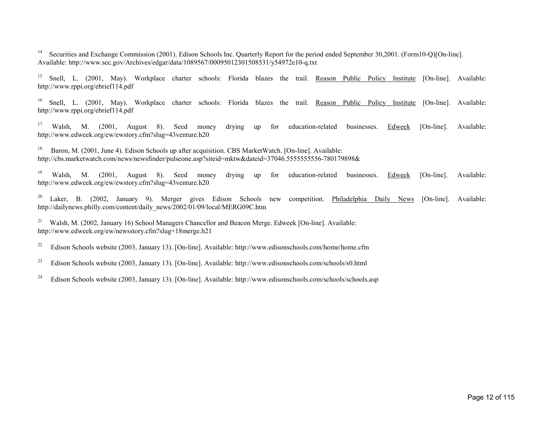<sup>14</sup> Securities and Exchange Commission (2001). Edison Schools Inc. Quarterly Report for the period ended September 30,2001. (Form10-Q)[On-line]. Available: http://www.sec.gov/Archives/edgar/data/1089567/00095012301508531/y54972e10-q.txt

<sup>15</sup> Snell, L. (2001, May). Workplace charter schools: Florida blazes the trail. Reason Public Policy Institute [On-line]. Available: http://www.rppi.org/ebrief114.pdf

<sup>16</sup> Snell, L. (2001, May). Workplace charter schools: Florida blazes the trail. Reason Public Policy Institute [On-line]. Available: http://www.rppi.org/ebrief114.pdf

<sup>17</sup> Walsh, M. (2001, August 8). Seed money drying up for education-related businesses. Edweek [On-line]. Available: http://www.edweek.org/ew/ewstory.cfm?slug=43venture.h20

<sup>18</sup> Baron, M. (2001, June 4). Edison Schools up after acquisition. CBS MarketWatch. [On-line]. Available: http://cbs.marketwatch.com/news/newsfinder/pulseone.asp?siteid=mktw&dateid=37046.5555555556-780179898&

<sup>19</sup> Walsh, M. (2001, August 8). Seed money drying up for education-related businesses. Edweek [On-line]. Available: http://www.edweek.org/ew/ewstory.cfm?slug=43venture.h20

<sup>20</sup> Laker, B. (2002, January 9). Merger gives Edison Schools new competition. Philadelphia Daily News [On-line]. Available: http://dailynews.philly.com/content/daily\_news/2002/01/09/local/MERG09C.htm

<sup>21</sup> Walsh, M. (2002, January 16) School Managers Chancellor and Beacon Merge. Edweek [On-line]. Available: http://www.edweek.org/ew/newsstory.cfm?slug+18merge.h21

<sup>22</sup> Edison Schools website (2003, January 13). [On-line]. Available: http://www.edisonschools.com/home/home.cfm

<sup>23</sup> Edison Schools website (2003, January 13). [On-line]. Available: http://www.edisonschools.com/schools/s0.html

<sup>24</sup> Edison Schools website (2003, January 13). [On-line]. Available: http://www.edisonschools.com/schools/schools.asp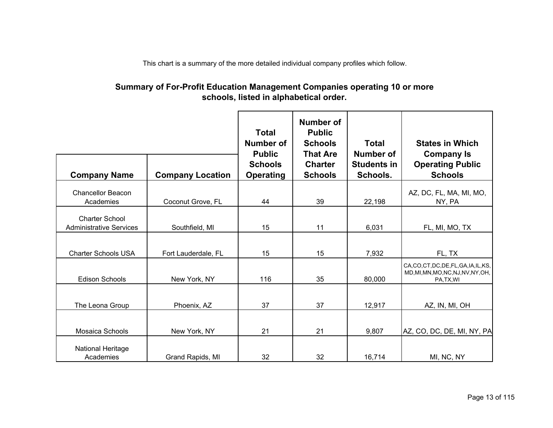This chart is a summary of the more detailed individual company profiles which follow.

### **Summary of For-Profit Education Management Companies operating 10 or more schools, listed in alphabetical order.**

|                                                         |                         | <b>Total</b><br>Number of<br><b>Public</b> | Number of<br><b>Public</b><br><b>Schools</b><br><b>That Are</b> | <b>Total</b><br><b>Number of</b> | <b>States in Which</b><br><b>Company Is</b>                                         |
|---------------------------------------------------------|-------------------------|--------------------------------------------|-----------------------------------------------------------------|----------------------------------|-------------------------------------------------------------------------------------|
| <b>Company Name</b>                                     | <b>Company Location</b> | <b>Schools</b><br><b>Operating</b>         | <b>Charter</b><br><b>Schools</b>                                | <b>Students in</b><br>Schools.   | <b>Operating Public</b><br><b>Schools</b>                                           |
| <b>Chancellor Beacon</b><br>Academies                   | Coconut Grove, FL       | 44                                         | 39                                                              | 22,198                           | AZ, DC, FL, MA, MI, MO,<br>NY, PA                                                   |
| <b>Charter School</b><br><b>Administrative Services</b> | Southfield, MI          | 15                                         | 11                                                              | 6,031                            | FL, MI, MO, TX                                                                      |
| <b>Charter Schools USA</b>                              | Fort Lauderdale, FL     | 15                                         | 15                                                              | 7,932                            | FL, TX                                                                              |
| <b>Edison Schools</b>                                   | New York, NY            | 116                                        | 35                                                              | 80,000                           | CA,CO,CT,DC,DE,FL,GA,IA,IL,KS,<br>MD, MI, MN, MO, NC, NJ, NV, NY, OH,<br>PA, TX, WI |
| The Leona Group                                         | Phoenix, AZ             | 37                                         | 37                                                              | 12,917                           | AZ, IN, MI, OH                                                                      |
| Mosaica Schools                                         | New York, NY            | 21                                         | 21                                                              | 9,807                            | AZ, CO, DC, DE, MI, NY, PA                                                          |
| <b>National Heritage</b><br>Academies                   | Grand Rapids, MI        | 32                                         | 32                                                              | 16,714                           | MI, NC, NY                                                                          |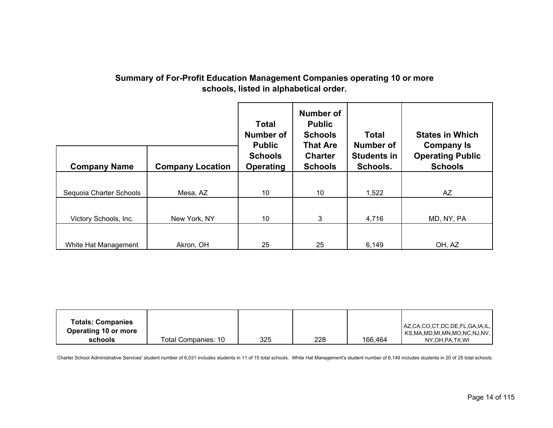| <b>Company Name</b>     | <b>Company Location</b> | <b>Total</b><br>Number of<br><b>Public</b><br><b>Schools</b><br><b>Operating</b> | Number of<br><b>Public</b><br><b>Schools</b><br><b>That Are</b><br><b>Charter</b><br><b>Schools</b> | <b>Total</b><br>Number of<br><b>Students in</b><br>Schools. | <b>States in Which</b><br><b>Company Is</b><br><b>Operating Public</b><br><b>Schools</b> |
|-------------------------|-------------------------|----------------------------------------------------------------------------------|-----------------------------------------------------------------------------------------------------|-------------------------------------------------------------|------------------------------------------------------------------------------------------|
| Sequoia Charter Schools | Mesa, AZ                | 10                                                                               | 10                                                                                                  | 1,522                                                       | AZ                                                                                       |
| Victory Schools, Inc.   | New York, NY            | 10                                                                               | 3                                                                                                   | 4,716                                                       | MD, NY, PA                                                                               |
| White Hat Management    | Akron, OH               | 25                                                                               | 25                                                                                                  | 6,149                                                       | OH, AZ                                                                                   |

### **Summary of For-Profit Education Management Companies operating 10 or more schools, listed in alphabetical order.**

| <b>Totals: Companies</b><br>Operating 10 or more |                     |     |     |         | AZ,CA,CO,CT,DC,DE,FL,GA,IA,IL,<br>KS,MA,MD,MI,MN,MO,NC,NJ,NV, |
|--------------------------------------------------|---------------------|-----|-----|---------|---------------------------------------------------------------|
| schools                                          | Total Companies: 10 | 325 | 228 | 166,464 | NY.OH.PA.TX.WI                                                |

Charter School Administrative Services' student number of 6,031 includes students in 11 of 15 total schools. White Hat Management's student number of 6,149 includes students in 20 of 25 total schools.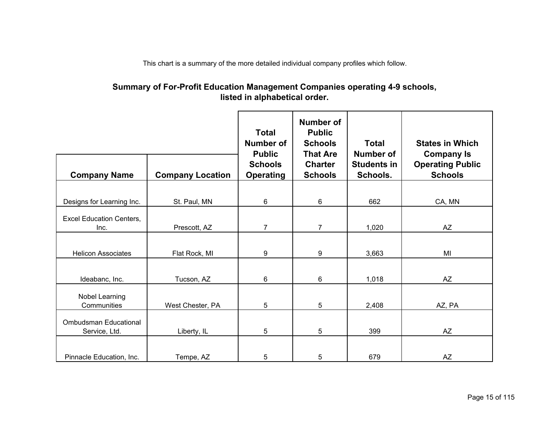This chart is a summary of the more detailed individual company profiles which follow.

### **Summary of For-Profit Education Management Companies operating 4-9 schools, listed in alphabetical order.**

|                                               |                         | <b>Total</b><br><b>Number of</b><br><b>Public</b> | <b>Number of</b><br><b>Public</b><br><b>Schools</b><br><b>That Are</b> | <b>Total</b><br><b>Number of</b> | <b>States in Which</b><br><b>Company Is</b> |
|-----------------------------------------------|-------------------------|---------------------------------------------------|------------------------------------------------------------------------|----------------------------------|---------------------------------------------|
| <b>Company Name</b>                           | <b>Company Location</b> | <b>Schools</b><br><b>Operating</b>                | <b>Charter</b><br><b>Schools</b>                                       | <b>Students in</b><br>Schools.   | <b>Operating Public</b><br><b>Schools</b>   |
|                                               |                         |                                                   |                                                                        |                                  |                                             |
| Designs for Learning Inc.                     | St. Paul, MN            | 6                                                 | 6                                                                      | 662                              | CA, MN                                      |
| <b>Excel Education Centers.</b><br>Inc.       | Prescott, AZ            | $\overline{7}$                                    | $\overline{7}$                                                         | 1,020                            | <b>AZ</b>                                   |
| <b>Helicon Associates</b>                     | Flat Rock, MI           | 9                                                 | 9                                                                      | 3,663                            | MI                                          |
| Ideabanc, Inc.                                | Tucson, AZ              | 6                                                 | 6                                                                      | 1,018                            | AZ                                          |
| Nobel Learning<br>Communities                 | West Chester, PA        | 5                                                 | $5\phantom{.0}$                                                        | 2,408                            | AZ, PA                                      |
| <b>Ombudsman Educational</b><br>Service, Ltd. | Liberty, IL             | 5                                                 | 5                                                                      | 399                              | AZ                                          |
| Pinnacle Education, Inc.                      | Tempe, AZ               | 5                                                 | 5                                                                      | 679                              | <b>AZ</b>                                   |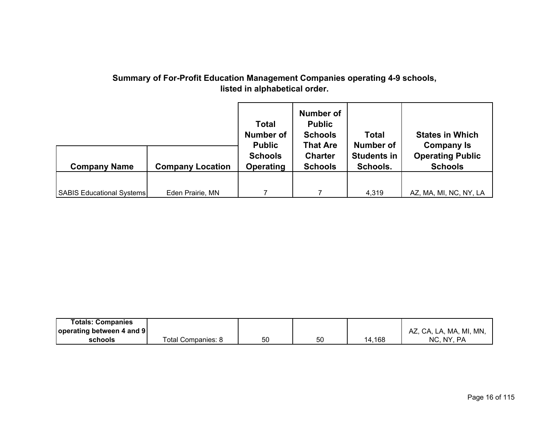## **Summary of For-Profit Education Management Companies operating 4-9 schools, listed in alphabetical order.**

|                                  |                         | <b>Total</b><br><b>Number of</b><br><b>Public</b><br><b>Schools</b> | <b>Number of</b><br><b>Public</b><br><b>Schools</b><br><b>That Are</b><br><b>Charter</b> | <b>Total</b><br>Number of<br><b>Students in</b> | <b>States in Which</b><br><b>Company Is</b><br><b>Operating Public</b> |
|----------------------------------|-------------------------|---------------------------------------------------------------------|------------------------------------------------------------------------------------------|-------------------------------------------------|------------------------------------------------------------------------|
| <b>Company Name</b>              | <b>Company Location</b> | <b>Operating</b>                                                    | <b>Schools</b>                                                                           | Schools.                                        | <b>Schools</b>                                                         |
|                                  |                         |                                                                     |                                                                                          |                                                 |                                                                        |
| <b>SABIS Educational Systems</b> | Eden Prairie, MN        |                                                                     |                                                                                          | 4,319                                           | AZ, MA, MI, NC, NY, LA                                                 |

| <b>Totals: Companies</b>  |                    |    |    |       |                         |
|---------------------------|--------------------|----|----|-------|-------------------------|
| operating between 4 and 9 |                    |    |    |       | AZ, CA, LA, MA, MI, MN, |
| schools                   | Total Companies: 8 | 50 | 50 | ⊦.168 | NC. NY.<br>PA.          |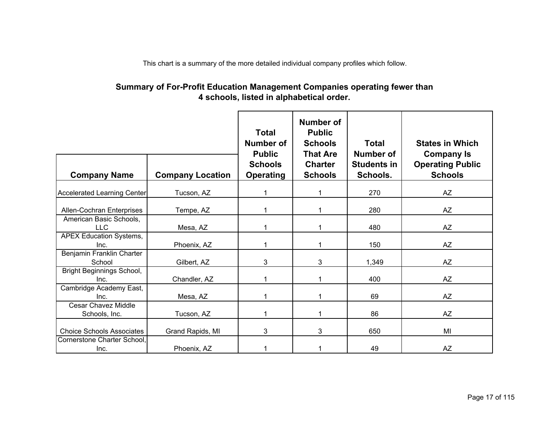This chart is a summary of the more detailed individual company profiles which follow.

### **Summary of For-Profit Education Management Companies operating fewer than 4 schools, listed in alphabetical order.**

|                                    |                         | <b>Total</b><br>Number of<br><b>Public</b> | <b>Number of</b><br><b>Public</b><br><b>Schools</b><br><b>That Are</b> | <b>Total</b><br>Number of      | <b>States in Which</b><br><b>Company Is</b> |
|------------------------------------|-------------------------|--------------------------------------------|------------------------------------------------------------------------|--------------------------------|---------------------------------------------|
| <b>Company Name</b>                | <b>Company Location</b> | <b>Schools</b><br><b>Operating</b>         | <b>Charter</b><br><b>Schools</b>                                       | <b>Students in</b><br>Schools. | <b>Operating Public</b><br><b>Schools</b>   |
|                                    |                         |                                            |                                                                        |                                |                                             |
| <b>Accelerated Learning Center</b> | Tucson, AZ              |                                            |                                                                        | 270                            | AZ                                          |
| Allen-Cochran Enterprises          | Tempe, AZ               |                                            |                                                                        | 280                            | AZ                                          |
| American Basic Schools,            |                         |                                            |                                                                        |                                |                                             |
| <b>LLC</b>                         | Mesa, AZ                |                                            |                                                                        | 480                            | AZ                                          |
| APEX Education Systems,            |                         |                                            |                                                                        |                                |                                             |
| Inc.                               | Phoenix, AZ             |                                            |                                                                        | 150                            | AZ                                          |
| Benjamin Franklin Charter          |                         |                                            |                                                                        |                                |                                             |
| School                             | Gilbert, AZ             | 3                                          | 3                                                                      | 1,349                          | <b>AZ</b>                                   |
| <b>Bright Beginnings School,</b>   |                         |                                            |                                                                        |                                |                                             |
| Inc.                               | Chandler, AZ            |                                            |                                                                        | 400                            | AZ                                          |
| Cambridge Academy East,            |                         |                                            |                                                                        |                                |                                             |
| Inc.                               | Mesa, AZ                |                                            |                                                                        | 69                             | AZ                                          |
| <b>Cesar Chavez Middle</b>         |                         |                                            |                                                                        |                                |                                             |
| Schools, Inc.                      | Tucson, AZ              |                                            |                                                                        | 86                             | AZ                                          |
| <b>Choice Schools Associates</b>   | Grand Rapids, MI        | 3                                          | 3                                                                      | 650                            | MI                                          |
| Cornerstone Charter School,        |                         |                                            |                                                                        |                                |                                             |
| Inc.                               | Phoenix, AZ             |                                            |                                                                        | 49                             | AZ                                          |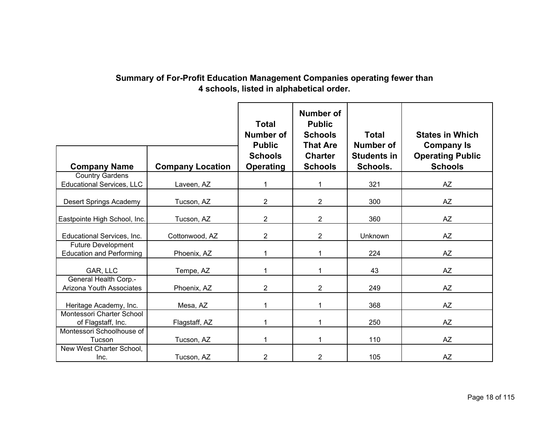## **Summary of For-Profit Education Management Companies operating fewer than 4 schools, listed in alphabetical order.**

| <b>Company Name</b>                                          | <b>Company Location</b> | <b>Total</b><br><b>Number of</b><br><b>Public</b><br><b>Schools</b><br><b>Operating</b> | <b>Number of</b><br><b>Public</b><br><b>Schools</b><br><b>That Are</b><br><b>Charter</b><br><b>Schools</b> | <b>Total</b><br>Number of<br><b>Students in</b><br>Schools. | <b>States in Which</b><br><b>Company Is</b><br><b>Operating Public</b><br><b>Schools</b> |
|--------------------------------------------------------------|-------------------------|-----------------------------------------------------------------------------------------|------------------------------------------------------------------------------------------------------------|-------------------------------------------------------------|------------------------------------------------------------------------------------------|
| <b>Country Gardens</b>                                       |                         |                                                                                         |                                                                                                            |                                                             |                                                                                          |
| <b>Educational Services, LLC</b>                             | Laveen, AZ              | 1                                                                                       | 1                                                                                                          | 321                                                         | <b>AZ</b>                                                                                |
| Desert Springs Academy                                       | Tucson, AZ              | $\overline{2}$                                                                          | $\overline{2}$                                                                                             | 300                                                         | AZ                                                                                       |
| Eastpointe High School, Inc.                                 | Tucson, AZ              | 2                                                                                       | $\overline{2}$                                                                                             | 360                                                         | AZ                                                                                       |
| Educational Services, Inc.                                   | Cottonwood, AZ          | $\overline{2}$                                                                          | $\overline{2}$                                                                                             | Unknown                                                     | AZ                                                                                       |
| <b>Future Development</b><br><b>Education and Performing</b> | Phoenix, AZ             |                                                                                         | 1                                                                                                          | 224                                                         | AZ                                                                                       |
| GAR, LLC                                                     | Tempe, AZ               |                                                                                         | 1                                                                                                          | 43                                                          | AZ                                                                                       |
| <b>General Health Corp.-</b><br>Arizona Youth Associates     | Phoenix, AZ             | 2                                                                                       | $\overline{2}$                                                                                             | 249                                                         | AZ                                                                                       |
| Heritage Academy, Inc.                                       | Mesa, AZ                |                                                                                         | 1                                                                                                          | 368                                                         | <b>AZ</b>                                                                                |
| Montessori Charter School<br>of Flagstaff, Inc.              | Flagstaff, AZ           |                                                                                         |                                                                                                            | 250                                                         | <b>AZ</b>                                                                                |
| Montessori Schoolhouse of<br>Tucson                          | Tucson, AZ              |                                                                                         | 1                                                                                                          | 110                                                         | AZ                                                                                       |
| New West Charter School,<br>Inc.                             | Tucson, AZ              | 2                                                                                       | $\overline{2}$                                                                                             | 105                                                         | <b>AZ</b>                                                                                |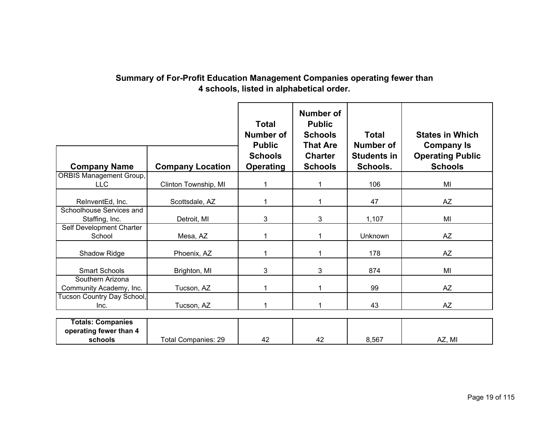## **Summary of For-Profit Education Management Companies operating fewer than 4 schools, listed in alphabetical order.**

|                                              |                            | <b>Total</b><br>Number of<br><b>Public</b><br><b>Schools</b> | <b>Number of</b><br><b>Public</b><br><b>Schools</b><br><b>That Are</b><br><b>Charter</b> | <b>Total</b><br>Number of<br><b>Students in</b> | <b>States in Which</b><br><b>Company Is</b><br><b>Operating Public</b> |
|----------------------------------------------|----------------------------|--------------------------------------------------------------|------------------------------------------------------------------------------------------|-------------------------------------------------|------------------------------------------------------------------------|
| <b>Company Name</b>                          | <b>Company Location</b>    | <b>Operating</b>                                             | <b>Schools</b>                                                                           | Schools.                                        | <b>Schools</b>                                                         |
| <b>ORBIS Management Group,</b><br><b>LLC</b> | Clinton Township, MI       |                                                              |                                                                                          | 106                                             | MI                                                                     |
| RelnventEd, Inc.                             | Scottsdale, AZ             |                                                              | 1                                                                                        | 47                                              | <b>AZ</b>                                                              |
| Schoolhouse Services and<br>Staffing, Inc.   | Detroit, MI                | 3                                                            | 3                                                                                        | 1,107                                           | MI                                                                     |
| Self Development Charter<br>School           | Mesa, AZ                   |                                                              | 1                                                                                        | Unknown                                         | AZ                                                                     |
| Shadow Ridge                                 | Phoenix, AZ                |                                                              | 1                                                                                        | 178                                             | <b>AZ</b>                                                              |
| <b>Smart Schools</b>                         | Brighton, MI               | 3                                                            | 3                                                                                        | 874                                             | MI                                                                     |
| Southern Arizona<br>Community Academy, Inc.  | Tucson, AZ                 |                                                              | 1                                                                                        | 99                                              | <b>AZ</b>                                                              |
| Tucson Country Day School,<br>Inc.           | Tucson, AZ                 |                                                              | 1                                                                                        | 43                                              | <b>AZ</b>                                                              |
| <b>Totals: Companies</b>                     |                            |                                                              |                                                                                          |                                                 |                                                                        |
| operating fewer than 4<br>schools            | <b>Total Companies: 29</b> | 42                                                           | 42                                                                                       | 8,567                                           | AZ, MI                                                                 |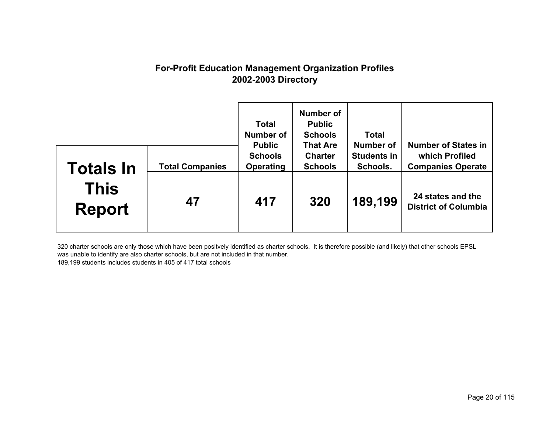## **For-Profit Education Management Organization Profiles 2002-2003 Directory**

|                              |                        | <b>Total</b><br>Number of<br><b>Public</b> | Number of<br><b>Public</b><br><b>Schools</b><br><b>That Are</b> | <b>Total</b><br>Number of      | <b>Number of States in</b>                       |
|------------------------------|------------------------|--------------------------------------------|-----------------------------------------------------------------|--------------------------------|--------------------------------------------------|
| Totals In                    | <b>Total Companies</b> | <b>Schools</b><br><b>Operating</b>         | <b>Charter</b><br><b>Schools</b>                                | <b>Students in</b><br>Schools. | which Profiled<br><b>Companies Operate</b>       |
| <b>This</b><br><b>Report</b> | 47                     | 417                                        | 320                                                             | 189,199                        | 24 states and the<br><b>District of Columbia</b> |

320 charter schools are only those which have been positvely identified as charter schools. It is therefore possible (and likely) that other schools EPSL was unable to identify are also charter schools, but are not included in that number. 189,199 students includes students in 405 of 417 total schools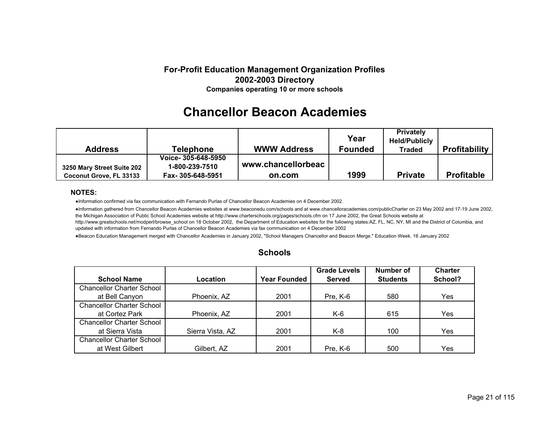#### **For-Profit Education Management Organization Profiles 2002-2003 Directory Companies operating 10 or more schools**

# **Chancellor Beacon Academies**

| <b>Address</b>             | <b>Telephone</b>    | <b>WWW Address</b> | Year<br><b>Founded</b> | <b>Privately</b><br><b>Held/Publicly</b><br>Traded | <b>Profitability</b> |
|----------------------------|---------------------|--------------------|------------------------|----------------------------------------------------|----------------------|
|                            |                     |                    |                        |                                                    |                      |
|                            | Voice- 305-648-5950 |                    |                        |                                                    |                      |
| 3250 Mary Street Suite 202 | 1-800-239-7510      | www.chancellorbeac |                        |                                                    |                      |
| Coconut Grove, FL 33133    | Fax-305-648-5951    | on.com             | 1999                   | <b>Private</b>                                     | <b>Profitable</b>    |

#### **NOTES:**

●Information confirmed via fax communication with Fernando Purlas of Chancellor Beacon Academies on 4 December 2002.

●Information gathered from Chancellor Beacon Academies websites at www.beaconedu.com/schools and at www.chancelloracademies.com/publicCharter on 23 May 2002 and 17-19 June 2002, the Michigan Association of Public School Academies website at http://www.charterschools.org/pages/schools.cfm on 17 June 2002, the Great Schools website at http://www.greatschools.net/modperl/browse\_school on 18 October 2002, the Department of Education websites for the following states:AZ, FL, NC, NY, MI and the District of Columbia, and updated with information from Fernando Purlas of Chancellor Beacon Academies via fax communication on 4 December 2002

●Beacon Education Management merged with Chancellor Academies in January 2002, "School Managers Chancellor and Beacon Merge." Education Week. 16 January 2002

| <b>School Name</b>               | Location         | <b>Year Founded</b> | <b>Grade Levels</b><br><b>Served</b> | Number of<br><b>Students</b> | <b>Charter</b><br>School? |
|----------------------------------|------------------|---------------------|--------------------------------------|------------------------------|---------------------------|
| <b>Chancellor Charter School</b> |                  |                     |                                      |                              |                           |
| at Bell Canyon                   | Phoenix, AZ      | 2001                | Pre, K-6                             | 580                          | Yes                       |
| <b>Chancellor Charter School</b> |                  |                     |                                      |                              |                           |
| at Cortez Park                   | Phoenix, AZ      | 2001                | K-6                                  | 615                          | Yes                       |
| <b>Chancellor Charter School</b> |                  |                     |                                      |                              |                           |
| at Sierra Vista                  | Sierra Vista, AZ | 2001                | K-8                                  | 100                          | Yes                       |
| <b>Chancellor Charter School</b> |                  |                     |                                      |                              |                           |
| at West Gilbert                  | Gilbert, AZ      | 2001                | Pre, $K-6$                           | 500                          | Yes                       |

#### **Schools**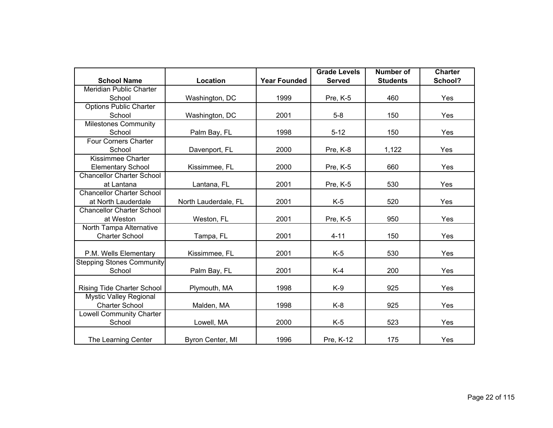|                                  |                      |                     | <b>Grade Levels</b> | <b>Number of</b> | <b>Charter</b> |
|----------------------------------|----------------------|---------------------|---------------------|------------------|----------------|
| <b>School Name</b>               | Location             | <b>Year Founded</b> | <b>Served</b>       | <b>Students</b>  | School?        |
| <b>Meridian Public Charter</b>   |                      |                     |                     |                  |                |
| School                           | Washington, DC       | 1999                | Pre, K-5            | 460              | Yes            |
| <b>Options Public Charter</b>    |                      |                     |                     |                  |                |
| School                           | Washington, DC       | 2001                | $5-8$               | 150              | Yes            |
| <b>Milestones Community</b>      |                      |                     |                     |                  |                |
| School                           | Palm Bay, FL         | 1998                | $5 - 12$            | 150              | Yes            |
| <b>Four Corners Charter</b>      |                      |                     |                     |                  |                |
| School                           | Davenport, FL        | 2000                | Pre, K-8            | 1,122            | Yes            |
| Kissimmee Charter                |                      |                     |                     |                  |                |
| <b>Elementary School</b>         | Kissimmee, FL        | 2000                | Pre, K-5            | 660              | Yes            |
| <b>Chancellor Charter School</b> |                      |                     |                     |                  |                |
| at Lantana                       | Lantana, FL          | 2001                | Pre, K-5            | 530              | Yes            |
| <b>Chancellor Charter School</b> |                      |                     |                     |                  |                |
| at North Lauderdale              | North Lauderdale, FL | 2001                | $K-5$               | 520              | Yes            |
| <b>Chancellor Charter School</b> |                      |                     |                     |                  |                |
| at Weston                        | Weston, FL           | 2001                | Pre, K-5            | 950              | Yes            |
| North Tampa Alternative          |                      |                     |                     |                  |                |
| <b>Charter School</b>            | Tampa, FL            | 2001                | $4 - 11$            | 150              | Yes            |
|                                  |                      |                     |                     |                  |                |
| P.M. Wells Elementary            | Kissimmee, FL        | 2001                | $K-5$               | 530              | Yes            |
| <b>Stepping Stones Community</b> |                      |                     |                     |                  |                |
| School                           | Palm Bay, FL         | 2001                | $K-4$               | 200              | Yes            |
|                                  |                      |                     |                     |                  |                |
| Rising Tide Charter School       | Plymouth, MA         | 1998                | $K-9$               | 925              | Yes            |
| <b>Mystic Valley Regional</b>    |                      |                     |                     |                  |                |
| <b>Charter School</b>            | Malden, MA           | 1998                | $K-8$               | 925              | Yes            |
| <b>Lowell Community Charter</b>  |                      |                     |                     |                  |                |
| School                           | Lowell, MA           | 2000                | $K-5$               | 523              | Yes            |
|                                  |                      |                     |                     |                  |                |
| The Learning Center              | Byron Center, MI     | 1996                | Pre, K-12           | 175              | Yes            |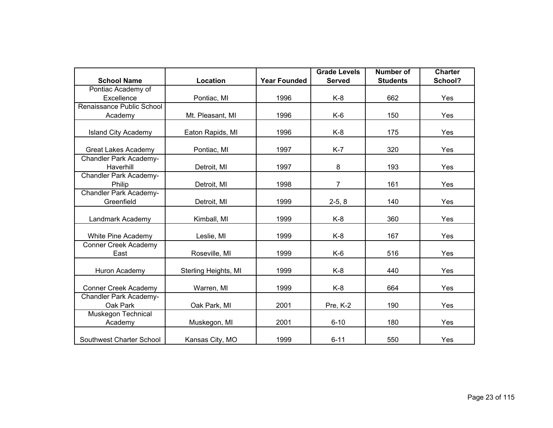|                                             |                      |                     | <b>Grade Levels</b> | <b>Number of</b> | <b>Charter</b> |
|---------------------------------------------|----------------------|---------------------|---------------------|------------------|----------------|
| <b>School Name</b>                          | Location             | <b>Year Founded</b> | <b>Served</b>       | <b>Students</b>  | School?        |
| Pontiac Academy of                          |                      |                     |                     |                  |                |
| Excellence                                  | Pontiac, MI          | 1996                | $K-8$               | 662              | Yes            |
| Renaissance Public School                   |                      |                     |                     |                  |                |
| Academy                                     | Mt. Pleasant, MI     | 1996                | $K-6$               | 150              | Yes            |
| <b>Island City Academy</b>                  | Eaton Rapids, MI     | 1996                | $K-8$               | 175              | Yes            |
| <b>Great Lakes Academy</b>                  | Pontiac, MI          | 1997                | $K-7$               | 320              | Yes            |
| <b>Chandler Park Academy-</b><br>Haverhill  | Detroit, MI          | 1997                | 8                   | 193              | Yes            |
| <b>Chandler Park Academy-</b><br>Philip     | Detroit, MI          | 1998                | $\overline{7}$      | 161              | Yes            |
| <b>Chandler Park Academy-</b><br>Greenfield | Detroit, MI          | 1999                | $2-5, 8$            | 140              | Yes            |
| Landmark Academy                            | Kimball, MI          | 1999                | $K-8$               | 360              | Yes            |
| White Pine Academy                          | Leslie, MI           | 1999                | $K-8$               | 167              | Yes            |
| <b>Conner Creek Academy</b><br>East         | Roseville, MI        | 1999                | $K-6$               | 516              | Yes            |
| Huron Academy                               | Sterling Heights, MI | 1999                | $K-8$               | 440              | Yes            |
| <b>Conner Creek Academy</b>                 | Warren, MI           | 1999                | $K-8$               | 664              | Yes            |
| <b>Chandler Park Academy-</b><br>Oak Park   | Oak Park, MI         | 2001                | Pre, K-2            | 190              | Yes            |
| <b>Muskegon Technical</b><br>Academy        | Muskegon, MI         | 2001                | $6 - 10$            | 180              | Yes            |
| Southwest Charter School                    | Kansas City, MO      | 1999                | $6 - 11$            | 550              | Yes            |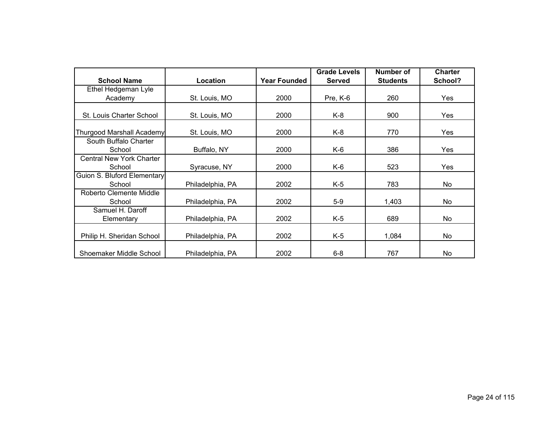|                                  |                  |                     | <b>Grade Levels</b> | Number of       | <b>Charter</b> |
|----------------------------------|------------------|---------------------|---------------------|-----------------|----------------|
| <b>School Name</b>               | Location         | <b>Year Founded</b> | <b>Served</b>       | <b>Students</b> | School?        |
| Ethel Hedgeman Lyle              |                  |                     |                     |                 |                |
| Academy                          | St. Louis, MO    | 2000                | Pre, K-6            | 260             | Yes            |
|                                  |                  |                     |                     |                 |                |
| St. Louis Charter School         | St. Louis, MO    | 2000                | K-8                 | 900             | Yes            |
| <b>Thurgood Marshall Academy</b> | St. Louis, MO    | 2000                | K-8                 | 770             | Yes            |
| South Buffalo Charter            |                  |                     |                     |                 |                |
| School                           | Buffalo, NY      | 2000                | K-6                 | 386             | Yes            |
| <b>Central New York Charter</b>  |                  |                     |                     |                 |                |
| School                           | Syracuse, NY     | 2000                | K-6                 | 523             | Yes            |
| Guion S. Bluford Elementary      |                  |                     |                     |                 |                |
| School                           | Philadelphia, PA | 2002                | $K-5$               | 783             | No             |
| Roberto Clemente Middle          |                  |                     |                     |                 |                |
| School                           | Philadelphia, PA | 2002                | $5-9$               | 1,403           | No             |
| Samuel H. Daroff                 |                  |                     |                     |                 |                |
| Elementary                       | Philadelphia, PA | 2002                | $K-5$               | 689             | No             |
| Philip H. Sheridan School        | Philadelphia, PA | 2002                | K-5                 | 1,084           | No             |
| Shoemaker Middle School          | Philadelphia, PA | 2002                | $6 - 8$             | 767             | No             |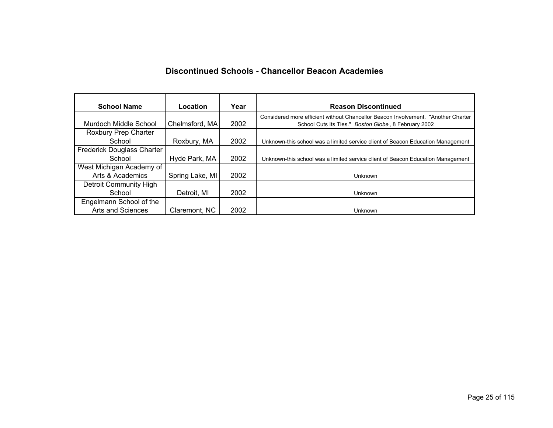### **Discontinued Schools - Chancellor Beacon Academies**

| <b>School Name</b>                | Location        | Year | <b>Reason Discontinued</b>                                                                                                                 |
|-----------------------------------|-----------------|------|--------------------------------------------------------------------------------------------------------------------------------------------|
| Murdoch Middle School             | Chelmsford, MA  | 2002 | Considered more efficient without Chancellor Beacon Involvement. "Another Charter"<br>School Cuts Its Ties." Boston Globe, 8 February 2002 |
| Roxbury Prep Charter              |                 |      |                                                                                                                                            |
| School                            | Roxbury, MA     | 2002 | Unknown-this school was a limited service client of Beacon Education Management                                                            |
| <b>Frederick Douglass Charter</b> |                 |      |                                                                                                                                            |
| School                            | Hyde Park, MA   | 2002 | Unknown-this school was a limited service client of Beacon Education Management                                                            |
| West Michigan Academy of          |                 |      |                                                                                                                                            |
| Arts & Academics                  | Spring Lake, MI | 2002 | Unknown                                                                                                                                    |
| Detroit Community High            |                 |      |                                                                                                                                            |
| School                            | Detroit, MI     | 2002 | Unknown                                                                                                                                    |
| Engelmann School of the           |                 |      |                                                                                                                                            |
| Arts and Sciences                 | Claremont, NC   | 2002 | Unknown                                                                                                                                    |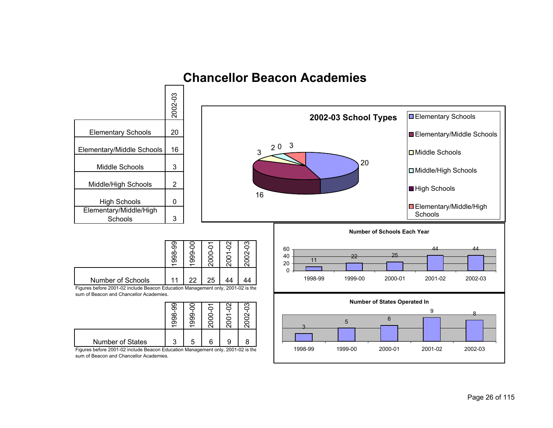

# **Chancellor Beacon Academies**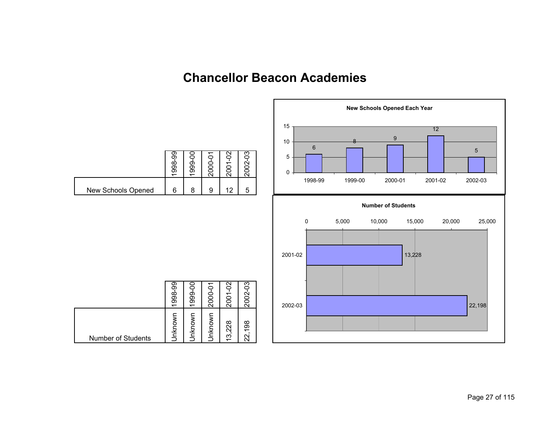# **Chancellor Beacon Academies**

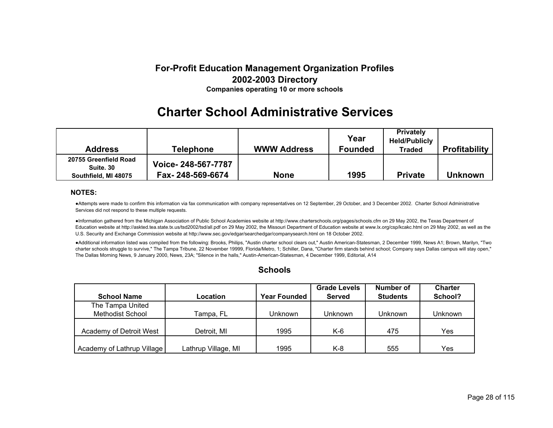### **For-Profit Education Management Organization Profiles 2002-2003 Directory Companies operating 10 or more schools**

# **Charter School Administrative Services**

| <b>Address</b>                                             | <b>Telephone</b>                       | <b>WWW Address</b> | Year<br><b>Founded</b> | <b>Privately</b><br><b>Held/Publicly</b><br><b>Traded</b> | <b>Profitability</b> |
|------------------------------------------------------------|----------------------------------------|--------------------|------------------------|-----------------------------------------------------------|----------------------|
| 20755 Greenfield Road<br>Suite, 30<br>Southfield, MI 48075 | Voice-248-567-7787<br>Fax-248-569-6674 | <b>None</b>        | 1995                   | <b>Private</b>                                            | <b>Unknown</b>       |

#### **NOTES:**

●Attempts were made to confirm this information via fax communication with company representatives on 12 September, 29 October, and 3 December 2002. Charter School Administrative Services did not respond to these multiple requests.

●Information gathered from the Michigan Association of Public School Academies website at http://www.charterschools.org/pages/schools.cfm on 29 May 2002, the Texas Department of Education website at http://askted.tea.state.tx.us/tsd2002/tsd/all.pdf on 29 May 2002, the Missouri Department of Education website at www.lx.org/csp/kcakc.html on 29 May 2002, as well as the U.S. Security and Exchange Commission website at http://www.sec.gov/edgar/searchedgar/companysearch.html on 18 October 2002.

●Additional information listed was compiled from the following: Brooks, Philips, "Austin charter school clears out," Austin American-Statesman, 2 December 1999, News A1; Brown, Marilyn, "Two charter schools struggle to survive," The Tampa Tribune, 22 November 19999, Florida/Metro, 1; Schiller, Dana, "Charter firm stands behind school; Company says Dallas campus will stay open," The Dallas Morning News, 9 January 2000, News, 23A; "Silence in the halls," Austin-American-Statesman, 4 December 1999, Editorial, A14

#### **Schools**

|                            |                     |                     | <b>Grade Levels</b> | Number of       | <b>Charter</b> |
|----------------------------|---------------------|---------------------|---------------------|-----------------|----------------|
| <b>School Name</b>         | Location            | <b>Year Founded</b> | <b>Served</b>       | <b>Students</b> | School?        |
| The Tampa United           |                     |                     |                     |                 |                |
| <b>Methodist School</b>    | Tampa, FL           | Unknown             | Unknown             | Unknown         | <b>Unknown</b> |
|                            |                     |                     |                     |                 |                |
| Academy of Detroit West    | Detroit, MI         | 1995                | K-6                 | 475             | Yes            |
|                            |                     |                     |                     |                 |                |
| Academy of Lathrup Village | Lathrup Village, MI | 1995                | K-8                 | 555             | Yes            |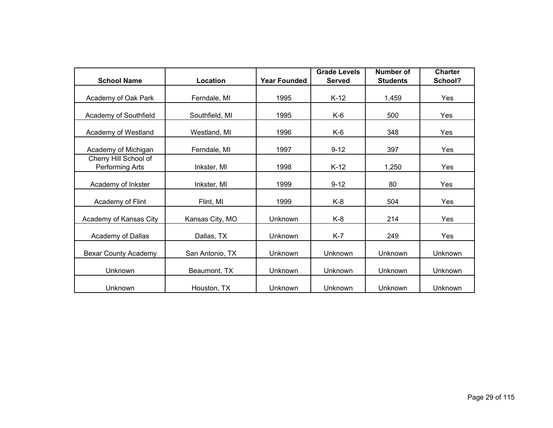| <b>School Name</b>                       | Location        | <b>Year Founded</b> | <b>Grade Levels</b><br><b>Served</b> | <b>Number of</b><br><b>Students</b> | <b>Charter</b><br>School? |
|------------------------------------------|-----------------|---------------------|--------------------------------------|-------------------------------------|---------------------------|
|                                          |                 |                     |                                      |                                     |                           |
| Academy of Oak Park                      | Ferndale, MI    | 1995                | $K-12$                               | 1,459                               | Yes                       |
| Academy of Southfield                    | Southfield, MI  | 1995                | K-6                                  | 500                                 | Yes                       |
| Academy of Westland                      | Westland, MI    | 1996                | K-6                                  | 348                                 | Yes                       |
| Academy of Michigan                      | Ferndale, MI    | 1997                | $9 - 12$                             | 397                                 | Yes                       |
| Cherry Hill School of<br>Performing Arts | Inkster, MI     | 1998                | $K-12$                               | 1,250                               | Yes                       |
| Academy of Inkster                       | Inkster, MI     | 1999                | $9 - 12$                             | 80                                  | Yes                       |
| Academy of Flint                         | Flint, MI       | 1999                | K-8                                  | 504                                 | Yes                       |
| Academy of Kansas City                   | Kansas City, MO | Unknown             | $K-8$                                | 214                                 | Yes                       |
| Academy of Dallas                        | Dallas, TX      | Unknown             | $K-7$                                | 249                                 | Yes                       |
| <b>Bexar County Academy</b>              | San Antonio, TX | Unknown             | Unknown                              | <b>Unknown</b>                      | Unknown                   |
| Unknown                                  | Beaumont, TX    | Unknown             | Unknown                              | <b>Unknown</b>                      | Unknown                   |
| Unknown                                  | Houston, TX     | Unknown             | Unknown                              | <b>Unknown</b>                      | Unknown                   |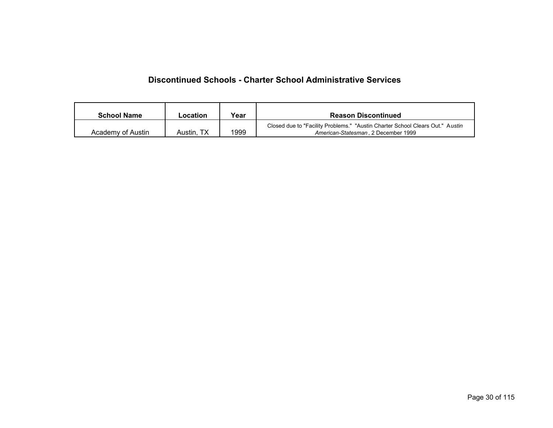#### **Discontinued Schools - Charter School Administrative Services**

| <b>School Name</b> | Location   | Year | <b>Reason Discontinued</b>                                                                                           |
|--------------------|------------|------|----------------------------------------------------------------------------------------------------------------------|
| Academy of Austin  | Austin, TX | 1999 | Closed due to "Facility Problems." "Austin Charter School Clears Out." Austin<br>American-Statesman, 2 December 1999 |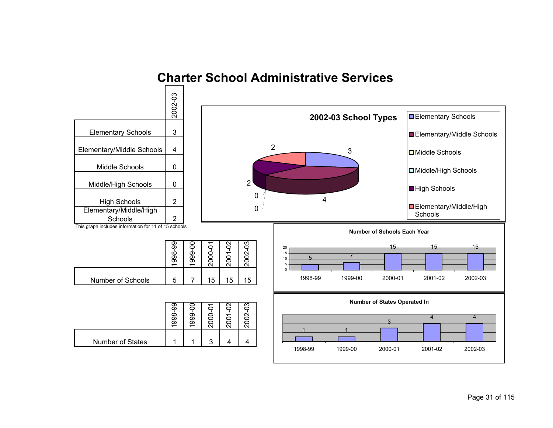

# **Charter School Administrative Services**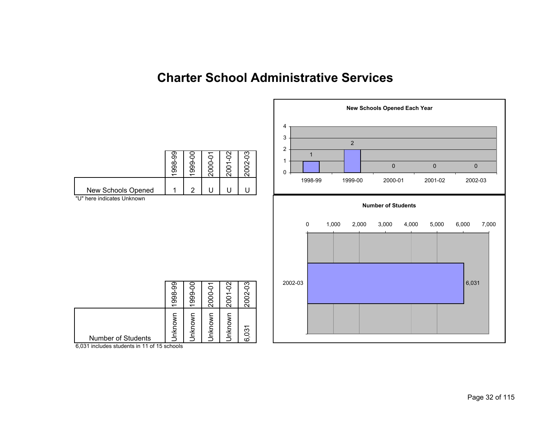# **Charter School Administrative Services**



6,031 includes students in 11 of 15 schools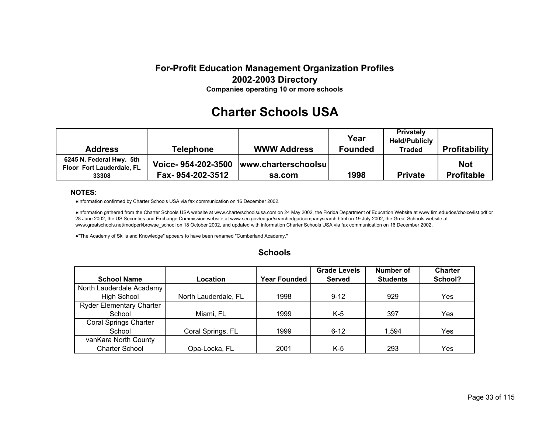### **For-Profit Education Management Organization Profiles 2002-2003 Directory Companies operating 10 or more schools**

# **Charter Schools USA**

| <b>Address</b>                                                 | <b>Telephone</b> | <b>WWW Address</b>                                 | Year<br><b>Founded</b> | <b>Privately</b><br><b>Held/Publicly</b><br><b>Traded</b> | <b>Profitability</b>            |
|----------------------------------------------------------------|------------------|----------------------------------------------------|------------------------|-----------------------------------------------------------|---------------------------------|
| 6245 N. Federal Hwy. 5th<br>Floor Fort Lauderdale, FL<br>33308 | Fax-954-202-3512 | Voice-954-202-3500   www.charterschoolsu<br>sa.com | 1998                   | <b>Private</b>                                            | <b>Not</b><br><b>Profitable</b> |

#### **NOTES:**

●Information confirmed by Charter Schools USA via fax communication on 16 December 2002.

●Information gathered from the Charter Schools USA website at www.charterschoolsusa.com on 24 May 2002, the Florida Department of Education Website at www.firn.edu/doe/choice/list.pdf on 28 June 2002, the US Securities and Exchange Commission website at www.sec.gov/edgar/searchedgar/companysearch.html on 19 July 2002, the Great Schools website at www.greatschools.net/modperl/browse\_school on 18 October 2002, and updated with information Charter Schools USA via fax communication on 16 December 2002.

●"The Academy of Skills and Knowledge" appears to have been renamed "Cumberland Academy."

#### **Schools**

|                                 |                      |                     | <b>Grade Levels</b> | <b>Number of</b> | <b>Charter</b> |
|---------------------------------|----------------------|---------------------|---------------------|------------------|----------------|
| <b>School Name</b>              | Location             | <b>Year Founded</b> | <b>Served</b>       | <b>Students</b>  | School?        |
| North Lauderdale Academy        |                      |                     |                     |                  |                |
| <b>High School</b>              | North Lauderdale, FL | 1998                | $9 - 12$            | 929              | Yes            |
| <b>Ryder Elementary Charter</b> |                      |                     |                     |                  |                |
| School                          | Miami, FL            | 1999                | K-5                 | 397              | Yes            |
| <b>Coral Springs Charter</b>    |                      |                     |                     |                  |                |
| School                          | Coral Springs, FL    | 1999                | $6 - 12$            | 1,594            | Yes            |
| vanKara North County            |                      |                     |                     |                  |                |
| <b>Charter School</b>           | Opa-Locka, FL        | 2001                | $K-5$               | 293              | Yes            |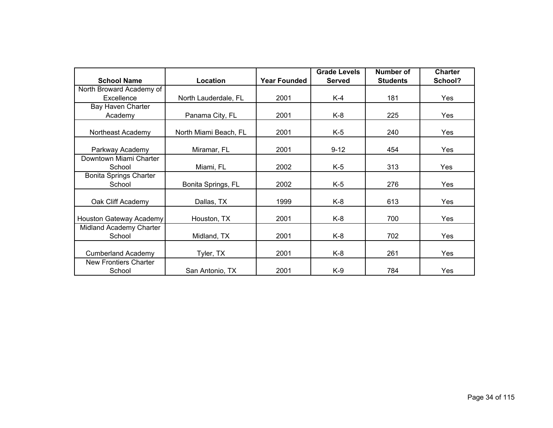|                                                    |                       |                     | <b>Grade Levels</b> | Number of       | <b>Charter</b> |  |
|----------------------------------------------------|-----------------------|---------------------|---------------------|-----------------|----------------|--|
| <b>School Name</b><br>Location                     |                       | <b>Year Founded</b> | <b>Served</b>       | <b>Students</b> | School?        |  |
| North Broward Academy of                           |                       |                     |                     |                 |                |  |
| Excellence<br>North Lauderdale, FL                 |                       | 2001                | $K-4$               | 181             | Yes            |  |
| Bay Haven Charter                                  |                       |                     |                     |                 |                |  |
| Academy                                            | Panama City, FL       | 2001                | K-8                 | 225             | Yes            |  |
| Northeast Academy                                  | North Miami Beach, FL | 2001                | $K-5$               | 240             | Yes            |  |
| Parkway Academy<br>Miramar, FL                     |                       | 2001                | $9 - 12$            | 454             | Yes            |  |
| Downtown Miami Charter<br>School<br>Miami, FL      |                       | 2002                | $K-5$               | 313             | Yes            |  |
| <b>Bonita Springs Charter</b><br>School            | Bonita Springs, FL    | 2002                | $K-5$               | 276             | Yes            |  |
| Oak Cliff Academy                                  | Dallas, TX            | 1999                | K-8                 | 613             | Yes            |  |
| Houston Gateway Academy<br>Houston, TX             |                       | 2001                | K-8                 | 700             | Yes            |  |
| Midland Academy Charter<br>School                  | Midland, TX           | 2001                | K-8                 | 702             | Yes            |  |
| <b>Cumberland Academy</b>                          | Tyler, TX             | 2001                | K-8                 | 261             | Yes            |  |
| New Frontiers Charter<br>School<br>San Antonio, TX |                       | 2001                | $K-9$               | 784             | Yes            |  |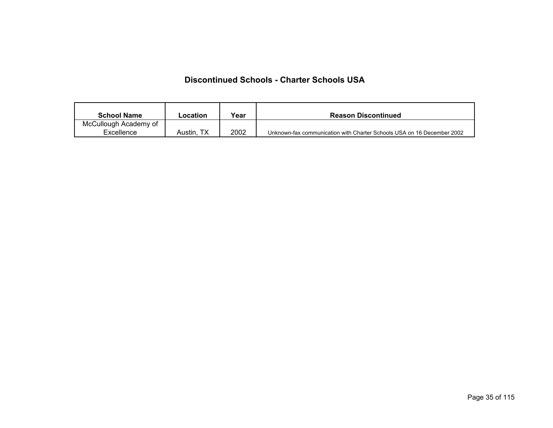### **Discontinued Schools - Charter Schools USA**

| <b>School Name</b>    | Location   | Year | <b>Reason Discontinued</b>                                             |
|-----------------------|------------|------|------------------------------------------------------------------------|
| McCullough Academy of |            |      |                                                                        |
| Excellence            | Austin, TX | 2002 | Unknown-fax communication with Charter Schools USA on 16 December 2002 |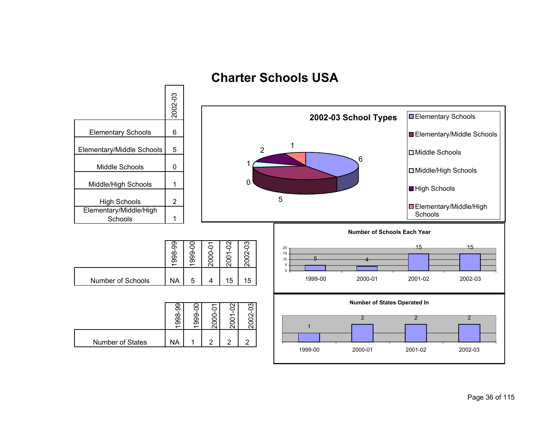# **Charter Schools USA**

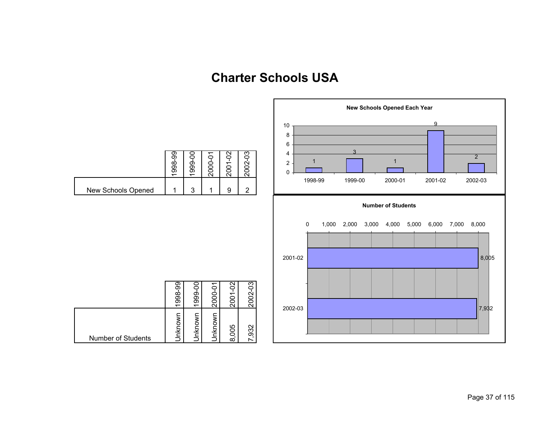# **Charter Schools USA**

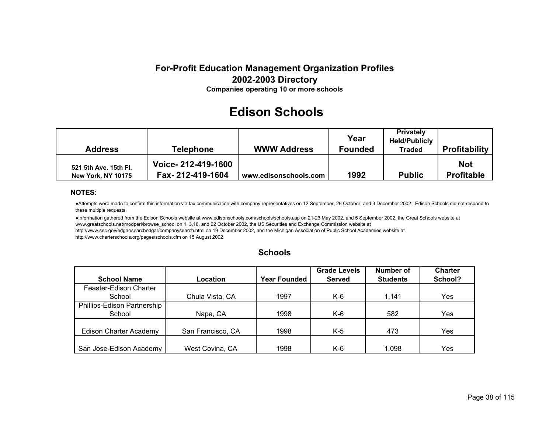# **Edison Schools**

| Address                                            | <b>Telephone</b>                       | <b>WWW Address</b>    | Year<br><b>Founded</b> | <b>Privately</b><br><b>Held/Publicly</b><br><b>Traded</b> | <b>Profitability</b>            |
|----------------------------------------------------|----------------------------------------|-----------------------|------------------------|-----------------------------------------------------------|---------------------------------|
| 521 5th Ave. 15th Fl.<br><b>New York, NY 10175</b> | Voice-212-419-1600<br>Fax-212-419-1604 | www.edisonschools.com | 1992                   | <b>Public</b>                                             | <b>Not</b><br><b>Profitable</b> |

#### **NOTES:**

●Attempts were made to confirm this information via fax communication with company representatives on 12 September, 29 October, and 3 December 2002. Edison Schools did not respond to these multiple requests.

●Information gathered from the Edison Schools website at www.edisonschools.com/schools/schools.asp on 21-23 May 2002, and 5 September 2002, the Great Schools website at www.greatschools.net/modperl/browse\_school on 1, 3,18, and 22 October 2002, the US Securities and Exchange Commission website at

http://www.sec.gov/edgar/searchedgar/companysearch.html on 19 December 2002, and the Michigan Association of Public School Academies website at http://www.charterschools.org/pages/schools.cfm on 15 August 2002.

|                               |                   |                     | <b>Grade Levels</b> | Number of       | <b>Charter</b> |
|-------------------------------|-------------------|---------------------|---------------------|-----------------|----------------|
| <b>School Name</b>            | Location          | <b>Year Founded</b> | <b>Served</b>       | <b>Students</b> | School?        |
| Feaster-Edison Charter        |                   |                     |                     |                 |                |
| School                        | Chula Vista, CA   | 1997                | K-6                 | 1,141           | Yes            |
| Phillips-Edison Partnership   |                   |                     |                     |                 |                |
| School                        | Napa, CA          | 1998                | K-6                 | 582             | Yes            |
|                               |                   |                     |                     |                 |                |
| <b>Edison Charter Academy</b> | San Francisco, CA | 1998                | K-5                 | 473             | Yes            |
|                               |                   |                     |                     |                 |                |
| San Jose-Edison Academy       | West Covina, CA   | 1998                | K-6                 | 1.098           | Yes            |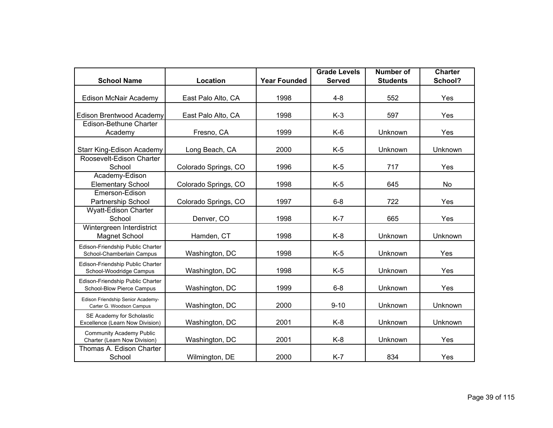|                                                                 |                      |                     | <b>Grade Levels</b> | <b>Number of</b> | <b>Charter</b> |
|-----------------------------------------------------------------|----------------------|---------------------|---------------------|------------------|----------------|
| <b>School Name</b>                                              | Location             | <b>Year Founded</b> | <b>Served</b>       | <b>Students</b>  | School?        |
| <b>Edison McNair Academy</b>                                    | East Palo Alto, CA   | 1998                | $4 - 8$             | 552              | Yes            |
| Edison Brentwood Academy                                        | East Palo Alto, CA   | 1998                | $K-3$               | 597              | Yes            |
| Edison-Bethune Charter<br>Academy                               | Fresno, CA           | 1999                | $K-6$               | Unknown          | Yes            |
| Starr King-Edison Academy                                       | Long Beach, CA       | 2000                | $K-5$               | Unknown          | Unknown        |
| Roosevelt-Edison Charter<br>School                              | Colorado Springs, CO | 1996                | $K-5$               | 717              | Yes            |
| Academy-Edison<br><b>Elementary School</b>                      | Colorado Springs, CO | 1998                | $K-5$               | 645              | No             |
| Emerson-Edison<br>Partnership School                            | Colorado Springs, CO | 1997                | $6 - 8$             | 722              | Yes            |
| Wyatt-Edison Charter<br>School                                  | Denver, CO           | 1998                | $K-7$               | 665              | Yes            |
| Wintergreen Interdistrict<br><b>Magnet School</b>               | Hamden, CT           | 1998                | $K-8$               | Unknown          | Unknown        |
| Edison-Friendship Public Charter<br>School-Chamberlain Campus   | Washington, DC       | 1998                | $K-5$               | Unknown          | Yes            |
| Edison-Friendship Public Charter<br>School-Woodridge Campus     | Washington, DC       | 1998                | $K-5$               | Unknown          | Yes            |
| Edison-Friendship Public Charter<br>School-Blow Pierce Campus   | Washington, DC       | 1999                | $6 - 8$             | Unknown          | Yes            |
| Edison Friendship Senior Academy-<br>Carter G. Woodson Campus   | Washington, DC       | 2000                | $9 - 10$            | Unknown          | Unknown        |
| SE Academy for Scholastic<br>Excellence (Learn Now Division)    | Washington, DC       | 2001                | $K-8$               | Unknown          | Unknown        |
| <b>Community Academy Public</b><br>Charter (Learn Now Division) | Washington, DC       | 2001                | $K-8$               | Unknown          | Yes            |
| Thomas A. Edison Charter<br>School                              | Wilmington, DE       | 2000                | $K-7$               | 834              | Yes            |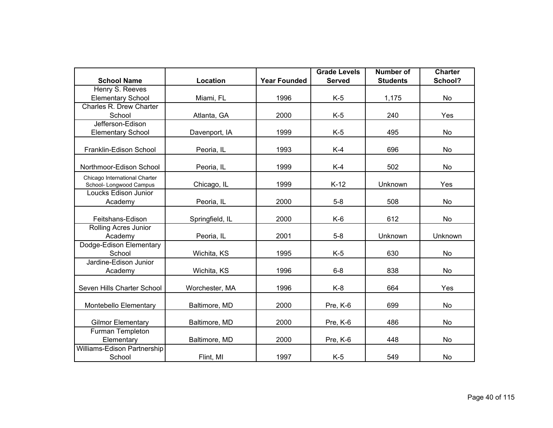|                                                          |                 |                     | <b>Grade Levels</b> | <b>Number of</b> | <b>Charter</b> |
|----------------------------------------------------------|-----------------|---------------------|---------------------|------------------|----------------|
| <b>School Name</b>                                       | Location        | <b>Year Founded</b> | <b>Served</b>       | <b>Students</b>  | School?        |
| Henry S. Reeves                                          |                 |                     |                     |                  |                |
| <b>Elementary School</b>                                 | Miami, FL       | 1996                | $K-5$               | 1,175            | No             |
| Charles R. Drew Charter                                  |                 |                     |                     |                  |                |
| School                                                   | Atlanta, GA     | 2000                | $K-5$               | 240              | Yes            |
| Jefferson-Edison                                         |                 |                     |                     |                  |                |
| <b>Elementary School</b>                                 | Davenport, IA   | 1999                | $K-5$               | 495              | No             |
| Franklin-Edison School                                   | Peoria, IL      | 1993                | $K-4$               | 696              | No             |
| Northmoor-Edison School                                  | Peoria, IL      | 1999                | $K-4$               | 502              | No             |
|                                                          |                 |                     |                     |                  |                |
| Chicago International Charter<br>School- Longwood Campus | Chicago, IL     | 1999                | $K-12$              | Unknown          | Yes            |
| Loucks Edison Junior                                     |                 |                     |                     |                  |                |
| Academy                                                  | Peoria, IL      | 2000                | $5 - 8$             | 508              | No             |
|                                                          |                 |                     |                     |                  |                |
| Feitshans-Edison                                         | Springfield, IL | 2000                | $K-6$               | 612              | No             |
| Rolling Acres Junior                                     |                 |                     |                     |                  |                |
| Academy                                                  | Peoria, IL      | 2001                | $5 - 8$             | Unknown          | Unknown        |
| Dodge-Edison Elementary                                  |                 |                     |                     |                  |                |
| School                                                   | Wichita, KS     | 1995                | $K-5$               | 630              | No             |
| Jardine-Edison Junior                                    |                 |                     |                     |                  |                |
| Academy                                                  | Wichita, KS     | 1996                | $6 - 8$             | 838              | No             |
| Seven Hills Charter School                               | Worchester, MA  | 1996                | $K-8$               | 664              | Yes            |
|                                                          |                 |                     |                     |                  |                |
| Montebello Elementary                                    | Baltimore, MD   | 2000                | Pre, K-6            | 699              | No             |
| <b>Gilmor Elementary</b>                                 | Baltimore, MD   | 2000                | Pre, K-6            | 486              | No             |
| Furman Templeton                                         |                 |                     |                     |                  |                |
| Elementary                                               | Baltimore, MD   | 2000                | Pre, K-6            | 448              | No             |
| Williams-Edison Partnership                              |                 |                     |                     |                  |                |
| School                                                   | Flint, MI       | 1997                | $K-5$               | 549              | No             |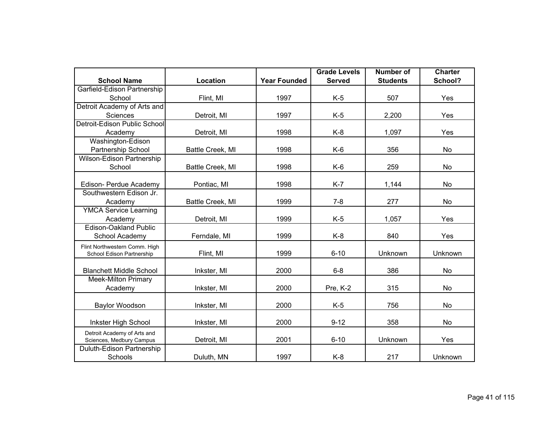|                                |                  |                     | <b>Grade Levels</b> | <b>Number of</b> | <b>Charter</b> |
|--------------------------------|------------------|---------------------|---------------------|------------------|----------------|
| <b>School Name</b>             | Location         | <b>Year Founded</b> | <b>Served</b>       | <b>Students</b>  | School?        |
| Garfield-Edison Partnership    |                  |                     |                     |                  |                |
| School                         | Flint, MI        | 1997                | $K-5$               | 507              | Yes            |
| Detroit Academy of Arts and    |                  |                     |                     |                  |                |
| Sciences                       | Detroit, MI      | 1997                | $K-5$               | 2,200            | Yes            |
| Detroit-Edison Public School   |                  |                     |                     |                  |                |
| Academy                        | Detroit, MI      | 1998                | $K-8$               | 1,097            | Yes            |
| Washington-Edison              |                  |                     |                     |                  |                |
| Partnership School             | Battle Creek, MI | 1998                | $K-6$               | 356              | No             |
| Wilson-Edison Partnership      |                  |                     |                     |                  |                |
| School                         | Battle Creek, MI | 1998                | K-6                 | 259              | No.            |
|                                |                  |                     |                     |                  |                |
| Edison- Perdue Academy         | Pontiac, MI      | 1998                | $K-7$               | 1,144            | No             |
| Southwestern Edison Jr.        |                  |                     |                     |                  |                |
| Academy                        | Battle Creek, MI | 1999                | $7 - 8$             | 277              | No             |
| <b>YMCA Service Learning</b>   |                  |                     |                     |                  |                |
| Academy                        | Detroit, MI      | 1999                | $K-5$               | 1,057            | Yes            |
| <b>Edison-Oakland Public</b>   |                  |                     |                     |                  |                |
| School Academy                 | Ferndale, MI     | 1999                | $K-8$               | 840              | Yes            |
| Flint Northwestern Comm. High  |                  |                     |                     |                  |                |
| School Edison Partnership      | Flint, MI        | 1999                | $6 - 10$            | Unknown          | Unknown        |
| <b>Blanchett Middle School</b> | Inkster, MI      | 2000                | $6 - 8$             | 386              | No             |
| Meek-Milton Primary            |                  |                     |                     |                  |                |
| Academy                        | Inkster, MI      | 2000                | Pre, K-2            | 315              | No             |
|                                |                  |                     |                     |                  |                |
| Baylor Woodson                 | Inkster, MI      | 2000                | $K-5$               | 756              | No             |
|                                |                  |                     |                     |                  |                |
| Inkster High School            | Inkster, MI      | 2000                | $9 - 12$            | 358              | No             |
| Detroit Academy of Arts and    |                  |                     |                     |                  |                |
| Sciences, Medbury Campus       | Detroit, MI      | 2001                | $6 - 10$            | Unknown          | Yes            |
| Duluth-Edison Partnership      |                  |                     |                     |                  |                |
| Schools                        | Duluth, MN       | 1997                | $K-8$               | 217              | Unknown        |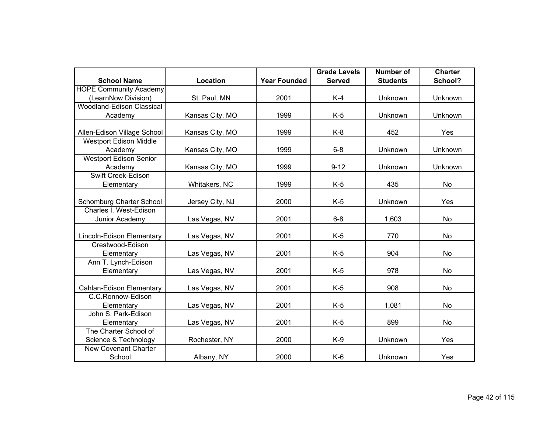|                               |                 |                     | <b>Grade Levels</b> | <b>Number of</b> | <b>Charter</b> |
|-------------------------------|-----------------|---------------------|---------------------|------------------|----------------|
| <b>School Name</b>            | Location        | <b>Year Founded</b> | <b>Served</b>       | <b>Students</b>  | School?        |
| <b>HOPE Community Academy</b> |                 |                     |                     |                  |                |
| (LearnNow Division)           | St. Paul, MN    | 2001                | $K-4$               | Unknown          | Unknown        |
| Woodland-Edison Classical     |                 |                     |                     |                  |                |
| Academy                       | Kansas City, MO | 1999                | $K-5$               | Unknown          | Unknown        |
| Allen-Edison Village School   | Kansas City, MO | 1999                | $K-8$               | 452              | Yes            |
| <b>Westport Edison Middle</b> |                 |                     |                     |                  |                |
| Academy                       | Kansas City, MO | 1999                | $6 - 8$             | Unknown          | Unknown        |
| <b>Westport Edison Senior</b> |                 |                     |                     |                  |                |
| Academy                       | Kansas City, MO | 1999                | $9 - 12$            | Unknown          | Unknown        |
| Swift Creek-Edison            |                 |                     |                     |                  |                |
| Elementary                    | Whitakers, NC   | 1999                | $K-5$               | 435              | No             |
|                               |                 |                     |                     |                  |                |
| Schomburg Charter School      | Jersey City, NJ | 2000                | $K-5$               | Unknown          | Yes            |
| Charles I. West-Edison        |                 |                     |                     |                  |                |
| Junior Academy                | Las Vegas, NV   | 2001                | $6 - 8$             | 1,603            | No             |
| Lincoln-Edison Elementary     | Las Vegas, NV   | 2001                | $K-5$               | 770              | No             |
| Crestwood-Edison              |                 |                     |                     |                  |                |
| Elementary                    | Las Vegas, NV   | 2001                | $K-5$               | 904              | No             |
| Ann T. Lynch-Edison           |                 |                     |                     |                  |                |
| Elementary                    | Las Vegas, NV   | 2001                | $K-5$               | 978              | No             |
| Cahlan-Edison Elementary      | Las Vegas, NV   | 2001                | $K-5$               | 908              | No             |
| C.C.Ronnow-Edison             |                 |                     |                     |                  |                |
| Elementary                    | Las Vegas, NV   | 2001                | $K-5$               | 1,081            | No             |
| John S. Park-Edison           |                 |                     |                     |                  |                |
| Elementary                    | Las Vegas, NV   | 2001                | $K-5$               | 899              | No             |
| The Charter School of         |                 |                     |                     |                  |                |
| Science & Technology          | Rochester, NY   | 2000                | $K-9$               | Unknown          | Yes            |
| New Covenant Charter          |                 |                     |                     |                  |                |
| School                        | Albany, NY      | 2000                | $K-6$               | Unknown          | Yes            |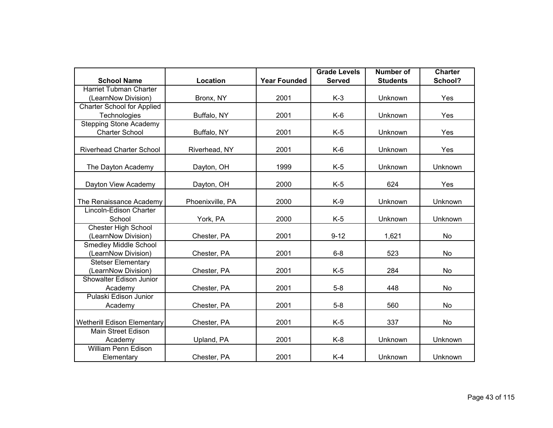|                                    |                  |                     | <b>Grade Levels</b> | <b>Number of</b> | <b>Charter</b> |
|------------------------------------|------------------|---------------------|---------------------|------------------|----------------|
| <b>School Name</b>                 | Location         | <b>Year Founded</b> | <b>Served</b>       | <b>Students</b>  | School?        |
| <b>Harriet Tubman Charter</b>      |                  |                     |                     |                  |                |
| (LearnNow Division)                | Bronx, NY        | 2001                | $K-3$               | Unknown          | Yes            |
| <b>Charter School for Applied</b>  |                  |                     |                     |                  |                |
| Technologies                       | Buffalo, NY      | 2001                | $K-6$               | Unknown          | Yes            |
| <b>Stepping Stone Academy</b>      |                  |                     |                     |                  |                |
| <b>Charter School</b>              | Buffalo, NY      | 2001                | $K-5$               | Unknown          | Yes            |
|                                    |                  |                     |                     |                  |                |
| <b>Riverhead Charter School</b>    | Riverhead, NY    | 2001                | $K-6$               | Unknown          | Yes            |
| The Dayton Academy                 | Dayton, OH       | 1999                | $K-5$               | Unknown          | Unknown        |
| Dayton View Academy                | Dayton, OH       | 2000                | $K-5$               | 624              | Yes            |
|                                    |                  |                     |                     |                  |                |
| The Renaissance Academy            | Phoenixville, PA | 2000                | $K-9$               | Unknown          | Unknown        |
| Lincoln-Edison Charter             |                  |                     |                     |                  |                |
| School                             | York, PA         | 2000                | $K-5$               | Unknown          | Unknown        |
| <b>Chester High School</b>         |                  |                     |                     |                  |                |
| (LearnNow Division)                | Chester, PA      | 2001                | $9 - 12$            | 1,621            | No             |
| <b>Smedley Middle School</b>       |                  |                     |                     |                  |                |
| (LearnNow Division)                | Chester, PA      | 2001                | $6 - 8$             | 523              | No             |
| <b>Stetser Elementary</b>          |                  |                     |                     |                  |                |
| (LearnNow Division)                | Chester, PA      | 2001                | $K-5$               | 284              | <b>No</b>      |
| Showalter Edison Junior            |                  |                     |                     |                  |                |
| Academy                            | Chester, PA      | 2001                | $5-8$               | 448              | No             |
| Pulaski Edison Junior              |                  |                     |                     |                  |                |
| Academy                            | Chester, PA      | 2001                | $5-8$               | 560              | No             |
|                                    |                  |                     |                     |                  |                |
| <b>Wetherill Edison Elementary</b> | Chester, PA      | 2001                | $K-5$               | 337              | No             |
| <b>Main Street Edison</b>          |                  |                     |                     |                  |                |
| Academy                            | Upland, PA       | 2001                | $K-8$               | Unknown          | Unknown        |
| <b>William Penn Edison</b>         |                  |                     |                     |                  |                |
| Elementary                         | Chester, PA      | 2001                | $K-4$               | Unknown          | Unknown        |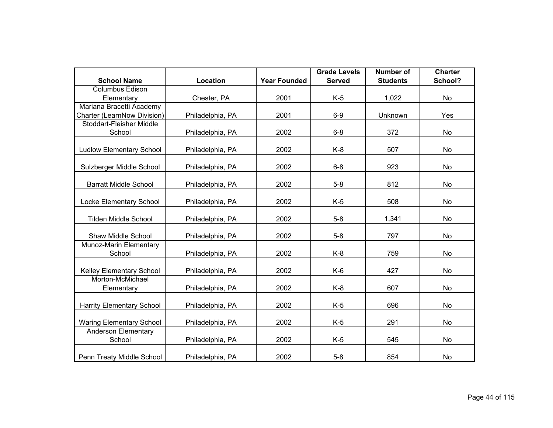|                                 |                  |                     | <b>Grade Levels</b> | <b>Number of</b> | <b>Charter</b> |
|---------------------------------|------------------|---------------------|---------------------|------------------|----------------|
| <b>School Name</b>              | Location         | <b>Year Founded</b> | <b>Served</b>       | <b>Students</b>  | School?        |
| <b>Columbus Edison</b>          |                  |                     |                     |                  |                |
| Elementary                      | Chester, PA      | 2001                | $K-5$               | 1,022            | No             |
| Mariana Bracetti Academy        |                  |                     |                     |                  |                |
| Charter (LearnNow Division)     | Philadelphia, PA | 2001                | $6-9$               | Unknown          | Yes            |
| Stoddart-Fleisher Middle        |                  |                     |                     |                  |                |
| School                          | Philadelphia, PA | 2002                | $6 - 8$             | 372              | No             |
|                                 |                  | 2002                | $K-8$               | 507              |                |
| <b>Ludlow Elementary School</b> | Philadelphia, PA |                     |                     |                  | No             |
| Sulzberger Middle School        | Philadelphia, PA | 2002                | $6 - 8$             | 923              | No             |
|                                 |                  |                     |                     |                  |                |
| <b>Barratt Middle School</b>    | Philadelphia, PA | 2002                | $5 - 8$             | 812              | No             |
|                                 |                  |                     |                     |                  |                |
| Locke Elementary School         | Philadelphia, PA | 2002                | $K-5$               | 508              | No             |
| <b>Tilden Middle School</b>     | Philadelphia, PA | 2002                | $5 - 8$             | 1,341            | No             |
| Shaw Middle School              | Philadelphia, PA | 2002                | $5-8$               | 797              | No             |
| Munoz-Marin Elementary          |                  |                     |                     |                  |                |
| School                          | Philadelphia, PA | 2002                | $K-8$               | 759              | No             |
| Kelley Elementary School        | Philadelphia, PA | 2002                | $K-6$               | 427              | No             |
| Morton-McMichael                |                  |                     |                     |                  |                |
| Elementary                      | Philadelphia, PA | 2002                | $K-8$               | 607              | No             |
| Harrity Elementary School       | Philadelphia, PA | 2002                | $K-5$               | 696              | No             |
|                                 |                  |                     |                     |                  |                |
| <b>Waring Elementary School</b> | Philadelphia, PA | 2002                | $K-5$               | 291              | No             |
| <b>Anderson Elementary</b>      |                  |                     |                     |                  |                |
| School                          | Philadelphia, PA | 2002                | $K-5$               | 545              | No             |
| Penn Treaty Middle School       | Philadelphia, PA | 2002                | $5-8$               | 854              | No             |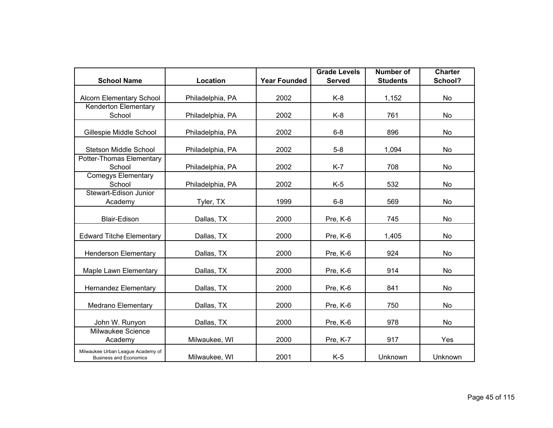|                                                                    |                  |                     | <b>Grade Levels</b> | <b>Number of</b> | <b>Charter</b> |
|--------------------------------------------------------------------|------------------|---------------------|---------------------|------------------|----------------|
| <b>School Name</b>                                                 | Location         | <b>Year Founded</b> | <b>Served</b>       | <b>Students</b>  | School?        |
| <b>Alcorn Elementary School</b>                                    | Philadelphia, PA |                     | $K-8$               | 1,152            | <b>No</b>      |
| Kenderton Elementary<br>School                                     | Philadelphia, PA | 2002                | $K-8$               | 761              | No             |
| Gillespie Middle School                                            | Philadelphia, PA | 2002                | $6 - 8$             | 896              | No             |
| Stetson Middle School                                              | Philadelphia, PA | 2002                | $5-8$               | 1,094            | No             |
| Potter-Thomas Elementary<br>School                                 | Philadelphia, PA | 2002                | $K-7$               | 708              | No             |
| Comegys Elementary<br>School                                       | Philadelphia, PA | 2002                | $K-5$               | 532              | No             |
| Stewart-Edison Junior<br>Academy                                   | Tyler, TX        | 1999                | $6 - 8$             | 569              | No             |
| <b>Blair-Edison</b>                                                | Dallas, TX       | 2000                | Pre, K-6            | 745              | No             |
| <b>Edward Titche Elementary</b>                                    | Dallas, TX       | 2000                | Pre, K-6            | 1,405            | No             |
| <b>Henderson Elementary</b>                                        | Dallas, TX       | 2000                | Pre, K-6            | 924              | No             |
| Maple Lawn Elementary                                              | Dallas, TX       | 2000                | Pre, K-6            | 914              | No             |
| <b>Hernandez Elementary</b>                                        | Dallas, TX       | 2000                | Pre, K-6            | 841              | No             |
| <b>Medrano Elementary</b>                                          | Dallas, TX       | 2000                | Pre, K-6            | 750              | No             |
| John W. Runyon                                                     | Dallas, TX       | 2000                | Pre, K-6            | 978              | No             |
| Milwaukee Science<br>Academy                                       | Milwaukee, WI    | 2000                | Pre, K-7            | 917              | Yes            |
| Milwaukee Urban League Academy of<br><b>Business and Economics</b> | Milwaukee, WI    | 2001                | $K-5$               | Unknown          | Unknown        |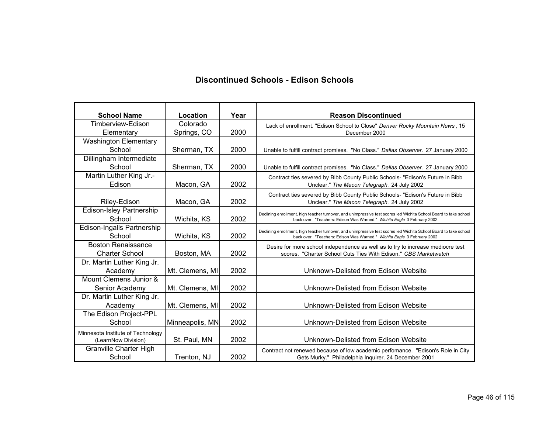#### **Discontinued Schools - Edison Schools**

| <b>School Name</b>                | Location        | Year | <b>Reason Discontinued</b>                                                                                        |
|-----------------------------------|-----------------|------|-------------------------------------------------------------------------------------------------------------------|
| Timberview-Edison                 | Colorado        |      |                                                                                                                   |
| Elementary                        | Springs, CO     | 2000 | Lack of enrollment. "Edison School to Close" Denver Rocky Mountain News, 15<br>December 2000                      |
| <b>Washington Elementary</b>      |                 |      |                                                                                                                   |
| School                            | Sherman, TX     | 2000 |                                                                                                                   |
| Dillingham Intermediate           |                 |      | Unable to fulfill contract promises. "No Class." Dallas Observer. 27 January 2000                                 |
| School                            | Sherman, TX     | 2000 |                                                                                                                   |
| Martin Luther King Jr.-           |                 |      | Unable to fulfill contract promises. "No Class." Dallas Observer. 27 January 2000                                 |
| Edison                            |                 | 2002 | Contract ties severed by Bibb County Public Schools- "Edison's Future in Bibb                                     |
|                                   | Macon, GA       |      | Unclear." The Macon Telegraph. 24 July 2002                                                                       |
|                                   |                 | 2002 | Contract ties severed by Bibb County Public Schools- "Edison's Future in Bibb                                     |
| Riley-Edison                      | Macon, GA       |      | Unclear." The Macon Telegraph. 24 July 2002                                                                       |
| <b>Edison-Isley Partnership</b>   |                 |      | Declining enrollment, high teacher turnover, and unimpressive test scores led Wichita School Board to take school |
| School                            | Wichita, KS     | 2002 | back over. "Teachers: Edison Was Warned." Wichita Eagle 3 February 2002                                           |
| Edison-Ingalls Partnership        |                 |      | Declining enrollment, high teacher turnover, and unimpressive test scores led Wichita School Board to take school |
| School                            | Wichita, KS     | 2002 | back over. "Teachers: Edison Was Warned." Wichita Eagle 3 February 2002                                           |
| <b>Boston Renaissance</b>         |                 |      | Desire for more school independence as well as to try to increase mediocre test                                   |
| <b>Charter School</b>             | Boston, MA      | 2002 | scores. "Charter School Cuts Ties With Edison." CBS Marketwatch                                                   |
| Dr. Martin Luther King Jr.        |                 |      |                                                                                                                   |
| Academy                           | Mt. Clemens, MI | 2002 | Unknown-Delisted from Edison Website                                                                              |
| Mount Clemens Junior &            |                 |      |                                                                                                                   |
| Senior Academy                    | Mt. Clemens, MI | 2002 | Unknown-Delisted from Edison Website                                                                              |
| Dr. Martin Luther King Jr.        |                 |      |                                                                                                                   |
| Academy                           | Mt. Clemens, MI | 2002 | Unknown-Delisted from Edison Website                                                                              |
| The Edison Project-PPL            |                 |      |                                                                                                                   |
| School                            | Minneapolis, MN | 2002 | Unknown-Delisted from Edison Website                                                                              |
| Minnesota Institute of Technology |                 |      |                                                                                                                   |
| (LearnNow Division)               | St. Paul, MN    | 2002 | Unknown-Delisted from Edison Website                                                                              |
| Granville Charter High            |                 |      | Contract not renewed because of low academic perfomance. "Edison's Role in City                                   |
| School                            | Trenton, NJ     | 2002 | Gets Murky." Philadelphia Inquirer. 24 December 2001                                                              |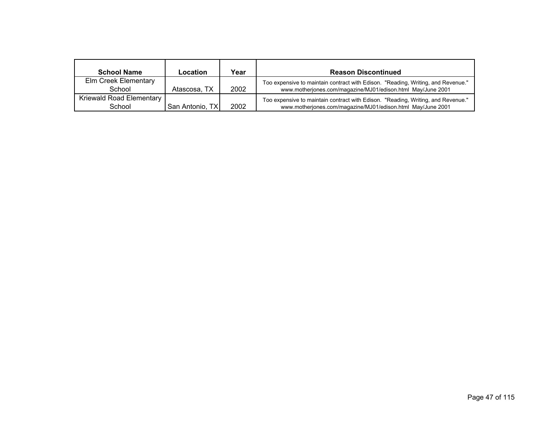| <b>School Name</b>                 | Location        | Year | <b>Reason Discontinued</b>                                                                                                                      |
|------------------------------------|-----------------|------|-------------------------------------------------------------------------------------------------------------------------------------------------|
| Elm Creek Elementary<br>School     | Atascosa, TX    | 2002 | Too expensive to maintain contract with Edison. "Reading, Writing, and Revenue."<br>www.motherjones.com/magazine/MJ01/edison.html May/June 2001 |
| Kriewald Road Elementary<br>School | San Antonio, TX | 2002 | Too expensive to maintain contract with Edison. "Reading, Writing, and Revenue."<br>www.motherjones.com/magazine/MJ01/edison.html May/June 2001 |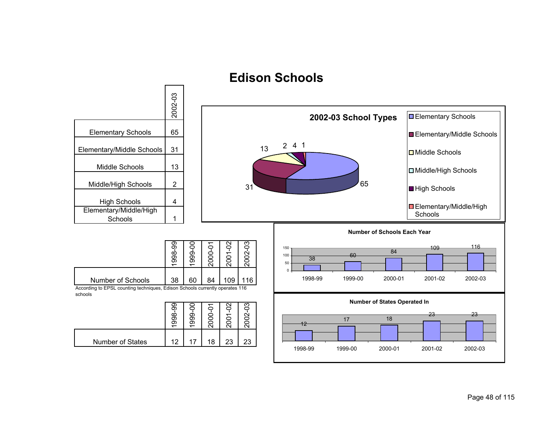### **Edison Schools**

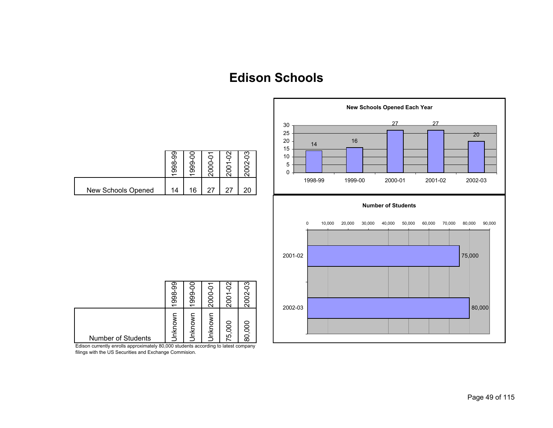# **Edison Schools**



Edison currently enrolls approximately 80,000 students according to latest company filings with the US Securities and Exchange Commision.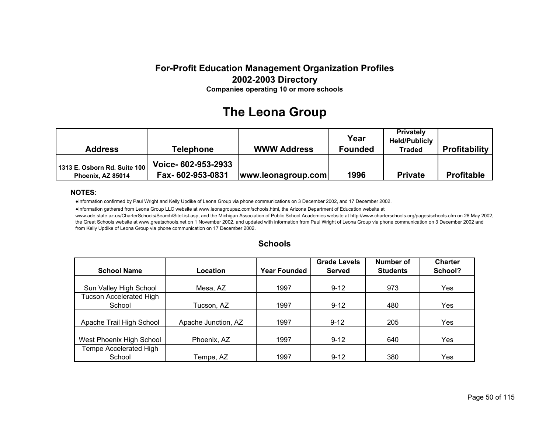### **The Leona Group**

| Address                                           | <b>Telephone</b>                        | <b>WWW Address</b> | Year<br><b>Founded</b> | <b>Privately</b><br><b>Held/Publicly</b><br><b>Traded</b> | <b>Profitability</b> |
|---------------------------------------------------|-----------------------------------------|--------------------|------------------------|-----------------------------------------------------------|----------------------|
| 1313 E. Osborn Rd. Suite 100<br>Phoenix. AZ 85014 | Voice- 602-953-2933<br>Fax-602-953-0831 | www.leonagroup.com | 1996                   | <b>Private</b>                                            | <b>Profitable</b>    |

#### **NOTES:**

●Information confirmed by Paul Wright and Kelly Updike of Leona Group via phone communications on 3 December 2002, and 17 December 2002.

●Information gathered from Leona Group LLC website at www.leonagroupaz.com/schools.html, the Arizona Department of Education website at www.ade.state.az.us/CharterSchools/Search/SiteList.asp, and the Michigan Association of Public School Academies website at http://www.charterschools.org/pages/schools.cfm on 28 May 2002, the Great Schools website at www.greatschools.net on 1 November 2002, and updated with information from Paul Wright of Leona Group via phone communication on 3 December 2002 and from Kelly Updike of Leona Group via phone communication on 17 December 2002.

|                          |                     |                     | <b>Grade Levels</b> | <b>Number of</b> | <b>Charter</b> |
|--------------------------|---------------------|---------------------|---------------------|------------------|----------------|
| <b>School Name</b>       | Location            | <b>Year Founded</b> | Served              | <b>Students</b>  | School?        |
|                          |                     |                     |                     |                  |                |
| Sun Valley High School   | Mesa, AZ            | 1997                | $9 - 12$            | 973              | Yes            |
| Tucson Accelerated High  |                     |                     |                     |                  |                |
| School                   | Tucson, AZ          | 1997                | $9 - 12$            | 480              | Yes.           |
|                          |                     |                     |                     |                  |                |
| Apache Trail High School | Apache Junction, AZ | 1997                | $9 - 12$            | 205              | Yes.           |
|                          |                     |                     |                     |                  |                |
| West Phoenix High School | Phoenix, AZ         | 1997                | $9 - 12$            | 640              | Yes            |
| Tempe Accelerated High   |                     |                     |                     |                  |                |
| School                   | Tempe, AZ           | 1997                | $9 - 12$            | 380              | Yes            |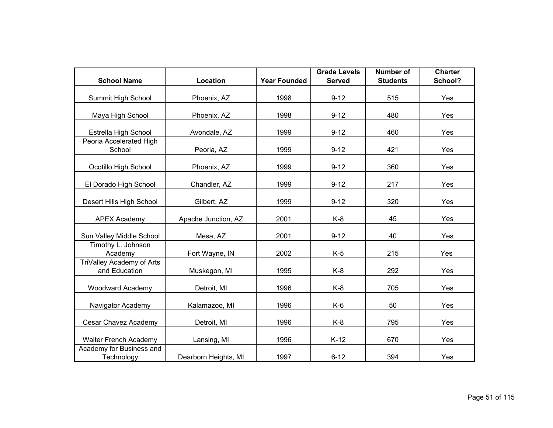|                                            |                      |                     | <b>Grade Levels</b> | <b>Number of</b> | <b>Charter</b> |
|--------------------------------------------|----------------------|---------------------|---------------------|------------------|----------------|
| <b>School Name</b>                         | Location             | <b>Year Founded</b> | <b>Served</b>       | <b>Students</b>  | School?        |
| Summit High School                         | Phoenix, AZ          | 1998                | $9 - 12$            | 515              | Yes            |
| Maya High School                           | Phoenix, AZ          | 1998                | $9 - 12$            | 480              | Yes            |
| Estrella High School                       | Avondale, AZ         | 1999                | $9 - 12$            | 460              | Yes            |
| Peoria Accelerated High<br>School          | Peoria, AZ           | 1999                | $9 - 12$            | 421              | Yes            |
| Ocotillo High School                       | Phoenix, AZ          | 1999                | $9 - 12$            | 360              | Yes            |
| El Dorado High School                      | Chandler, AZ         | 1999                | $9 - 12$            | 217              | Yes            |
| Desert Hills High School                   | Gilbert, AZ          | 1999                | $9 - 12$            | 320              | Yes            |
| <b>APEX Academy</b>                        | Apache Junction, AZ  | 2001                | $K-8$               | 45               | Yes            |
| Sun Valley Middle School                   | Mesa, AZ             | 2001                | $9 - 12$            | 40               | Yes            |
| Timothy L. Johnson<br>Academy              | Fort Wayne, IN       | 2002                | $K-5$               | 215              | Yes            |
| TriValley Academy of Arts<br>and Education | Muskegon, MI         | 1995                | $K-8$               | 292              | Yes            |
| <b>Woodward Academy</b>                    | Detroit, MI          | 1996                | $K-8$               | 705              | Yes            |
| Navigator Academy                          | Kalamazoo, MI        | 1996                | $K-6$               | 50               | Yes            |
| Cesar Chavez Academy                       | Detroit, MI          | 1996                | $K-8$               | 795              | Yes            |
| <b>Walter French Academy</b>               | Lansing, MI          | 1996                | $K-12$              | 670              | Yes            |
| Academy for Business and<br>Technology     | Dearborn Heights, MI | 1997                | $6 - 12$            | 394              | Yes            |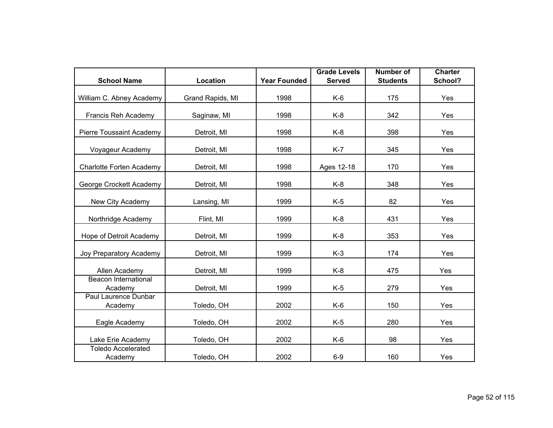|                                      |                  |                     | <b>Grade Levels</b> | <b>Number of</b> | <b>Charter</b> |
|--------------------------------------|------------------|---------------------|---------------------|------------------|----------------|
| <b>School Name</b>                   | <b>Location</b>  | <b>Year Founded</b> | <b>Served</b>       | <b>Students</b>  | School?        |
| William C. Abney Academy             | Grand Rapids, MI | 1998                | $K-6$               | 175              | Yes            |
| Francis Reh Academy                  | Saginaw, MI      | 1998                | $K-8$               | 342              | Yes            |
| Pierre Toussaint Academy             | Detroit, MI      | 1998                | $K-8$               | 398              | Yes            |
| Voyageur Academy                     | Detroit, MI      | 1998                | $K-7$               | 345              | Yes            |
| Charlotte Forten Academy             | Detroit, MI      | 1998                | Ages 12-18          | 170              | Yes            |
| George Crockett Academy              | Detroit, MI      | 1998                | $K-8$               | 348              | Yes            |
| New City Academy                     | Lansing, MI      | 1999                | $K-5$               | 82               | Yes            |
| Northridge Academy                   | Flint, MI        | 1999                | $K-8$               | 431              | Yes            |
| Hope of Detroit Academy              | Detroit, MI      | 1999                | $K-8$               | 353              | Yes            |
| Joy Preparatory Academy              | Detroit, MI      | 1999                | $K-3$               | 174              | Yes            |
| Allen Academy                        | Detroit, MI      | 1999                | $K-8$               | 475              | Yes            |
| Beacon International<br>Academy      | Detroit, MI      | 1999                | $K-5$               | 279              | Yes            |
| Paul Laurence Dunbar<br>Academy      | Toledo, OH       | 2002                | $K-6$               | 150              | Yes            |
| Eagle Academy                        | Toledo, OH       | 2002                | $K-5$               | 280              | Yes            |
| Lake Erie Academy                    | Toledo, OH       | 2002                | $K-6$               | 98               | Yes            |
| <b>Toledo Accelerated</b><br>Academy | Toledo, OH       | 2002                | $6-9$               | 160              | Yes            |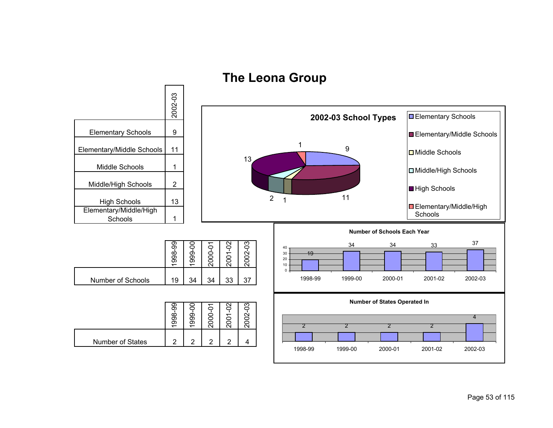

# **The Leona Group**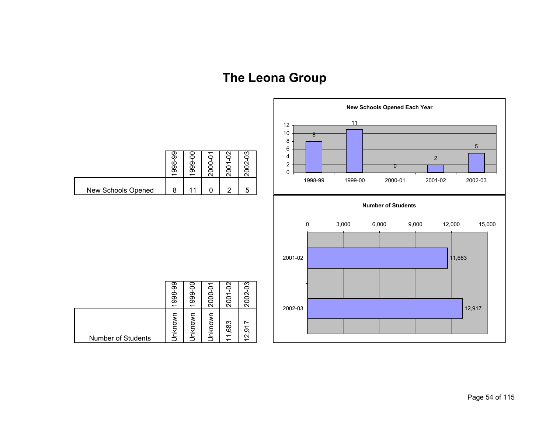# **The Leona Group**

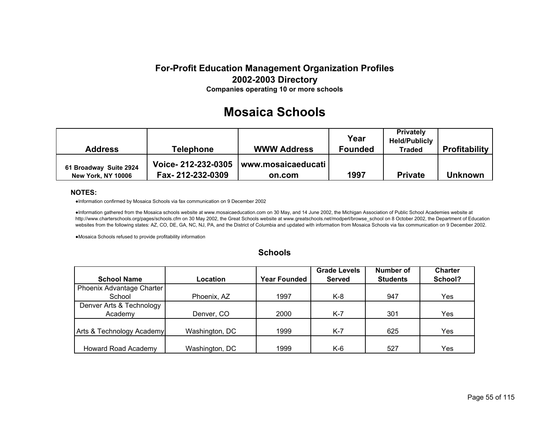### **Mosaica Schools**

| <b>Address</b>                                      | <b>Telephone</b>                       | <b>WWW Address</b>             | Year<br><b>Founded</b> | <b>Privately</b><br><b>Held/Publicly</b><br><b>Traded</b> | <b>Profitability</b> |
|-----------------------------------------------------|----------------------------------------|--------------------------------|------------------------|-----------------------------------------------------------|----------------------|
| 61 Broadway Suite 2924<br><b>New York, NY 10006</b> | Voice-212-232-0305<br>Fax-212-232-0309 | l www.mosaicaeducati<br>on.com | 1997                   | <b>Private</b>                                            | <b>Unknown</b>       |

#### **NOTES:**

●Information confirmed by Mosaica Schools via fax communication on 9 December 2002

●Information gathered from the Mosaica schools website at www.mosaicaeducation.com on 30 May, and 14 June 2002, the Michigan Association of Public School Academies website at http://www.charterschools.org/pages/schools.cfm on 30 May 2002, the Great Schools website at www.greatschools.net/modperl/browse\_school on 8 October 2002, the Department of Education websites from the following states: AZ, CO, DE, GA, NC, NJ, PA, and the District of Columbia and updated with information from Mosaica Schools via fax communication on 9 December 2002.

●Mosaica Schools refused to provide profitability information

|                           |                |                     | <b>Grade Levels</b> | Number of       | <b>Charter</b> |
|---------------------------|----------------|---------------------|---------------------|-----------------|----------------|
| <b>School Name</b>        | Location       | <b>Year Founded</b> | <b>Served</b>       | <b>Students</b> | School?        |
| Phoenix Advantage Charter |                |                     |                     |                 |                |
| School                    | Phoenix, AZ    | 1997                | K-8                 | 947             | Yes            |
| Denver Arts & Technology  |                |                     |                     |                 |                |
| Academy                   | Denver, CO     | 2000                | $K-7$               | 301             | Yes            |
|                           |                |                     |                     |                 |                |
| Arts & Technology Academy | Washington, DC | 1999                | $K-7$               | 625             | Yes            |
|                           |                |                     |                     |                 |                |
| Howard Road Academy       | Washington, DC | 1999                | K-6                 | 527             | Yes            |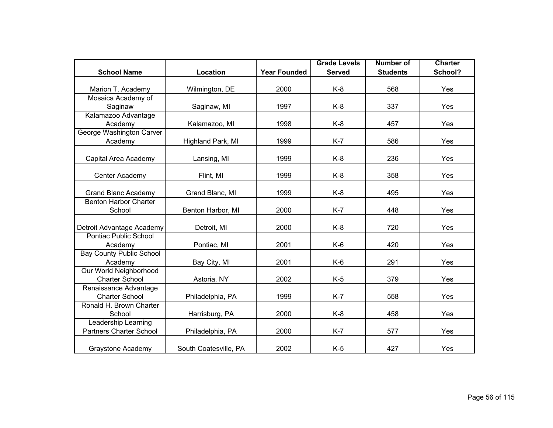|                                                       |                       |                     | <b>Grade Levels</b> | <b>Number of</b> | <b>Charter</b> |
|-------------------------------------------------------|-----------------------|---------------------|---------------------|------------------|----------------|
| <b>School Name</b>                                    | Location              | <b>Year Founded</b> | <b>Served</b>       | <b>Students</b>  | School?        |
| Marion T. Academy                                     | Wilmington, DE        | 2000                | $K-8$               | 568              | Yes            |
| Mosaica Academy of<br>Saginaw                         | Saginaw, MI           | 1997                | $K-8$               | 337              | Yes            |
| Kalamazoo Advantage<br>Academy                        | Kalamazoo, MI         | 1998                | $K-8$               | 457              | Yes            |
| George Washington Carver<br>Academy                   | Highland Park, MI     | 1999                | $K-7$               | 586              | Yes            |
| Capital Area Academy                                  | Lansing, MI           | 1999                | $K-8$               | 236              | Yes            |
| Center Academy                                        | Flint, MI             | 1999                | $K-8$               | 358              | Yes            |
| <b>Grand Blanc Academy</b>                            | Grand Blanc, MI       | 1999                | $K-8$               | 495              | Yes            |
| <b>Benton Harbor Charter</b><br>School                | Benton Harbor, MI     | 2000                | $K-7$               | 448              | Yes            |
| Detroit Advantage Academy                             | Detroit, MI           | 2000                | $K-8$               | 720              | Yes            |
| Pontiac Public School<br>Academy                      | Pontiac, MI           | 2001                | $K-6$               | 420              | Yes            |
| <b>Bay County Public School</b><br>Academy            | Bay City, MI          | 2001                | $K-6$               | 291              | Yes            |
| Our World Neighborhood<br><b>Charter School</b>       | Astoria, NY           | 2002                | $K-5$               | 379              | Yes            |
| Renaissance Advantage<br><b>Charter School</b>        | Philadelphia, PA      | 1999                | $K-7$               | 558              | Yes            |
| Ronald H. Brown Charter<br>School                     | Harrisburg, PA        | 2000                | $K-8$               | 458              | Yes            |
| Leadership Learning<br><b>Partners Charter School</b> | Philadelphia, PA      | 2000                | $K-7$               | 577              | Yes            |
| Graystone Academy                                     | South Coatesville, PA | 2002                | $K-5$               | 427              | Yes            |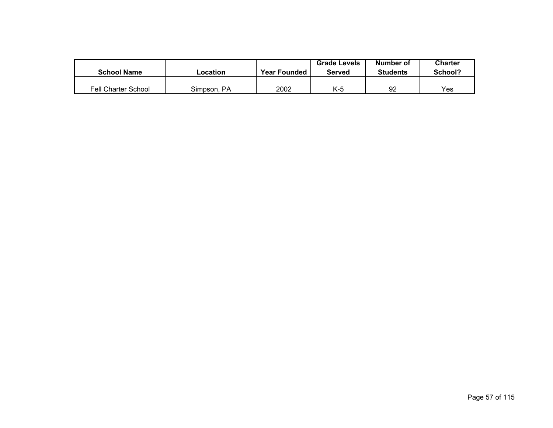| <b>School Name</b>  | ∟ocation    | <b>Year Founded</b> | <b>Grade Levels</b><br>Served | Number of<br><b>Students</b> | Charter<br>School? |
|---------------------|-------------|---------------------|-------------------------------|------------------------------|--------------------|
| Fell Charter School | Simpson, PA | 2002                | K-5                           | 92                           | Yes                |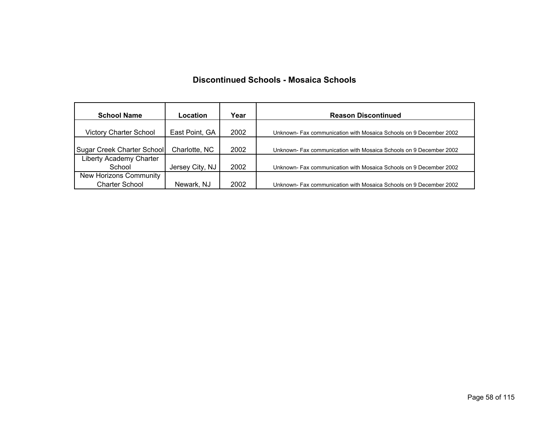#### **Discontinued Schools - Mosaica Schools**

| <b>School Name</b>                              | Location        | Year | <b>Reason Discontinued</b>                                         |
|-------------------------------------------------|-----------------|------|--------------------------------------------------------------------|
| <b>Victory Charter School</b>                   | East Point, GA  | 2002 | Unknown- Fax communication with Mosaica Schools on 9 December 2002 |
| Sugar Creek Charter School                      | Charlotte, NC   | 2002 | Unknown- Fax communication with Mosaica Schools on 9 December 2002 |
| Liberty Academy Charter<br>School               | Jersey City, NJ | 2002 | Unknown- Fax communication with Mosaica Schools on 9 December 2002 |
| New Horizons Community<br><b>Charter School</b> | Newark, NJ      | 2002 | Unknown- Fax communication with Mosaica Schools on 9 December 2002 |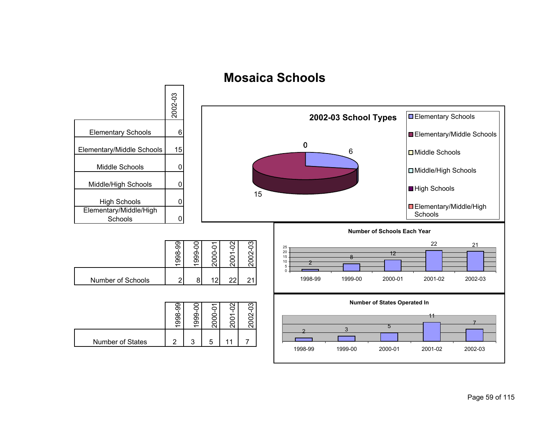

## **Mosaica Schools**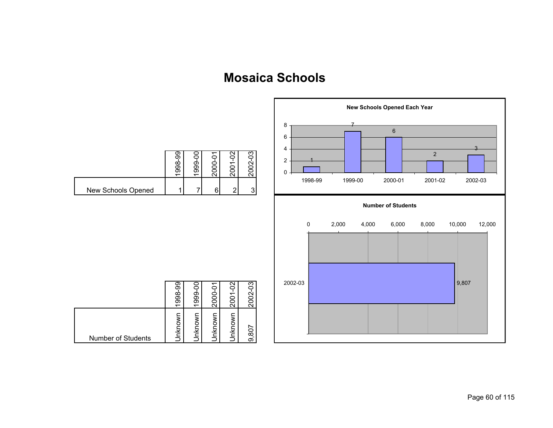# **Mosaica Schools**

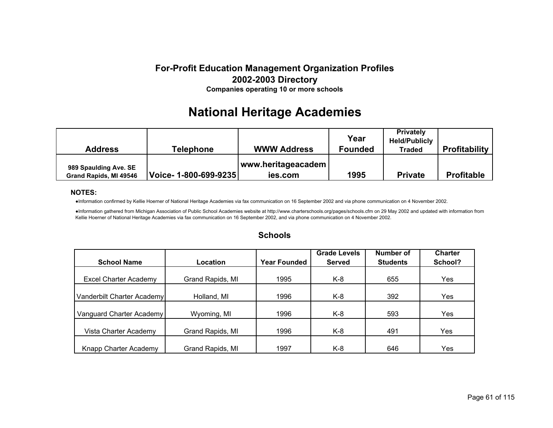# **National Heritage Academies**

| <b>Address</b>                                  | <b>Telephone</b>      | <b>WWW Address</b>            | Year<br><b>Founded</b> | <b>Privately</b><br><b>Held/Publicly</b><br><b>Traded</b> | <b>Profitability</b> |
|-------------------------------------------------|-----------------------|-------------------------------|------------------------|-----------------------------------------------------------|----------------------|
| 989 Spaulding Ave. SE<br>Grand Rapids, MI 49546 | Voice- 1-800-699-9235 | www.heritageacadem<br>ies.com | 1995                   | <b>Private</b>                                            | <b>Profitable</b>    |

#### **NOTES:**

●Information confirmed by Kellie Hoerner of National Heritage Academies via fax communication on 16 September 2002 and via phone communication on 4 November 2002.

●Information gathered from Michigan Association of Public School Academies website at http://www.charterschools.org/pages/schools.cfm on 29 May 2002 and updated with information from Kellie Hoerner of National Heritage Academies via fax communication on 16 September 2002, and via phone communication on 4 November 2002.

|                            |                  |                     | <b>Grade Levels</b> | <b>Number of</b> | <b>Charter</b> |
|----------------------------|------------------|---------------------|---------------------|------------------|----------------|
| <b>School Name</b>         | Location         | <b>Year Founded</b> | <b>Served</b>       | <b>Students</b>  | School?        |
|                            |                  |                     |                     |                  |                |
| Excel Charter Academy      | Grand Rapids, MI | 1995                | K-8                 | 655              | Yes            |
|                            |                  |                     |                     |                  |                |
| Vanderbilt Charter Academy | Holland, MI      | 1996                | K-8                 | 392              | Yes.           |
|                            |                  |                     |                     |                  |                |
| Vanguard Charter Academy   | Wyoming, MI      | 1996                | K-8                 | 593              | Yes            |
|                            |                  |                     |                     |                  |                |
| Vista Charter Academy      | Grand Rapids, MI | 1996                | K-8                 | 491              | Yes.           |
|                            |                  |                     |                     |                  |                |
| Knapp Charter Academy      | Grand Rapids, MI | 1997                | K-8                 | 646              | Yes            |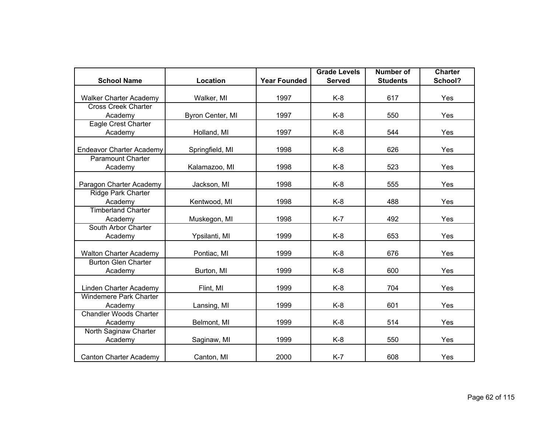|                                 |                  |                     | <b>Grade Levels</b> | <b>Number of</b> | <b>Charter</b> |
|---------------------------------|------------------|---------------------|---------------------|------------------|----------------|
| <b>School Name</b>              | Location         | <b>Year Founded</b> | <b>Served</b>       | <b>Students</b>  | School?        |
| <b>Walker Charter Academy</b>   | Walker, MI       | 1997                | $K-8$               | 617              | Yes            |
| <b>Cross Creek Charter</b>      |                  |                     |                     |                  |                |
| Academy                         | Byron Center, MI | 1997                | K-8                 | 550              | Yes            |
| Eagle Crest Charter             |                  |                     |                     |                  |                |
| Academy                         | Holland, MI      | 1997                | $K-8$               | 544              | Yes            |
| <b>Endeavor Charter Academy</b> | Springfield, MI  | 1998                | $K-8$               | 626              | Yes            |
| <b>Paramount Charter</b>        |                  |                     |                     |                  |                |
| Academy                         | Kalamazoo, MI    | 1998                | $K-8$               | 523              | Yes            |
| Paragon Charter Academy         | Jackson, MI      | 1998                | $K-8$               | 555              | Yes            |
| <b>Ridge Park Charter</b>       |                  |                     |                     |                  |                |
| Academy                         | Kentwood, MI     | 1998                | $K-8$               | 488              | Yes            |
| <b>Timberland Charter</b>       |                  |                     |                     |                  |                |
| Academy                         | Muskegon, MI     | 1998                | $K-7$               | 492              | Yes            |
| South Arbor Charter             |                  |                     |                     |                  |                |
| Academy                         | Ypsilanti, MI    | 1999                | $K-8$               | 653              | Yes            |
| <b>Walton Charter Academy</b>   | Pontiac, MI      | 1999                | $K-8$               | 676              | Yes            |
| <b>Burton Glen Charter</b>      |                  |                     |                     |                  |                |
| Academy                         | Burton, MI       | 1999                | $K-8$               | 600              | Yes            |
| Linden Charter Academy          | Flint, MI        | 1999                | $K-8$               | 704              | Yes            |
| <b>Windemere Park Charter</b>   |                  |                     |                     |                  |                |
| Academy                         | Lansing, MI      | 1999                | $K-8$               | 601              | Yes            |
| <b>Chandler Woods Charter</b>   |                  |                     |                     |                  |                |
| Academy                         | Belmont, MI      | 1999                | $K-8$               | 514              | Yes            |
| North Saginaw Charter           |                  |                     |                     |                  |                |
| Academy                         | Saginaw, MI      | 1999                | K-8                 | 550              | Yes            |
| <b>Canton Charter Academy</b>   | Canton, MI       | 2000                | $K-7$               | 608              | Yes            |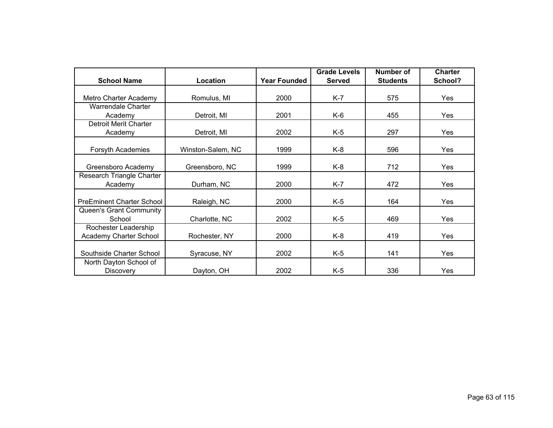|                                  |                   |                     | <b>Grade Levels</b> | Number of       | <b>Charter</b> |
|----------------------------------|-------------------|---------------------|---------------------|-----------------|----------------|
| <b>School Name</b>               | Location          | <b>Year Founded</b> | <b>Served</b>       | <b>Students</b> | School?        |
|                                  |                   |                     |                     |                 |                |
| Metro Charter Academy            | Romulus, MI       | 2000                | K-7                 | 575             | Yes            |
| Warrendale Charter               |                   |                     |                     |                 |                |
| Academy                          | Detroit, MI       | 2001                | K-6                 | 455             | Yes            |
| Detroit Merit Charter            |                   |                     |                     |                 |                |
| Academy                          | Detroit, MI       | 2002                | $K-5$               | 297             | Yes            |
|                                  |                   |                     |                     |                 |                |
| Forsyth Academies                | Winston-Salem, NC | 1999                | K-8                 | 596             | Yes            |
|                                  |                   |                     |                     |                 |                |
| Greensboro Academy               | Greensboro, NC    | 1999                | K-8                 | 712             | Yes            |
| Research Triangle Charter        |                   |                     |                     |                 |                |
| Academy                          | Durham, NC        | 2000                | $K-7$               | 472             | Yes            |
|                                  |                   |                     |                     |                 |                |
| <b>PreEminent Charter School</b> | Raleigh, NC       | 2000                | $K-5$               | 164             | Yes            |
| Queen's Grant Community          |                   |                     |                     |                 |                |
| School                           | Charlotte, NC     | 2002                | $K-5$               | 469             | Yes            |
| Rochester Leadership             |                   |                     |                     |                 |                |
| Academy Charter School           | Rochester, NY     | 2000                | K-8                 | 419             | Yes            |
|                                  |                   |                     |                     |                 |                |
| Southside Charter School         | Syracuse, NY      | 2002                | $K-5$               | 141             | Yes            |
| North Dayton School of           |                   |                     |                     |                 |                |
| <b>Discovery</b>                 | Dayton, OH        | 2002                | $K-5$               | 336             | Yes            |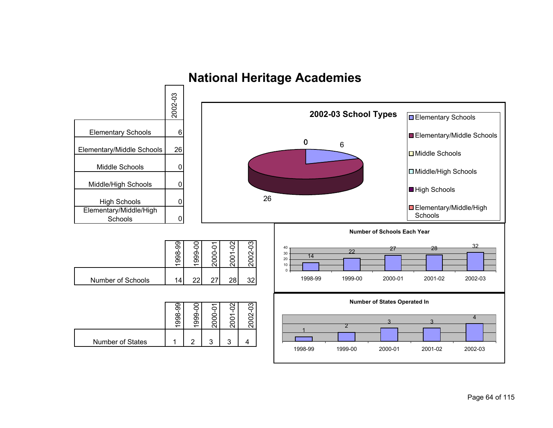

# **National Heritage Academies**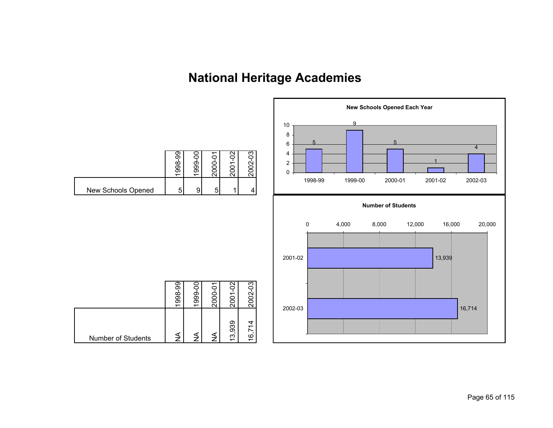# **National Heritage Academies**

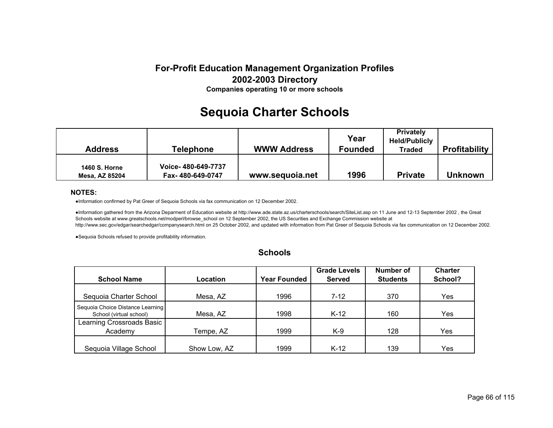# **Sequoia Charter Schools**

| <b>Address</b>                         | <b>Telephone</b>                       | <b>WWW Address</b> | Year<br><b>Founded</b> | <b>Privately</b><br><b>Held/Publicly</b><br><b>Traded</b> | <b>Profitability</b> |
|----------------------------------------|----------------------------------------|--------------------|------------------------|-----------------------------------------------------------|----------------------|
| <b>1460 S. Horne</b><br>Mesa, AZ 85204 | Voice-480-649-7737<br>Fax-480-649-0747 | www.sequoia.net    | 1996                   | <b>Private</b>                                            | <b>Unknown</b>       |

#### **NOTES:**

●Information confirmed by Pat Greer of Sequoia Schools via fax communication on 12 December 2002.

●Information gathered from the Arizona Deparment of Education website at http://www.ade.state.az.us/charterschools/search/SiteList.asp on 11 June and 12-13 September 2002 , the Great Schools website at www.greatschools.net/modperl/browse\_school on 12 September 2002, the US Securities and Exchange Commission website at http://www.sec.gov/edgar/searchedgar/companysearch.html on 25 October 2002, and updated with information from Pat Greer of Sequoia Schools via fax communication on 12 December 2002.

●Sequoia Schools refused to provide profitability information.

|                                                             |              |                     | <b>Grade Levels</b> | Number of       | <b>Charter</b> |
|-------------------------------------------------------------|--------------|---------------------|---------------------|-----------------|----------------|
| <b>School Name</b>                                          | Location     | <b>Year Founded</b> | <b>Served</b>       | <b>Students</b> | School?        |
|                                                             |              |                     |                     |                 |                |
| Sequoia Charter School                                      | Mesa, AZ     | 1996                | $7 - 12$            | 370             | Yes            |
| Sequoia Choice Distance Learning<br>School (virtual school) | Mesa, AZ     | 1998                | $K-12$              | 160             | Yes            |
| Learning Crossroads Basic                                   |              |                     |                     |                 |                |
| Academy                                                     | Tempe, AZ    | 1999                | K-9                 | 128             | Yes            |
|                                                             |              |                     |                     |                 |                |
| Sequoia Village School                                      | Show Low, AZ | 1999                | $K-12$              | 139             | Yes            |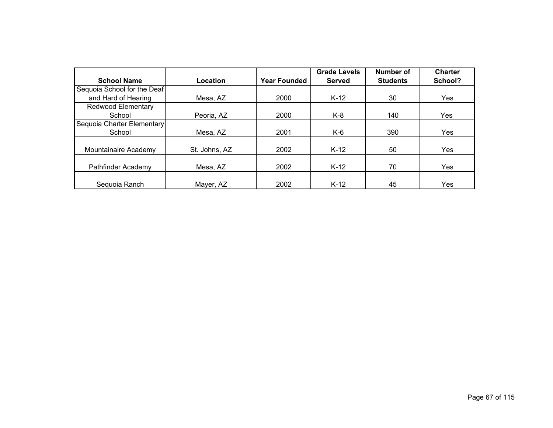|                             |               |                     | <b>Grade Levels</b> | Number of       | <b>Charter</b> |
|-----------------------------|---------------|---------------------|---------------------|-----------------|----------------|
| <b>School Name</b>          | Location      | <b>Year Founded</b> | <b>Served</b>       | <b>Students</b> | School?        |
| Sequoia School for the Deaf |               |                     |                     |                 |                |
| and Hard of Hearing         | Mesa, AZ      | 2000                | $K-12$              | 30              | Yes            |
| Redwood Elementary          |               |                     |                     |                 |                |
| School                      | Peoria, AZ    | 2000                | K-8                 | 140             | Yes            |
| Sequoia Charter Elementary  |               |                     |                     |                 |                |
| School                      | Mesa, AZ      | 2001                | K-6                 | 390             | Yes            |
|                             |               |                     |                     |                 |                |
| Mountainaire Academy        | St. Johns, AZ | 2002                | $K-12$              | 50              | Yes            |
|                             |               |                     |                     |                 |                |
| Pathfinder Academy          | Mesa, AZ      | 2002                | $K-12$              | 70              | Yes            |
|                             |               |                     |                     |                 |                |
| Sequoia Ranch               | Mayer, AZ     | 2002                | $K-12$              | 45              | Yes            |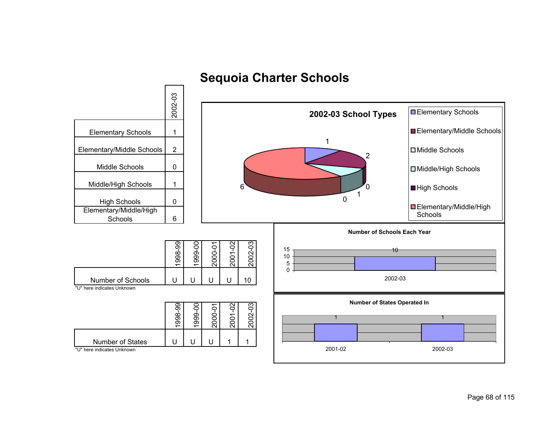

## **Sequoia Charter Schools**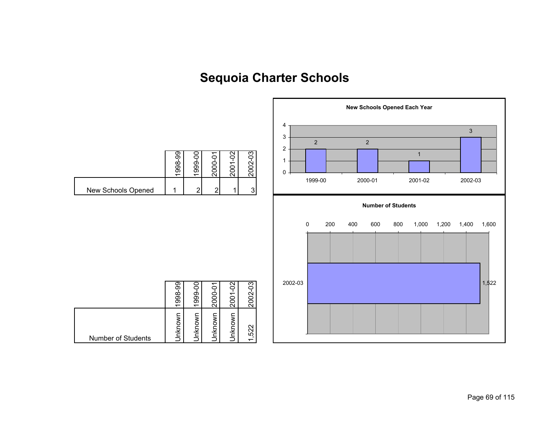# **Sequoia Charter Schools**

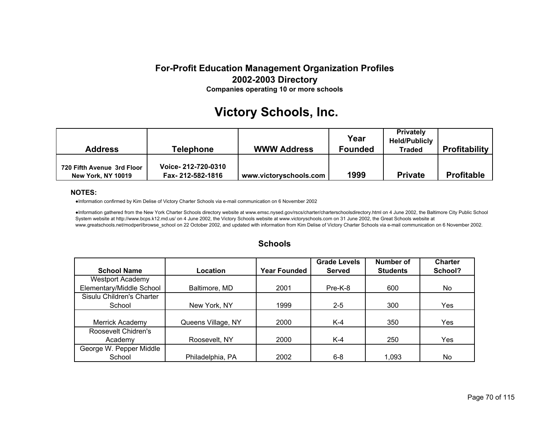# **Victory Schools, Inc.**

| Address                                                 | <b>Telephone</b>                       | <b>WWW Address</b>     | Year<br><b>Founded</b> | <b>Privately</b><br><b>Held/Publicly</b><br><b>Traded</b> | <b>Profitability</b> |
|---------------------------------------------------------|----------------------------------------|------------------------|------------------------|-----------------------------------------------------------|----------------------|
| 720 Fifth Avenue 3rd Floor<br><b>New York, NY 10019</b> | Voice-212-720-0310<br>Fax-212-582-1816 | www.victoryschools.com | 1999                   | <b>Private</b>                                            | <b>Profitable</b>    |

#### **NOTES:**

●Information confirmed by Kim Delise of Victory Charter Schools via e-mail communication on 6 November 2002

●Information gathered from the New York Charter Schools directory website at www.emsc.nysed.gov/rscs/charter/charterschoolsdirectory.html on 4 June 2002, the Baltimore City Public School System website at http://www.bcps.k12.md.us/ on 4 June 2002, the Victory Schools website at www.victoryschools.com on 31 June 2002, the Great Schools website at www.greatschools.net/modperl/browse\_school on 22 October 2002, and updated with information from Kim Delise of Victory Charter Schools via e-mail communication on 6 November 2002.

|                           |                    |                     | <b>Grade Levels</b> | Number of       | <b>Charter</b> |
|---------------------------|--------------------|---------------------|---------------------|-----------------|----------------|
| <b>School Name</b>        | Location           | <b>Year Founded</b> | <b>Served</b>       | <b>Students</b> | School?        |
| <b>Westport Academy</b>   |                    |                     |                     |                 |                |
| Elementary/Middle School  | Baltimore, MD      | 2001                | Pre-K-8             | 600             | No.            |
| Sisulu Children's Charter |                    |                     |                     |                 |                |
| School                    | New York, NY       | 1999                | $2 - 5$             | 300             | Yes            |
|                           |                    |                     |                     |                 |                |
| Merrick Academy           | Queens Village, NY | 2000                | K-4                 | 350             | Yes.           |
| Roosevelt Chidren's       |                    |                     |                     |                 |                |
| Academy                   | Roosevelt, NY      | 2000                | $K-4$               | 250             | Yes            |
| George W. Pepper Middle   |                    |                     |                     |                 |                |
| School                    | Philadelphia, PA   | 2002                | $6 - 8$             | 1,093           | No             |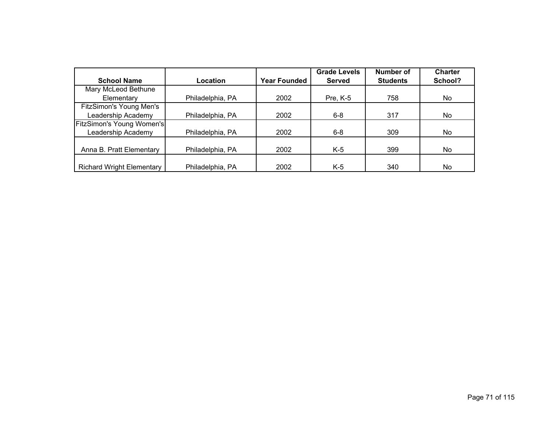|                                  |                  |                     | <b>Grade Levels</b> | Number of       | <b>Charter</b> |
|----------------------------------|------------------|---------------------|---------------------|-----------------|----------------|
| <b>School Name</b>               | Location         | <b>Year Founded</b> | <b>Served</b>       | <b>Students</b> | School?        |
| Mary McLeod Bethune              |                  |                     |                     |                 |                |
| Elementary                       | Philadelphia, PA | 2002                | Pre, K-5            | 758             | No             |
| <b>FitzSimon's Young Men's</b>   |                  |                     |                     |                 |                |
| Leadership Academy               | Philadelphia, PA | 2002                | $6 - 8$             | 317             | No             |
| FitzSimon's Young Women's        |                  |                     |                     |                 |                |
| Leadership Academy               | Philadelphia, PA | 2002                | $6 - 8$             | 309             | No             |
|                                  |                  |                     |                     |                 |                |
| Anna B. Pratt Elementary         | Philadelphia, PA | 2002                | $K-5$               | 399             | No             |
|                                  |                  |                     |                     |                 |                |
| <b>Richard Wright Elementary</b> | Philadelphia, PA | 2002                | K-5                 | 340             | No             |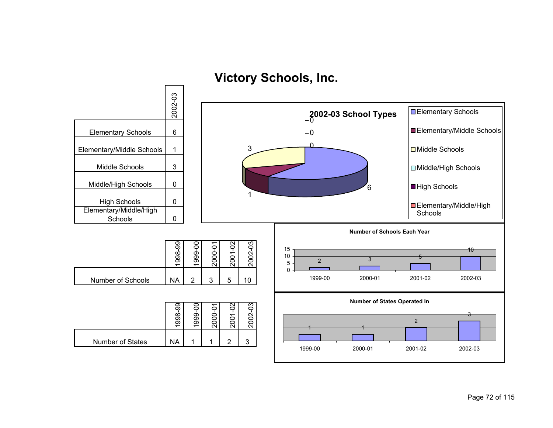**Victory Schools, Inc.**

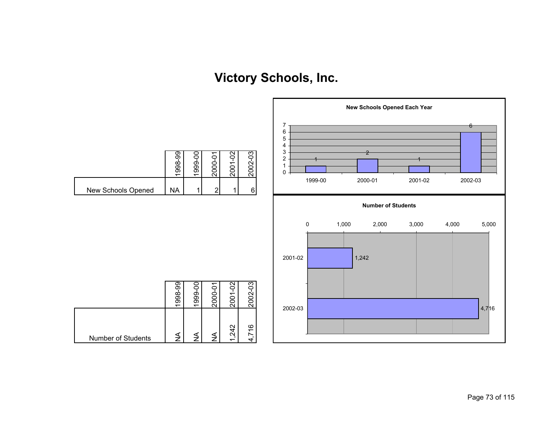# **Victory Schools, Inc.**

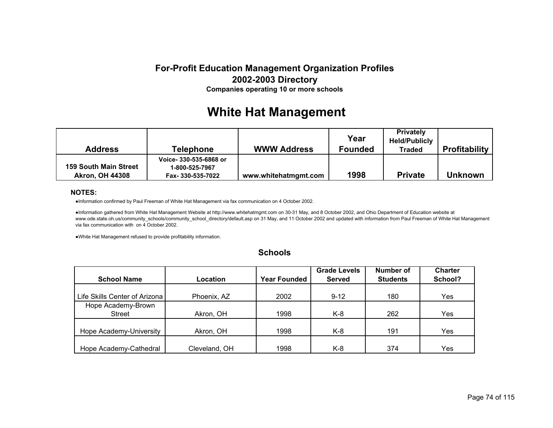# **White Hat Management**

| <b>Address</b>                                         | <b>Telephone</b>                                             | <b>WWW Address</b>   | Year<br><b>Founded</b> | <b>Privately</b><br><b>Held/Publicly</b><br><b>Traded</b> | <b>Profitability</b> |
|--------------------------------------------------------|--------------------------------------------------------------|----------------------|------------------------|-----------------------------------------------------------|----------------------|
| <b>159 South Main Street</b><br><b>Akron, OH 44308</b> | Voice- 330-535-6868 or<br>1-800-525-7967<br>Fax-330-535-7022 | www.whitehatmgmt.com | 1998                   | <b>Private</b>                                            | <b>Unknown</b>       |

### **NOTES:**

●Information confirmed by Paul Freeman of White Hat Management via fax communication on 4 October 2002.

●Information gathered from White Hat Management Website at http://www.whitehatmgmt.com on 30-31 May, and 8 October 2002, and Ohio Department of Education website at www.ode.state.oh.us/community\_schools/community\_school\_directory/default.asp on 31 May, and 11 October 2002 and updated with information from Paul Freeman of White Hat Management via fax communication with on 4 October 2002.

●White Hat Management refused to provide profitability information.

|                               |               |                     | <b>Grade Levels</b> | Number of       | <b>Charter</b> |
|-------------------------------|---------------|---------------------|---------------------|-----------------|----------------|
| <b>School Name</b>            | Location      | <b>Year Founded</b> | <b>Served</b>       | <b>Students</b> | School?        |
|                               |               |                     |                     |                 |                |
| Life Skills Center of Arizona | Phoenix, AZ   | 2002                | $9 - 12$            | 180             | Yes            |
| Hope Academy-Brown            |               |                     |                     |                 |                |
| <b>Street</b>                 | Akron, OH     | 1998                | K-8                 | 262             | Yes            |
|                               |               |                     |                     |                 |                |
| Hope Academy-University       | Akron, OH     | 1998                | K-8                 | 191             | Yes            |
|                               |               |                     |                     |                 |                |
| Hope Academy-Cathedral        | Cleveland, OH | 1998                | $K-8$               | 374             | Yes            |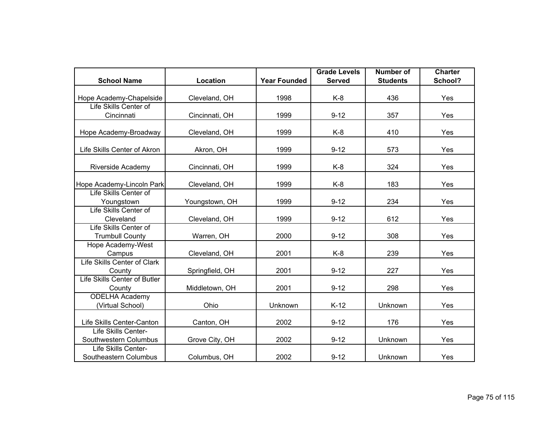|                                                 |                 |                     | <b>Grade Levels</b> | <b>Number of</b> | <b>Charter</b> |
|-------------------------------------------------|-----------------|---------------------|---------------------|------------------|----------------|
| <b>School Name</b>                              | Location        | <b>Year Founded</b> | <b>Served</b>       | <b>Students</b>  | School?        |
| Hope Academy-Chapelside                         | Cleveland, OH   | 1998                | $K-8$               | 436              | Yes            |
| Life Skills Center of<br>Cincinnati             | Cincinnati, OH  | 1999                | $9 - 12$            | 357              | Yes            |
| Hope Academy-Broadway                           | Cleveland, OH   | 1999                | $K-8$               | 410              | Yes            |
| Life Skills Center of Akron                     | Akron, OH       | 1999                | $9 - 12$            | 573              | Yes            |
| Riverside Academy                               | Cincinnati, OH  | 1999                | $K-8$               | 324              | Yes            |
| Hope Academy-Lincoln Park                       | Cleveland, OH   | 1999                | $K-8$               | 183              | Yes            |
| Life Skills Center of<br>Youngstown             | Youngstown, OH  | 1999                | $9 - 12$            | 234              | Yes            |
| Life Skills Center of<br>Cleveland              | Cleveland, OH   | 1999                | $9 - 12$            | 612              | Yes            |
| Life Skills Center of<br><b>Trumbull County</b> | Warren, OH      | 2000                | $9 - 12$            | 308              | Yes            |
| Hope Academy-West<br>Campus                     | Cleveland, OH   | 2001                | K-8                 | 239              | Yes            |
| Life Skills Center of Clark<br>County           | Springfield, OH | 2001                | $9 - 12$            | 227              | Yes            |
| Life Skills Center of Butler<br>County          | Middletown, OH  | 2001                | $9 - 12$            | 298              | Yes            |
| <b>ODELHA Academy</b><br>(Virtual School)       | Ohio            | Unknown             | $K-12$              | Unknown          | Yes            |
| Life Skills Center-Canton                       | Canton, OH      | 2002                | $9 - 12$            | 176              | Yes            |
| Life Skills Center-<br>Southwestern Columbus    | Grove City, OH  | 2002                | $9 - 12$            | Unknown          | Yes            |
| Life Skills Center-<br>Southeastern Columbus    | Columbus, OH    | 2002                | $9 - 12$            | Unknown          | Yes            |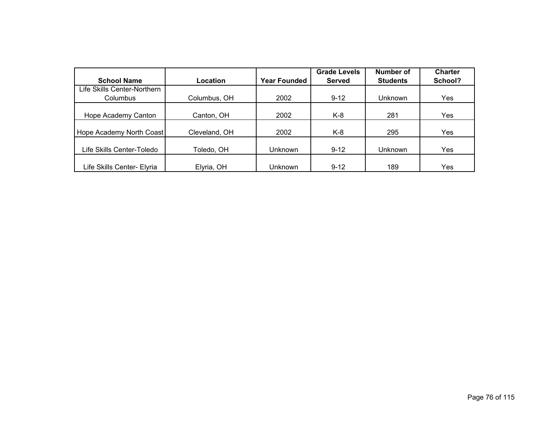|                             |               |                     | <b>Grade Levels</b> | Number of       | <b>Charter</b> |
|-----------------------------|---------------|---------------------|---------------------|-----------------|----------------|
| <b>School Name</b>          | Location      | <b>Year Founded</b> | <b>Served</b>       | <b>Students</b> | School?        |
| Life Skills Center-Northern |               |                     |                     |                 |                |
| Columbus                    | Columbus, OH  | 2002                | $9 - 12$            | Unknown         | Yes            |
|                             |               |                     |                     |                 |                |
| Hope Academy Canton         | Canton, OH    | 2002                | $K-8$               | 281             | Yes            |
|                             |               |                     |                     |                 |                |
| Hope Academy North Coast    | Cleveland, OH | 2002                | K-8                 | 295             | Yes            |
|                             |               |                     |                     |                 |                |
| Life Skills Center-Toledo   | Toledo, OH    | Unknown             | $9 - 12$            | Unknown         | Yes            |
|                             |               |                     |                     |                 |                |
| Life Skills Center- Elyria  | Elyria, OH    | Unknown             | $9 - 12$            | 189             | Yes            |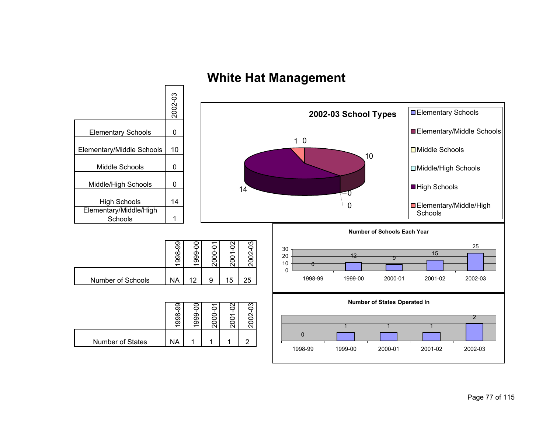

# **White Hat Management**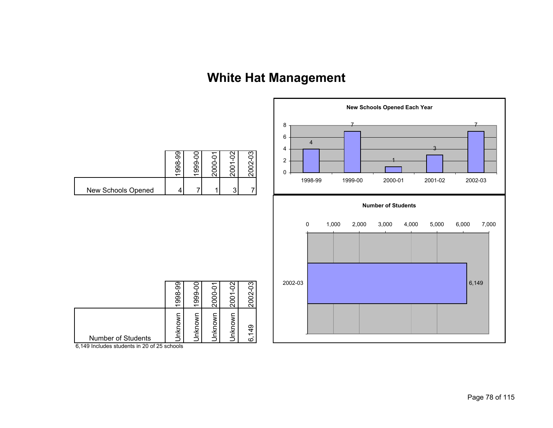# **White Hat Management**



6,149 Includes students in 20 of 25 schools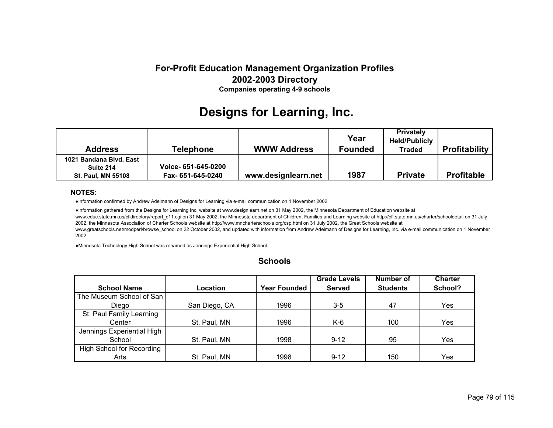# **Designs for Learning, Inc.**

| <b>Address</b>                                                    | <b>Telephone</b>                         | <b>WWW Address</b>  | Year<br><b>Founded</b> | <b>Privately</b><br><b>Held/Publicly</b><br>Traded | <b>Profitability</b> |
|-------------------------------------------------------------------|------------------------------------------|---------------------|------------------------|----------------------------------------------------|----------------------|
| 1021 Bandana Blvd, East<br>Suite 214<br><b>St. Paul, MN 55108</b> | Voice- 651-645-0200<br>Fax- 651-645-0240 | www.designlearn.net | 1987                   | <b>Private</b>                                     | <b>Profitable</b>    |

### **NOTES:**

●Information confirmed by Andrew Adelmann of Designs for Learning via e-mail communication on 1 November 2002.

●Information gathered from the Designs for Learning Inc. website at www.designlearn.net on 31 May 2002, the Minnesota Department of Education website at www.educ.state.mn.us/cfldirectory/report\_c11.cgi on 31 May 2002, the Minnesota department of Children, Families and Learning website at http://cfl.state.mn.us/charter/schooldetail on 31 July 2002, the Minnesota Association of Charter Schools website at http://www.mncharterschools.org/csp.html on 31 July 2002, the Great Schools website at www.greatschools.net/modperl/browse\_school on 22 October 2002, and updated with information from Andrew Adelmann of Designs for Learning, Inc. via e-mail communication on 1 November 2002.

●Minnesota Technology High School was renamed as Jennings Experiential High School.

| <b>Schools</b> |  |
|----------------|--|
|----------------|--|

|                            |               |                     | <b>Grade Levels</b> | Number of       | <b>Charter</b> |
|----------------------------|---------------|---------------------|---------------------|-----------------|----------------|
| <b>School Name</b>         | Location      | <b>Year Founded</b> | <b>Served</b>       | <b>Students</b> | School?        |
| The Museum School of San   |               |                     |                     |                 |                |
| Diego                      | San Diego, CA | 1996                | $3 - 5$             | 47              | Yes            |
| St. Paul Family Learning   |               |                     |                     |                 |                |
| Center                     | St. Paul, MN  | 1996                | K-6                 | 100             | Yes            |
| Jennings Experiential High |               |                     |                     |                 |                |
| School                     | St. Paul, MN  | 1998                | $9 - 12$            | 95              | Yes            |
| High School for Recording  |               |                     |                     |                 |                |
| Arts                       | St. Paul, MN  | 1998                | $9 - 12$            | 150             | Yes            |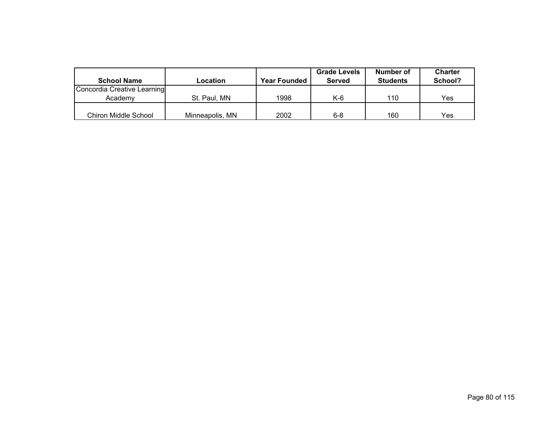|                             |                 |                     | <b>Grade Levels</b> | Number of       | <b>Charter</b> |
|-----------------------------|-----------------|---------------------|---------------------|-----------------|----------------|
| <b>School Name</b>          | Location        | <b>Year Founded</b> | Served              | <b>Students</b> | School?        |
| Concordia Creative Learning |                 |                     |                     |                 |                |
| Academv                     | St. Paul, MN    | 1998                | K-6                 | 110             | Yes            |
|                             |                 |                     |                     |                 |                |
| <b>Chiron Middle School</b> | Minneapolis, MN | 2002                | 6-8                 | 160             | Yes            |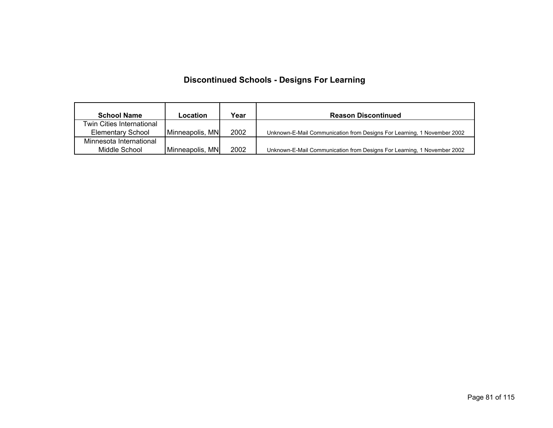## **Discontinued Schools - Designs For Learning**

| <b>School Name</b>        | Location        | Year | <b>Reason Discontinued</b>                                              |
|---------------------------|-----------------|------|-------------------------------------------------------------------------|
| Twin Cities International |                 |      |                                                                         |
| <b>Elementary School</b>  | Minneapolis, MN | 2002 | Unknown-E-Mail Communication from Designs For Learning, 1 November 2002 |
| Minnesota International   |                 |      |                                                                         |
| Middle School             | Minneapolis, MN | 2002 | Unknown-E-Mail Communication from Designs For Learning, 1 November 2002 |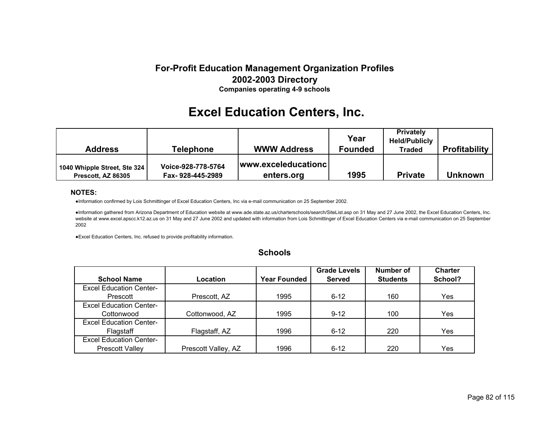# **Excel Education Centers, Inc.**

| <b>Address</b>                                     | <b>Telephone</b>                       | <b>WWW Address</b>                | Year<br><b>Founded</b> | <b>Privately</b><br><b>Held/Publicly</b><br><b>Traded</b> | <b>Profitability</b> |
|----------------------------------------------------|----------------------------------------|-----------------------------------|------------------------|-----------------------------------------------------------|----------------------|
| 1040 Whipple Street, Ste 324<br>Prescott, AZ 86305 | Voice-928-778-5764<br>Fax-928-445-2989 | www.exceleducationc<br>enters.org | 1995                   | <b>Private</b>                                            | <b>Unknown</b>       |

### **NOTES:**

●Information confirmed by Lois Schmittinger of Excel Education Centers, Inc via e-mail communication on 25 September 2002.

●Information gathered from Arizona Department of Education website at www.ade.state.az.us/charterschools/search/SiteList.asp on 31 May and 27 June 2002, the Excel Education Centers, Inc. website at www.excel.apscc.k12.az.us on 31 May and 27 June 2002 and updated with information from Lois Schmittinger of Excel Education Centers via e-mail communication on 25 September 2002

●Excel Education Centers, Inc. refused to provide profitability information.

|                                |                     |                     | <b>Grade Levels</b> | Number of       | <b>Charter</b> |
|--------------------------------|---------------------|---------------------|---------------------|-----------------|----------------|
| <b>School Name</b>             | Location            | <b>Year Founded</b> | <b>Served</b>       | <b>Students</b> | School?        |
| <b>Excel Education Center-</b> |                     |                     |                     |                 |                |
| Prescott                       | Prescott, AZ        | 1995                | $6 - 12$            | 160             | Yes            |
| <b>Excel Education Center-</b> |                     |                     |                     |                 |                |
| Cottonwood                     | Cottonwood, AZ      | 1995                | $9 - 12$            | 100             | Yes            |
| <b>Excel Education Center-</b> |                     |                     |                     |                 |                |
| Flagstaff                      | Flagstaff, AZ       | 1996                | $6 - 12$            | 220             | Yes            |
| <b>Excel Education Center-</b> |                     |                     |                     |                 |                |
| <b>Prescott Valley</b>         | Prescott Valley, AZ | 1996                | $6 - 12$            | 220             | Yes            |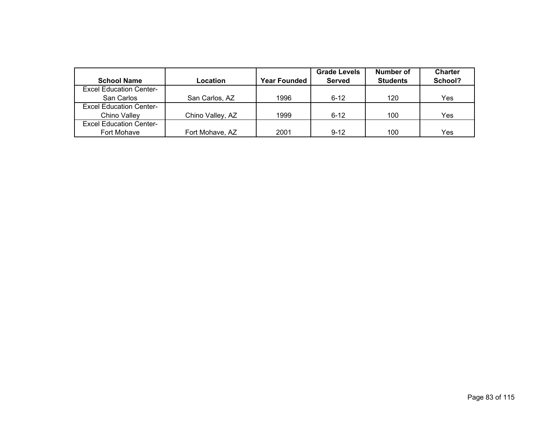|                                |                  |                     | <b>Grade Levels</b> | Number of       | <b>Charter</b> |
|--------------------------------|------------------|---------------------|---------------------|-----------------|----------------|
| <b>School Name</b>             | Location         | <b>Year Founded</b> | <b>Served</b>       | <b>Students</b> | School?        |
| <b>Excel Education Center-</b> |                  |                     |                     |                 |                |
| San Carlos                     | San Carlos, AZ   | 1996                | $6 - 12$            | 120             | Yes            |
| <b>Excel Education Center-</b> |                  |                     |                     |                 |                |
| Chino Valley                   | Chino Valley, AZ | 1999                | $6 - 12$            | 100             | Yes            |
| <b>Excel Education Center-</b> |                  |                     |                     |                 |                |
| Fort Mohave                    | Fort Mohave, AZ  | 2001                | $9 - 12$            | 100             | Yes            |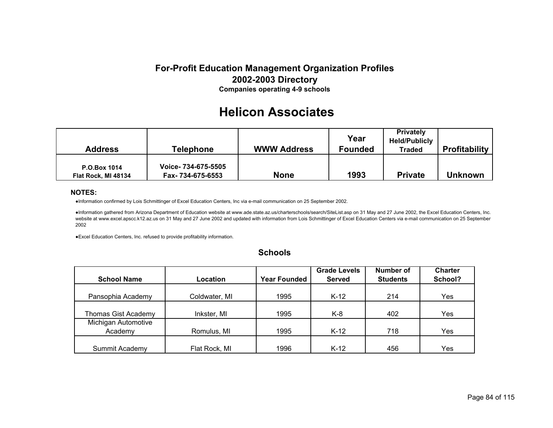# **Helicon Associates**

| <b>Address</b>                             | Telephone                                | <b>WWW Address</b> | Year<br><b>Founded</b> | <b>Privately</b><br><b>Held/Publicly</b><br>Traded | <b>Profitability</b> |
|--------------------------------------------|------------------------------------------|--------------------|------------------------|----------------------------------------------------|----------------------|
| <b>P.O.Box 1014</b><br>Flat Rock, MI 48134 | Voice- 734-675-5505<br>Fax- 734-675-6553 | <b>None</b>        | 1993                   | <b>Private</b>                                     | <b>Unknown</b>       |

### **NOTES:**

●Information confirmed by Lois Schmittinger of Excel Education Centers, Inc via e-mail communication on 25 September 2002.

●Information gathered from Arizona Department of Education website at www.ade.state.az.us/charterschools/search/SiteList.asp on 31 May and 27 June 2002, the Excel Education Centers, Inc. website at www.excel.apscc.k12.az.us on 31 May and 27 June 2002 and updated with information from Lois Schmittinger of Excel Education Centers via e-mail communication on 25 September 2002

●Excel Education Centers, Inc. refused to provide profitability information.

|                            |               |                     | <b>Grade Levels</b> | Number of       | <b>Charter</b> |
|----------------------------|---------------|---------------------|---------------------|-----------------|----------------|
| <b>School Name</b>         | Location      | <b>Year Founded</b> | <b>Served</b>       | <b>Students</b> | School?        |
|                            |               |                     |                     |                 |                |
| Pansophia Academy          | Coldwater, MI | 1995                | $K-12$              | 214             | Yes            |
|                            |               |                     |                     |                 |                |
| <b>Thomas Gist Academy</b> | Inkster, MI   | 1995                | $K-8$               | 402             | Yes            |
| Michigan Automotive        |               |                     |                     |                 |                |
| Academy                    | Romulus, MI   | 1995                | $K-12$              | 718             | Yes            |
|                            |               |                     |                     |                 |                |
| Summit Academy             | Flat Rock, MI | 1996                | $K-12$              | 456             | Yes            |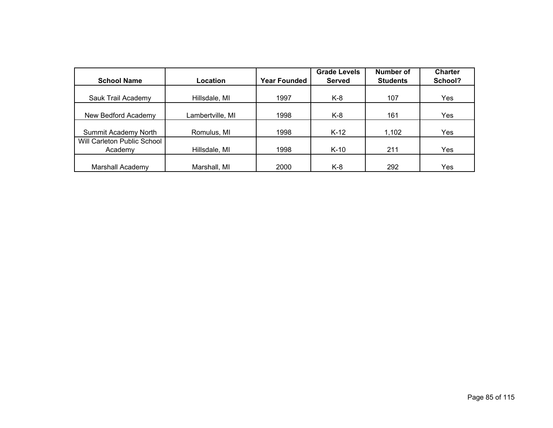|                             |                  |                     | <b>Grade Levels</b> | Number of       | <b>Charter</b> |
|-----------------------------|------------------|---------------------|---------------------|-----------------|----------------|
| <b>School Name</b>          | <b>Location</b>  | <b>Year Founded</b> | <b>Served</b>       | <b>Students</b> | School?        |
|                             |                  |                     |                     |                 |                |
| Sauk Trail Academy          | Hillsdale, MI    | 1997                | K-8                 | 107             | Yes            |
|                             |                  |                     |                     |                 |                |
| New Bedford Academy         | Lambertville, MI | 1998                | K-8                 | 161             | Yes            |
|                             |                  |                     |                     |                 |                |
| Summit Academy North        | Romulus, MI      | 1998                | $K-12$              | 1,102           | Yes            |
| Will Carleton Public School |                  |                     |                     |                 |                |
| Academy                     | Hillsdale, MI    | 1998                | $K-10$              | 211             | Yes            |
|                             |                  |                     |                     |                 |                |
| Marshall Academy            | Marshall, MI     | 2000                | K-8                 | 292             | Yes            |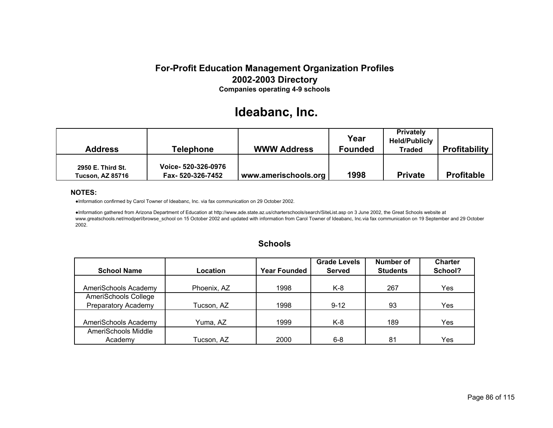# **Ideabanc, Inc.**

| Address                                      | <b>Telephone</b>                        | <b>WWW Address</b>   | Year<br><b>Founded</b> | <b>Privately</b><br><b>Held/Publicly</b><br>Traded | <b>Profitability</b> |
|----------------------------------------------|-----------------------------------------|----------------------|------------------------|----------------------------------------------------|----------------------|
| 2950 E. Third St.<br><b>Tucson, AZ 85716</b> | Voice- 520-326-0976<br>Fax-520-326-7452 | www.amerischools.org | 1998                   | <b>Private</b>                                     | <b>Profitable</b>    |

### **NOTES:**

●Information confirmed by Carol Towner of Ideabanc, Inc. via fax communication on 29 October 2002.

●Information gathered from Arizona Department of Education at http://www.ade.state.az.us/charterschools/search/SiteList.asp on 3 June 2002, the Great Schools website at www.greatschools.net/modperl/browse\_school on 15 October 2002 and updated with information from Carol Towner of Ideabanc, Inc.via fax communication on 19 September and 29 October 2002.

| <b>Schools</b> |  |
|----------------|--|
|----------------|--|

|                            |             |                     | <b>Grade Levels</b> | Number of       | <b>Charter</b> |
|----------------------------|-------------|---------------------|---------------------|-----------------|----------------|
| <b>School Name</b>         | Location    | <b>Year Founded</b> | <b>Served</b>       | <b>Students</b> | School?        |
|                            |             |                     |                     |                 |                |
| AmeriSchools Academy       | Phoenix, AZ | 1998                | K-8                 | 267             | Yes            |
| AmeriSchools College       |             |                     |                     |                 |                |
| <b>Preparatory Academy</b> | Tucson, AZ  | 1998                | $9 - 12$            | 93              | Yes            |
|                            |             |                     |                     |                 |                |
| AmeriSchools Academy       | Yuma, AZ    | 1999                | K-8                 | 189             | Yes            |
| AmeriSchools Middle        |             |                     |                     |                 |                |
| Academy                    | Tucson, AZ  | 2000                | $6 - 8$             | 81              | Yes            |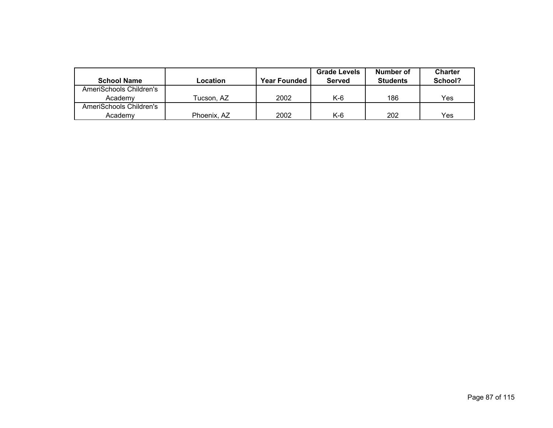|                         |             |                     | <b>Grade Levels</b> | Number of       | <b>Charter</b> |
|-------------------------|-------------|---------------------|---------------------|-----------------|----------------|
| <b>School Name</b>      | Location    | <b>Year Founded</b> | Served              | <b>Students</b> | School?        |
| AmeriSchools Children's |             |                     |                     |                 |                |
| Academy                 | Tucson. AZ  | 2002                | K-6                 | 186             | Yes            |
| AmeriSchools Children's |             |                     |                     |                 |                |
| Academv                 | Phoenix, AZ | 2002                | $K-6$               | 202             | Yes            |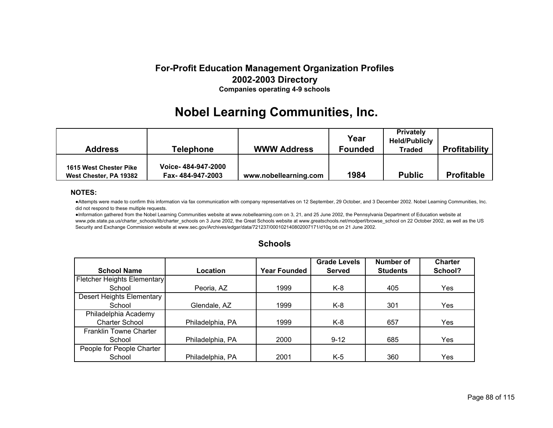# **Nobel Learning Communities, Inc.**

| Address                                          | Telephone                              | <b>WWW Address</b>    | Year<br><b>Founded</b> | <b>Privately</b><br><b>Held/Publicly</b><br><b>Traded</b> | <b>Profitability</b> |
|--------------------------------------------------|----------------------------------------|-----------------------|------------------------|-----------------------------------------------------------|----------------------|
| 1615 West Chester Pike<br>West Chester, PA 19382 | Voice-484-947-2000<br>Fax-484-947-2003 | www.nobellearning.com | 1984                   | <b>Public</b>                                             | <b>Profitable</b>    |

### **NOTES:**

●Attempts were made to confirm this information via fax communication with company representatives on 12 September, 29 October, and 3 December 2002. Nobel Learning Communities, Inc. did not respond to these multiple requests.

●Information gathered from the Nobel Learning Communities website at www.nobellearning.com on 3, 21, and 25 June 2002, the Pennsylvania Department of Education website at www.pde.state.pa.us/charter\_schools/lib/charter\_schools on 3 June 2002, the Great Schools website at www.greatschools.net/modperl/browse\_school on 22 October 2002, as well as the US Security and Exchange Commission website at www.sec.gov/Archives/edgar/data/721237/000102140802007171/d10q.txt on 21 June 2002.

|                             |                  |                     | <b>Grade Levels</b> | Number of       | <b>Charter</b> |
|-----------------------------|------------------|---------------------|---------------------|-----------------|----------------|
| <b>School Name</b>          | Location         | <b>Year Founded</b> | <b>Served</b>       | <b>Students</b> | School?        |
| Fletcher Heights Elementary |                  |                     |                     |                 |                |
| School                      | Peoria, AZ       | 1999                | K-8                 | 405             | Yes            |
| Desert Heights Elementary   |                  |                     |                     |                 |                |
| School                      | Glendale, AZ     | 1999                | K-8                 | 301             | Yes            |
| Philadelphia Academy        |                  |                     |                     |                 |                |
| <b>Charter School</b>       | Philadelphia, PA | 1999                | $K-8$               | 657             | Yes            |
| Franklin Towne Charter      |                  |                     |                     |                 |                |
| School                      | Philadelphia, PA | 2000                | $9 - 12$            | 685             | Yes            |
| People for People Charter   |                  |                     |                     |                 |                |
| School                      | Philadelphia, PA | 2001                | K-5                 | 360             | Yes            |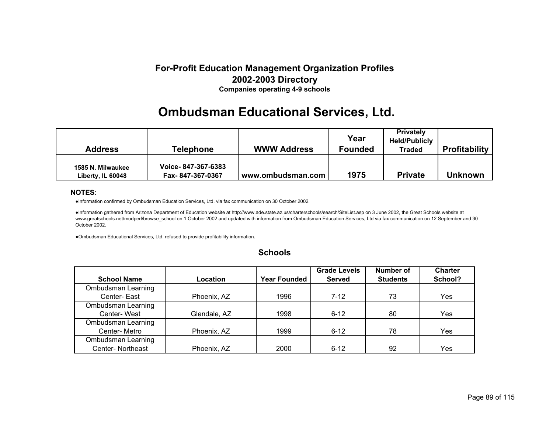# **Ombudsman Educational Services, Ltd.**

| Address                                | <b>Telephone</b>                       | <b>WWW Address</b> | Year<br><b>Founded</b> | <b>Privately</b><br><b>Held/Publicly</b><br><b>Traded</b> | <b>Profitability</b> |
|----------------------------------------|----------------------------------------|--------------------|------------------------|-----------------------------------------------------------|----------------------|
| 1585 N. Milwaukee<br>Liberty, IL 60048 | Voice-847-367-6383<br>Fax-847-367-0367 | www.ombudsman.com  | 1975                   | <b>Private</b>                                            | <b>Unknown</b>       |

### **NOTES:**

●Information confirmed by Ombudsman Education Services, Ltd. via fax communication on 30 October 2002.

●Information gathered from Arizona Department of Education website at http://www.ade.state.az.us/charterschools/search/SiteList.asp on 3 June 2002, the Great Schools website at www.greatschools.net/modperl/browse\_school on 1 October 2002 and updated with information from Ombudsman Education Services, Ltd via fax communication on 12 September and 30 October 2002.

●Ombudsman Educational Services, Ltd. refused to provide profitability information.

|                    |              |                     | <b>Grade Levels</b> | Number of       | <b>Charter</b> |
|--------------------|--------------|---------------------|---------------------|-----------------|----------------|
| <b>School Name</b> | Location     | <b>Year Founded</b> | <b>Served</b>       | <b>Students</b> | School?        |
| Ombudsman Learning |              |                     |                     |                 |                |
| Center-East        | Phoenix, AZ  | 1996                | $7 - 12$            | 73              | Yes.           |
| Ombudsman Learning |              |                     |                     |                 |                |
| Center-West        | Glendale, AZ | 1998                | $6 - 12$            | 80              | Yes            |
| Ombudsman Learning |              |                     |                     |                 |                |
| Center-Metro       | Phoenix, AZ  | 1999                | $6 - 12$            | 78              | Yes            |
| Ombudsman Learning |              |                     |                     |                 |                |
| Center-Northeast   | Phoenix, AZ  | 2000                | $6 - 12$            | 92              | Yes            |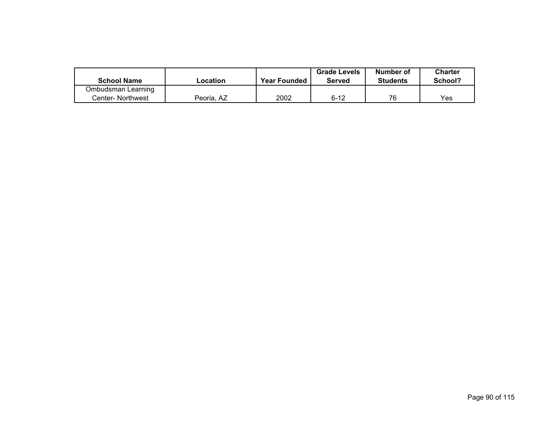|                    |            |                     | <b>Grade Levels</b> | Number of       | <b>Charter</b> |
|--------------------|------------|---------------------|---------------------|-----------------|----------------|
| <b>School Name</b> | -ocation   | <b>Year Founded</b> | <b>Served</b>       | <b>Students</b> | School?        |
| Ombudsman Learning |            |                     |                     |                 |                |
| Center- Northwest  | Peoria, AZ | 2002                | $6 - 12$            | 76              | Yes            |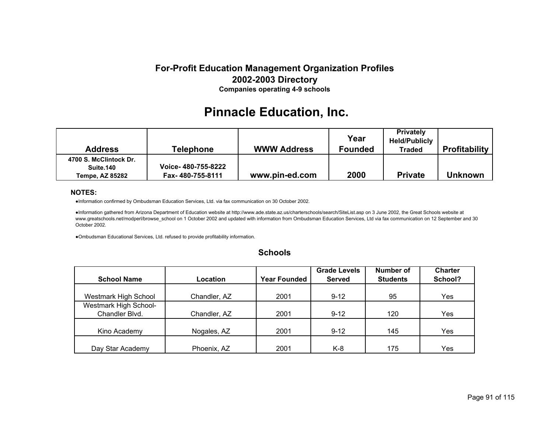# **Pinnacle Education, Inc.**

| <b>Address</b>                                         | <b>Telephone</b>                       | <b>WWW Address</b> | Year<br><b>Founded</b> | <b>Privately</b><br><b>Held/Publicly</b><br><b>Traded</b> | <b>Profitability</b> |
|--------------------------------------------------------|----------------------------------------|--------------------|------------------------|-----------------------------------------------------------|----------------------|
| 4700 S. McClintock Dr.<br>Suite.140<br>Tempe, AZ 85282 | Voice-480-755-8222<br>Fax-480-755-8111 | www.pin-ed.com     | 2000                   | <b>Private</b>                                            | <b>Unknown</b>       |

### **NOTES:**

●Information confirmed by Ombudsman Education Services, Ltd. via fax communication on 30 October 2002.

●Information gathered from Arizona Department of Education website at http://www.ade.state.az.us/charterschools/search/SiteList.asp on 3 June 2002, the Great Schools website at www.greatschools.net/modperl/browse\_school on 1 October 2002 and updated with information from Ombudsman Education Services, Ltd via fax communication on 12 September and 30 October 2002.

●Ombudsman Educational Services, Ltd. refused to provide profitability information.

|                              |              |                     | <b>Grade Levels</b> | Number of       | <b>Charter</b> |  |
|------------------------------|--------------|---------------------|---------------------|-----------------|----------------|--|
| <b>School Name</b>           | Location     | <b>Year Founded</b> | <b>Served</b>       | <b>Students</b> | School?        |  |
|                              |              |                     |                     |                 |                |  |
| Westmark High School         | Chandler, AZ | 2001                | $9 - 12$            | 95              | Yes            |  |
| <b>Westmark High School-</b> |              |                     |                     |                 |                |  |
| Chandler Blvd.               | Chandler, AZ | 2001                | $9 - 12$            | 120             | Yes            |  |
|                              |              |                     |                     |                 |                |  |
| Kino Academy                 | Nogales, AZ  | 2001                | $9 - 12$            | 145             | Yes            |  |
|                              |              |                     |                     |                 |                |  |
| Day Star Academy             | Phoenix, AZ  | 2001                | K-8                 | 175             | Yes            |  |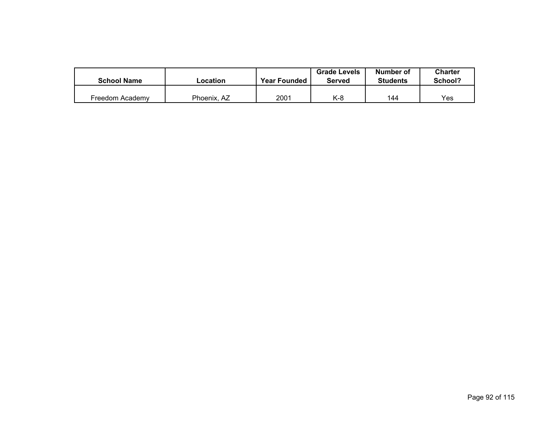| <b>School Name</b> |             | <b>Grade Levels</b><br><b>Year Founded</b><br>_ocation<br><b>Served</b> |     | Number of<br><b>Students</b> | <b>Charter</b><br>School? |
|--------------------|-------------|-------------------------------------------------------------------------|-----|------------------------------|---------------------------|
|                    |             |                                                                         |     |                              |                           |
| Freedom Academv    | Phoenix, AZ | 2001                                                                    | K-8 | 144                          | Yes                       |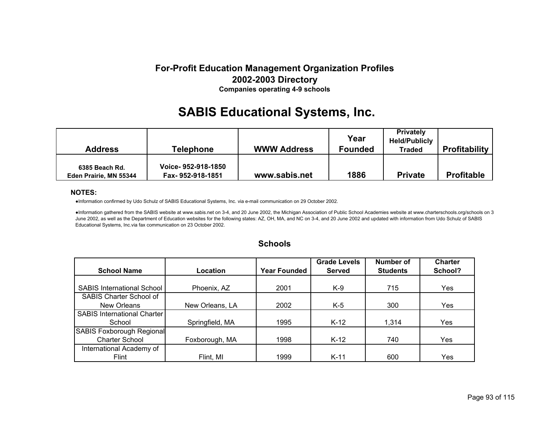# **SABIS Educational Systems, Inc.**

| <b>Address</b>                           | <b>Telephone</b>                       | <b>WWW Address</b> | Year<br><b>Founded</b> | <b>Privately</b><br><b>Held/Publicly</b><br><b>Traded</b> | <b>Profitability</b> |
|------------------------------------------|----------------------------------------|--------------------|------------------------|-----------------------------------------------------------|----------------------|
| 6385 Beach Rd.<br>Eden Prairie, MN 55344 | Voice-952-918-1850<br>Fax-952-918-1851 | www.sabis.net      | 1886                   | <b>Private</b>                                            | <b>Profitable</b>    |

### **NOTES:**

●Information confirmed by Udo Schulz of SABIS Educational Systems, Inc. via e-mail communication on 29 October 2002.

●Information gathered from the SABIS website at www.sabis.net on 3-4, and 20 June 2002, the Michigan Association of Public School Academies website at www.charterschools.org/schools on 3 June 2002, as well as the Department of Education websites for the following states: AZ, OH, MA, and NC on 3-4, and 20 June 2002 and updated with information from Udo Schulz of SABIS Educational Systems, Inc.via fax communication on 23 October 2002.

|                                    |                 |                     | <b>Grade Levels</b> | <b>Number of</b> | <b>Charter</b> |
|------------------------------------|-----------------|---------------------|---------------------|------------------|----------------|
| <b>School Name</b>                 | Location        | <b>Year Founded</b> | <b>Served</b>       | <b>Students</b>  | School?        |
|                                    |                 |                     |                     |                  |                |
| <b>SABIS International School</b>  | Phoenix, AZ     | 2001                | $K-9$               | 715              | Yes            |
| SABIS Charter School of            |                 |                     |                     |                  |                |
| New Orleans                        | New Orleans, LA | 2002                | $K-5$               | 300              | Yes.           |
| <b>SABIS International Charter</b> |                 |                     |                     |                  |                |
| School                             | Springfield, MA | 1995                | $K-12$              | 1,314            | Yes            |
| SABIS Foxborough Regional          |                 |                     |                     |                  |                |
| <b>Charter School</b>              | Foxborough, MA  | 1998                | $K-12$              | 740              | Yes            |
| International Academy of           |                 |                     |                     |                  |                |
| Flint                              | Flint, MI       | 1999                | $K-11$              | 600              | Yes            |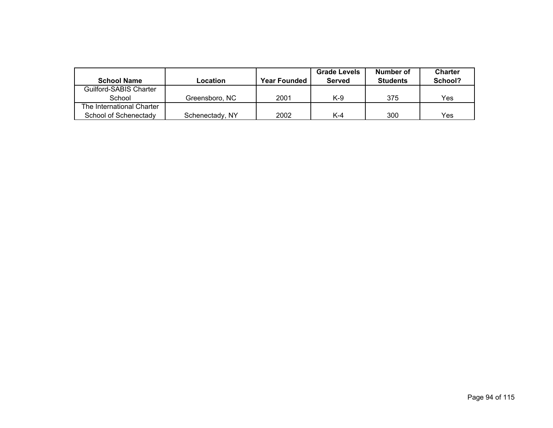|                           |                 |                     | <b>Grade Levels</b> | Number of       | <b>Charter</b> |  |
|---------------------------|-----------------|---------------------|---------------------|-----------------|----------------|--|
| <b>School Name</b>        | Location        | <b>Year Founded</b> | Served              | <b>Students</b> | School?        |  |
| Guilford-SABIS Charter    |                 |                     |                     |                 |                |  |
| School                    | Greensboro, NC  | 2001                | K-9                 | 375             | Yes            |  |
| The International Charter |                 |                     |                     |                 |                |  |
| School of Schenectady     | Schenectady, NY | 2002                | K-4                 | 300             | Yes            |  |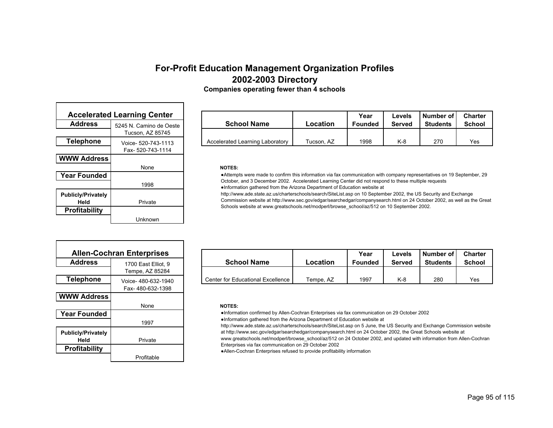| <b>Companies operating fewer than 4 schools</b> |  |  |  |
|-------------------------------------------------|--|--|--|
|-------------------------------------------------|--|--|--|

| <b>Accelerated Learning Center</b> |                         |  |  |  |
|------------------------------------|-------------------------|--|--|--|
| <b>Address</b>                     | 5245 N. Camino de Oeste |  |  |  |
|                                    | Tucson, AZ 85745        |  |  |  |
| Telephone                          | Voice- 520-743-1113     |  |  |  |
|                                    | Fax- 520-743-1114       |  |  |  |
| <b>WWW Address</b>                 |                         |  |  |  |
|                                    | None                    |  |  |  |
| <b>Year Founded</b>                |                         |  |  |  |
|                                    | 1998                    |  |  |  |
| <b>Publicly/Privately</b><br>Held  | Private                 |  |  |  |
| <b>Profitability</b>               |                         |  |  |  |
|                                    | Unknown                 |  |  |  |

| <b>Accelerated Learning Center</b> |                         |                                 |            | Year    | Levels | l Number of l   | <b>Charter</b> |
|------------------------------------|-------------------------|---------------------------------|------------|---------|--------|-----------------|----------------|
| <b>Address</b>                     | 5245 N. Camino de Oeste | <b>School Name</b>              | Location   | Founded | Served | <b>Students</b> | <b>School</b>  |
|                                    | Tucson. AZ 85745        |                                 |            |         |        |                 |                |
| Telephone                          | Voice- 520-743-1113     | Accelerated Learning Laboratory | Tucson. AZ | 1998    | K-8    | 270             | Yes            |

#### **NOTES:**

●Attempts were made to confirm this information via fax communication with company representatives on 19 September, 29 October, and 3 December 2002. Accelerated Learning Center did not respond to these multiple requests ●Information gathered from the Arizona Department of Education website at

http://www.ade.state.az.us/charterschools/search/SiteList.asp on 10 September 2002, the US Security and Exchange Commission website at http://www.sec.gov/edgar/searchedgar/companysearch.html on 24 October 2002, as well as the Great Schools website at www.greatschools.net/modperl/browse\_school/az/512 on 10 September 2002.

| <b>Allen-Cochran Enterprises</b>  |                     |  |  |  |  |  |
|-----------------------------------|---------------------|--|--|--|--|--|
| <b>Address</b>                    | 1700 East Elliot, 9 |  |  |  |  |  |
|                                   | Tempe, AZ 85284     |  |  |  |  |  |
| <b>Telephone</b>                  | Voice-480-632-1940  |  |  |  |  |  |
|                                   | Fax-480-632-1398    |  |  |  |  |  |
| <b>WWW Address</b>                |                     |  |  |  |  |  |
|                                   | None                |  |  |  |  |  |
| <b>Year Founded</b>               |                     |  |  |  |  |  |
|                                   | 1997                |  |  |  |  |  |
| <b>Publicly/Privately</b><br>Held | Private             |  |  |  |  |  |
| <b>Profitability</b>              |                     |  |  |  |  |  |
|                                   |                     |  |  |  |  |  |

| <b>Allen-Cochran Enterprises</b> |                     |                                          |           | Year           | Levels | Number of       | <b>Charter</b> |
|----------------------------------|---------------------|------------------------------------------|-----------|----------------|--------|-----------------|----------------|
| <b>Address</b>                   | 1700 East Elliot, 9 | <b>School Name</b>                       | Location  | <b>Founded</b> | Served | <b>Students</b> | <b>School</b>  |
|                                  | Tempe. AZ 85284     |                                          |           |                |        |                 |                |
| Telephone                        | Voice-480-632-1940  | <b>Center for Educational Excellence</b> | Tempe. AZ | 1997           | K-8    | 280             | Yes            |

### **NOTES:**

●Information confirmed by Allen-Cochran Enterprises via fax communication on 29 October 2002

●Information gathered from the Arizona Department of Education website at

http://www.ade.state.az.us/charterschools/search/SiteList.asp on 5 June, the US Security and Exchange Commission website at http://www.sec.gov/edgar/searchedgar/companysearch.html on 24 October 2002, the Great Schools website at

www.greatschools.net/modperl/browse\_school/az/512 on 24 October 2002, and updated with information from Allen-Cochran Enterprises via fax communication on 29 October 2002

●Allen-Cochran Enterprises refused to provide profitability information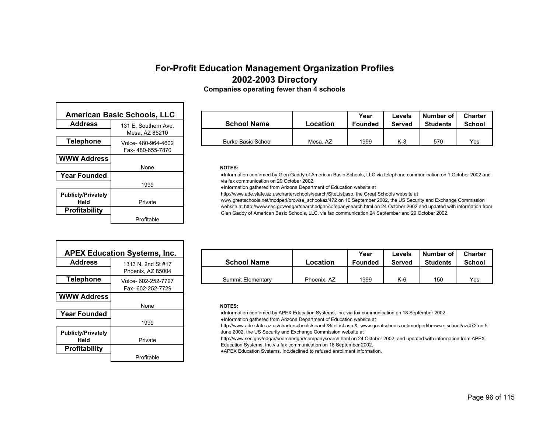**Companies operating fewer than 4 schools**

| <b>American Basic Schools, LLC</b> |                                         |  |  |  |
|------------------------------------|-----------------------------------------|--|--|--|
| <b>Address</b>                     | 131 F. Southern Ave<br>Mesa, AZ 85210   |  |  |  |
| <b>Telephone</b>                   | Voice- 480-964-4602<br>Fax-480-655-7870 |  |  |  |
| <b>WWW Address</b>                 | None                                    |  |  |  |
| <b>Year Founded</b>                | 1999                                    |  |  |  |
| <b>Publicly/Privately</b><br>Held  | Private                                 |  |  |  |
| <b>Profitability</b>               | Profitable                              |  |  |  |

Г

| an Basic Schools, LLC |                      |                    |          | Year           | Levels | Number of       | <b>Charter</b> |
|-----------------------|----------------------|--------------------|----------|----------------|--------|-----------------|----------------|
| e                     | 131 E. Southern Ave. | <b>School Name</b> | Location | <b>Founded</b> | Served | <b>Students</b> | School         |
|                       | Mesa, AZ 85210       |                    |          |                |        |                 |                |
| ne                    | Voice-480-964-4602   | Burke Basic School | Mesa, AZ | 1999           | K-8    | 570             | Yes            |

#### **NOTES:**

●Information confirmed by Glen Gaddy of American Basic Schools, LLC via telephone communication on 1 October 2002 and via fax communication on 29 October 2002.

●Information gathered from Arizona Department of Education website at

http://www.ade.state.az.us/charterschools/search/SiteList.asp, the Great Schools website at

www.greatschools.net/modperl/browse\_school/az/472 on 10 September 2002, the US Security and Exchange Commission

website at http://www.sec.gov/edgar/searchedgar/companysearch.html on 24 October 2002 and updated with information from Glen Gaddy of American Basic Schools, LLC. via fax communication 24 September and 29 October 2002.

|                                   | <b>APEX Education Systems, Inc.</b> |
|-----------------------------------|-------------------------------------|
| <b>Address</b>                    | 1313 N 2nd St #17                   |
|                                   | Phoenix, AZ 85004                   |
| <b>Telephone</b>                  | Voice- 602-252-7727                 |
|                                   | Fax-602-252-7729                    |
| <b>WWW Address</b>                |                                     |
|                                   | None                                |
| <b>Year Founded</b>               |                                     |
|                                   | 1999                                |
| <b>Publicly/Privately</b><br>Held | Private                             |
| <b>Profitability</b>              |                                     |
|                                   | Profitable                          |

| <b>APEX Education Systems, Inc.</b> |                     |                    |             | Year    | ∟evels | Number of I     | <b>Charter</b> |
|-------------------------------------|---------------------|--------------------|-------------|---------|--------|-----------------|----------------|
| <b>Address</b>                      | 1313 N. 2nd St #17  | <b>School Name</b> | Location    | Founded | Served | <b>Students</b> | <b>School</b>  |
|                                     | Phoenix, AZ 85004   |                    |             |         |        |                 |                |
| Telephone                           | Voice- 602-252-7727 | Summit Elementary  | Phoenix. AZ | 1999    | $K-6$  | 150             | Yes            |

### **NOTES:**

●Information confirmed by APEX Education Systems, Inc. via fax communication on 18 September 2002.

●Information gathered from Arizona Department of Education website at

http://www.ade.state.az.us/charterschools/search/SiteList.asp & www.greatschools.net/modperl/browse\_school/az/472 on 5 June 2002, the US Security and Exchange Commission website at

http://www.sec.gov/edgar/searchedgar/companysearch.html on 24 October 2002, and updated with information from APEX Education Systems, Inc.via fax communication on 18 September 2002.

●APEX Education Systems, Inc.declined to refused enrollment information.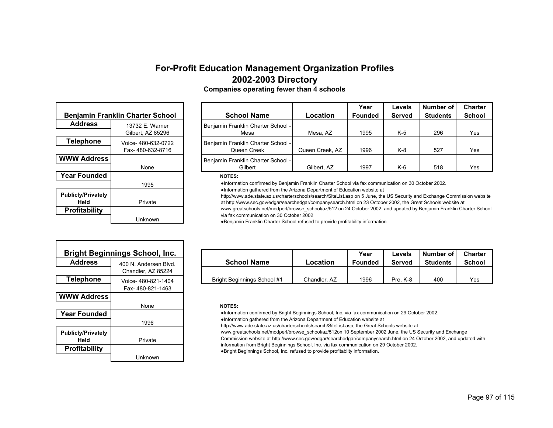|                                   | <b>Benjamin Franklin Charter School</b><br><b>Address</b><br>13732 F Warner<br>Gilbert, AZ 85296<br><b>Telephone</b><br>Voice- 480-632-0722<br>Fax-480-632-8716<br><b>WWW Address</b><br>None<br><b>Year Founded</b><br>1995 |  |  |  |  |
|-----------------------------------|------------------------------------------------------------------------------------------------------------------------------------------------------------------------------------------------------------------------------|--|--|--|--|
|                                   |                                                                                                                                                                                                                              |  |  |  |  |
|                                   |                                                                                                                                                                                                                              |  |  |  |  |
|                                   |                                                                                                                                                                                                                              |  |  |  |  |
|                                   |                                                                                                                                                                                                                              |  |  |  |  |
|                                   |                                                                                                                                                                                                                              |  |  |  |  |
|                                   |                                                                                                                                                                                                                              |  |  |  |  |
|                                   |                                                                                                                                                                                                                              |  |  |  |  |
|                                   |                                                                                                                                                                                                                              |  |  |  |  |
| <b>Publicly/Privately</b><br>Held | Private                                                                                                                                                                                                                      |  |  |  |  |
|                                   |                                                                                                                                                                                                                              |  |  |  |  |
| <b>Profitability</b>              |                                                                                                                                                                                                                              |  |  |  |  |
|                                   | Unknown                                                                                                                                                                                                                      |  |  |  |  |

|                  | Benjamin Franklin Charter School       | <b>School Name</b>                                | Location        | Number of<br>Year<br>Levels<br><b>Founded</b><br><b>Served</b><br><b>Students</b> |       | <b>Charter</b><br><b>School</b> |     |
|------------------|----------------------------------------|---------------------------------------------------|-----------------|-----------------------------------------------------------------------------------|-------|---------------------------------|-----|
| <b>Address</b>   | 13732 E. Warner<br>Gilbert, AZ 85296   | Benjamin Franklin Charter School -<br>Mesa        | Mesa, AZ        | 1995                                                                              | $K-5$ | 296                             | Yes |
| <b>Telephone</b> | Voice-480-632-0722<br>Fax-480-632-8716 | Benjamin Franklin Charter School -<br>Queen Creek | Queen Creek, AZ | 1996                                                                              | $K-8$ | 527                             | Yes |
| WW Address       | None                                   | Benjamin Franklin Charter School -<br>Gilbert     | Gilbert, AZ     | 1997                                                                              | $K-6$ | 518                             | Yes |

#### **NOTES:**

●Information confirmed by Benjamin Franklin Charter School via fax communication on 30 October 2002.

●Information gathered from the Arizona Department of Education website at

http://www.ade.state.az.us/charterschools/search/SiteList.asp on 5 June, the US Security and Exchange Commission website at http://www.sec.gov/edgar/searchedgar/companysearch.html on 23 October 2002, the Great Schools website at

www.greatschools.net/modperl/browse\_school/az/512 on 24 October 2002, and updated by Benjamin Franklin Charter School via fax communication on 30 October 2002

●Benjamin Franklin Charter School refused to provide profitability information

| Bright Beginnings School, Inc. |                       |                             |              | Year           | Levels   | Number of       | <b>Charter</b> |
|--------------------------------|-----------------------|-----------------------------|--------------|----------------|----------|-----------------|----------------|
| <b>Address</b>                 | 400 N. Andersen Blvd. | <b>School Name</b>          | Location     | <b>Founded</b> | Served   | <b>Students</b> | <b>School</b>  |
|                                | Chandler. AZ 85224    |                             |              |                |          |                 |                |
| Telephone                      | Voice- 480-821-1404   | Bright Beginnings School #1 | Chandler. AZ | 1996           | Pre. K-8 | 400             | Yes            |

#### **NOTES:**

●Information confirmed by Bright Beginnings School, Inc. via fax communication on 29 October 2002.

●Information gathered from the Arizona Department of Education website at

http://www.ade.state.az.us/charterschools/search/SiteList.asp, the Great Schools website at

www.greatschools.net/modperl/browse\_school/az/512on 10 September 2002 June, the US Security and Exchange

Commission website at http://www.sec.gov/edgar/searchedgar/companysearch.html on 24 October 2002, and updated with

information from Bright Beginnings School, Inc. via fax communication on 29 October 2002. ●Bright Beginnings School, Inc. refused to provide profitablity information.

|                                   | <b>Bright Beginnings School, Inc.</b> |
|-----------------------------------|---------------------------------------|
| <b>Address</b>                    | 400 N Andersen Blvd                   |
|                                   | Chandler, AZ 85224                    |
| Telephone                         | Voice- 480-821-1404                   |
|                                   | Fax-480-821-1463                      |
| <b>WWW Address</b>                |                                       |
|                                   | <b>None</b>                           |
| <b>Year Founded</b>               |                                       |
|                                   | 1996                                  |
| <b>Publicly/Privately</b><br>Held | <b>Private</b>                        |
| <b>Profitability</b>              |                                       |
|                                   | Unknown                               |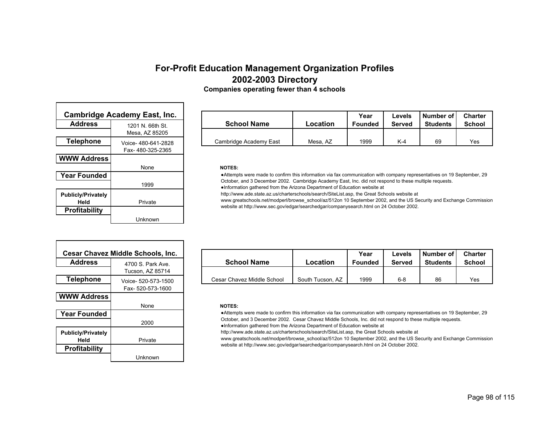|                                   | <b>Cambridge Academy East, Inc.</b> |
|-----------------------------------|-------------------------------------|
| <b>Address</b>                    | 1201 N 66th St                      |
|                                   | Mesa, AZ 85205                      |
| <b>Telephone</b>                  | Voice- 480-641-2828                 |
|                                   | Fax-480-325-2365                    |
| <b>WWW Address</b>                |                                     |
|                                   | None                                |
| <b>Year Founded</b>               |                                     |
|                                   | 1999                                |
| <b>Publicly/Privately</b><br>Held | Private                             |
| <b>Profitability</b>              |                                     |
|                                   | Unknown                             |

Г

| lge Academy East, Inc. |                     |                        |          | Year           | Levels        | Number of I     | <b>Charter</b> |
|------------------------|---------------------|------------------------|----------|----------------|---------------|-----------------|----------------|
|                        | 1201 N. 66th St.    | <b>School Name</b>     | Location | <b>Founded</b> | <b>Served</b> | <b>Students</b> | <b>School</b>  |
|                        | Mesa, AZ 85205      |                        |          |                |               |                 |                |
| ne                     | Voice- 480-641-2828 | Cambridge Academy East | Mesa, AZ | 1999           | K-4           | 69              | Yes            |

#### **NOTES:**

●Attempts were made to confirm this information via fax communication with company representatives on 19 September, 29 October, and 3 December 2002. Cambridge Academy East, Inc. did not respond to these multiple requests.

●Information gathered from the Arizona Department of Education website at

http://www.ade.state.az.us/charterschools/search/SiteList.asp, the Great Schools website at

www.greatschools.net/modperl/browse\_school/az/512on 10 September 2002, and the US Security and Exchange Commission website at http://www.sec.gov/edgar/searchedgar/companysearch.html on 24 October 2002.

|                                   | Cesar Chavez Middle Schools, Inc. |
|-----------------------------------|-----------------------------------|
| <b>Address</b>                    | 4700 S. Park Ave                  |
|                                   | Tucson, AZ 85714                  |
| <b>Telephone</b>                  | Voice- 520-573-1500               |
|                                   | Fax-520-573-1600                  |
| <b>WWW Address</b>                |                                   |
|                                   | None                              |
| <b>Year Founded</b>               |                                   |
|                                   | 2000                              |
| <b>Publicly/Privately</b><br>Held | Private                           |
| Profitability                     |                                   |
|                                   | Unknown                           |

| esar Chavez Middle Schools, Inc. |                     |                            |                  | Year           | Levels  | Number of I     | <b>Charter</b> |
|----------------------------------|---------------------|----------------------------|------------------|----------------|---------|-----------------|----------------|
| <b>Address</b>                   | 4700 S. Park Ave.   | <b>School Name</b>         | Location         | <b>Founded</b> | Served  | <b>Students</b> | <b>School</b>  |
|                                  | Tucson. AZ 85714    |                            |                  |                |         |                 |                |
| Telephone                        | Voice- 520-573-1500 | Cesar Chavez Middle School | South Tucson, AZ | 1999           | $6 - 8$ | 86              | Yes            |

### **NOTES:**

●Attempts were made to confirm this information via fax communication with company representatives on 19 September, 29 October, and 3 December 2002. Cesar Chavez Middle Schools, Inc. did not respond to these multiple requests.

●Information gathered from the Arizona Department of Education website at

http://www.ade.state.az.us/charterschools/search/SiteList.asp, the Great Schools website at

www.greatschools.net/modperl/browse\_school/az/512on 10 September 2002, and the US Security and Exchange Commission website at http://www.sec.gov/edgar/searchedgar/companysearch.html on 24 October 2002.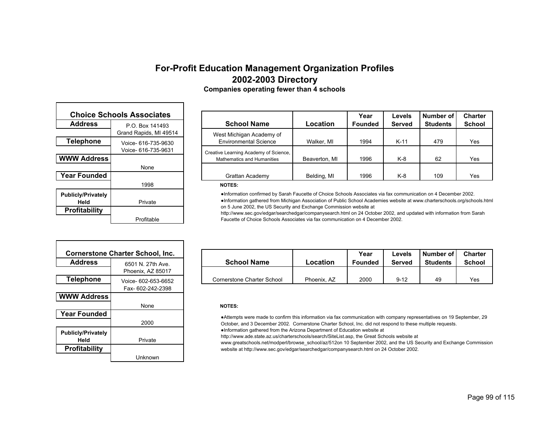| <b>Choice Schools Associates</b> |                        |  |  |  |
|----------------------------------|------------------------|--|--|--|
| <b>Address</b>                   | P O Box 141493         |  |  |  |
|                                  | Grand Rapids, MI 49514 |  |  |  |
| <b>Telephone</b>                 | Voice- 616-735-9630    |  |  |  |
|                                  | Voice- 616-735-9631    |  |  |  |
| <b>WWW Address</b>               |                        |  |  |  |
|                                  | None                   |  |  |  |
| <b>Year Founded</b>              |                        |  |  |  |
|                                  | 1998                   |  |  |  |
| <b>Publicly/Privately</b>        |                        |  |  |  |
| Held                             | Private                |  |  |  |
| <b>Profitability</b>             |                        |  |  |  |
|                                  | Profitable             |  |  |  |

|      | <b>Schools Associates</b> |                                       |               | Year           | Levels        | Number of       | <b>Charter</b> |
|------|---------------------------|---------------------------------------|---------------|----------------|---------------|-----------------|----------------|
| s    | P.O. Box 141493           | <b>School Name</b>                    | Location      | <b>Founded</b> | <b>Served</b> | <b>Students</b> | <b>School</b>  |
|      | Grand Rapids, MI 49514    | West Michigan Academy of              |               |                |               |                 |                |
| ne   | Voice- 616-735-9630       | <b>Environmental Science</b>          | Walker, MI    | 1994           | $K-11$        | 479             | Yes            |
|      | Voice- 616-735-9631       | Creative Learning Academy of Science, |               |                |               |                 |                |
| ress |                           | <b>Mathematics and Humanities</b>     | Beaverton, MI | 1996           | K-8           | 62              | Yes            |
|      | None                      |                                       |               |                |               |                 |                |
| ded  |                           | Grattan Academy                       | Belding, MI   | 1996           | $K-8$         | 109             | Yes            |
|      | 1000                      | $ - - -$                              |               |                |               |                 |                |

#### **NOTES:**

●Information confirmed by Sarah Faucette of Choice Schools Associates via fax communication on 4 December 2002. ●Information gathered from Michigan Association of Public School Academies website at www.charterschools.org/schools.html on 5 June 2002, the US Security and Exchange Commission website at

http://www.sec.gov/edgar/searchedgar/companysearch.html on 24 October 2002, and updated with information from Sarah Faucette of Choice Schools Associates via fax communication on 4 December 2002.

| <b>Cornerstone Charter School, Inc.</b> |                                          |  |  |  |
|-----------------------------------------|------------------------------------------|--|--|--|
| <b>Address</b>                          | 6501 N 27th Ave<br>Phoenix, AZ 85017     |  |  |  |
| <b>Telephone</b>                        | Voice- 602-653-6652<br>Fax- 602-242-2398 |  |  |  |
| <b>WWW Address</b>                      | None                                     |  |  |  |
| <b>Year Founded</b>                     | 2000                                     |  |  |  |
| <b>Publicly/Privately</b><br>Held       | Private                                  |  |  |  |
| <b>Profitability</b>                    | Unknown                                  |  |  |  |

| Cornerstone Charter School. Inc. |                     |                            |             | Year           | ∟evels   | Number of       | <b>Charter</b> |
|----------------------------------|---------------------|----------------------------|-------------|----------------|----------|-----------------|----------------|
| <b>Address</b>                   | 6501 N. 27th Ave.   | <b>School Name</b>         | Location    | <b>Founded</b> | Served   | <b>Students</b> | <b>School</b>  |
|                                  | Phoenix, AZ 85017   |                            |             |                |          |                 |                |
| Telephone                        | Voice- 602-653-6652 | Cornerstone Charter School | Phoenix. AZ | 2000           | $9 - 12$ | 49              | Yes            |

### **NOTES:**

●Attempts were made to confirm this information via fax communication with company representatives on 19 September, 29 October, and 3 December 2002. Cornerstone Charter School, Inc. did not respond to these multiple requests.

●Information gathered from the Arizona Department of Education website at

http://www.ade.state.az.us/charterschools/search/SiteList.asp, the Great Schools website at

www.greatschools.net/modperl/browse\_school/az/512on 10 September 2002, and the US Security and Exchange Commission website at http://www.sec.gov/edgar/searchedgar/companysearch.html on 24 October 2002.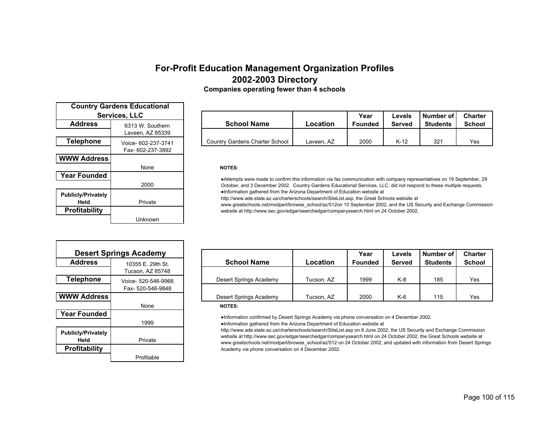| <b>Country Gardens Educational</b> |                     |  |  |
|------------------------------------|---------------------|--|--|
| <b>Services, LLC</b>               |                     |  |  |
| <b>Address</b>                     | 6313 W. Southern    |  |  |
|                                    | Laveen, AZ 85339    |  |  |
| <b>Telephone</b>                   | Voice- 602-237-3741 |  |  |
|                                    | Fax- 602-237-3892   |  |  |
| <b>WWW Address</b>                 |                     |  |  |
|                                    | None                |  |  |
| <b>Year Founded</b>                |                     |  |  |
|                                    | 2000                |  |  |
| <b>Publicly/Privately</b>          |                     |  |  |
| Held                               | Private             |  |  |
| <b>Profitability</b>               |                     |  |  |
|                                    | Unknown             |  |  |

| <b>Services, LLC</b> |                     |                                |            | Year    | Levels | l Number of l   | <b>Charter</b> |
|----------------------|---------------------|--------------------------------|------------|---------|--------|-----------------|----------------|
|                      | 6313 W. Southern    | <b>School Name</b>             | Location   | Founded | Served | <b>Students</b> | <b>School</b>  |
|                      | Laveen. AZ 85339    |                                |            |         |        |                 |                |
| ne                   | Voice- 602-237-3741 | Country Gardens Charter School | Laveen. AZ | 2000    | K-12   | 321             | Yes            |

#### **NOTES:**

●Attempts were made to confirm this information via fax communication with company representatives on 19 September, 29 October, and 3 December 2002. Country Gardens Educational Services, LLC. did not respond to these multiple requests. ●Information gathered from the Arizona Department of Education website at

http://www.ade.state.az.us/charterschools/search/SiteList.asp, the Great Schools website at

www.greatschools.net/modperl/browse\_school/az/512on 10 September 2002, and the US Security and Exchange Commission website at http://www.sec.gov/edgar/searchedgar/companysearch.html on 24 October 2002.

| <b>Desert Springs Academy</b>     |                                         |  |  |  |
|-----------------------------------|-----------------------------------------|--|--|--|
| <b>Address</b>                    | 10355 E. 29th St.                       |  |  |  |
|                                   | Tucson, AZ 85748                        |  |  |  |
| <b>Telephone</b>                  | Voice- 520-546-9966<br>Fax-520-546-9848 |  |  |  |
| <b>WWW Address</b>                |                                         |  |  |  |
|                                   | None                                    |  |  |  |
| <b>Year Founded</b>               |                                         |  |  |  |
|                                   | 1999                                    |  |  |  |
| <b>Publicly/Privately</b><br>Held | Private                                 |  |  |  |
| <b>Profitability</b>              |                                         |  |  |  |
|                                   | Profitable                              |  |  |  |

| <b>Desert Springs Academy</b> |                     |                        |            | Year           | Levels        | Number of       | <b>Charter</b> |
|-------------------------------|---------------------|------------------------|------------|----------------|---------------|-----------------|----------------|
| <b>Address</b>                | 10355 E. 29th St.   | <b>School Name</b>     | Location   | <b>Founded</b> | <b>Served</b> | <b>Students</b> | <b>School</b>  |
|                               | Tucson, AZ 85748    |                        |            |                |               |                 |                |
| Telephone                     | Voice- 520-546-9966 | Desert Springs Academy | Tucson. AZ | 1999           | $K-8$         | 185             | Yes            |
|                               | Fax- 520-546-9848   |                        |            |                |               |                 |                |
| WW Address                    |                     | Desert Springs Academy | Tucson. AZ | 2000           | $K-6$         | 115             | Yes            |

### **NOTES:**

●Information confirmed by Desert Springs Academy via phone conversation on 4 December 2002. ●Information gathered from the Arizona Department of Education website at

http://www.ade.state.az.us/charterschools/search/SiteList.asp on 6 June 2002, the US Security and Exchange Commission website at http://www.sec.gov/edgar/searchedgar/companysearch.html on 24 October 2002, the Great Schools website at www.greatschools.net/modperl/browse\_school/az/512 on 24 October 2002, and updated with information from Desert Springs Academy via phone conversation on 4 December 2002.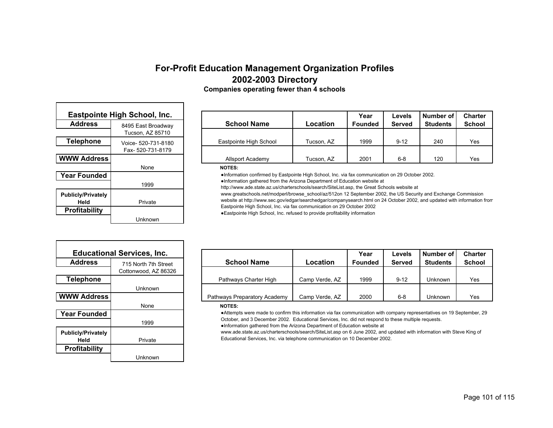| <b>Eastpointe High School, Inc.</b> |                     |  |  |  |
|-------------------------------------|---------------------|--|--|--|
| <b>Address</b>                      | 8495 East Broadway  |  |  |  |
|                                     | Tucson, AZ 85710    |  |  |  |
| <b>Telephone</b>                    | Voice- 520-731-8180 |  |  |  |
|                                     | Fax-520-731-8179    |  |  |  |
| <b>WWW Address</b>                  |                     |  |  |  |
|                                     | None                |  |  |  |
| <b>Year Founded</b>                 |                     |  |  |  |
|                                     | 1999                |  |  |  |
| <b>Publicly/Privately</b><br>Held   | Private             |  |  |  |
| <b>Profitability</b>                |                     |  |  |  |
|                                     | Unknown             |  |  |  |

| inte High School, Inc. |                     |                        |            | Year           | Levels        | Number of       | <b>Charter</b> |
|------------------------|---------------------|------------------------|------------|----------------|---------------|-----------------|----------------|
| s                      | 8495 East Broadway  | <b>School Name</b>     | Location   | <b>Founded</b> | <b>Served</b> | <b>Students</b> | School         |
|                        | Tucson, AZ 85710    |                        |            |                |               |                 |                |
| ne                     | Voice- 520-731-8180 | Eastpointe High School | Tucson, AZ | 1999           | $9 - 12$      | 240             | Yes            |
|                        | Fax- 520-731-8179   |                        |            |                |               |                 |                |
| ress                   |                     | Allsport Academy       | Tucson, AZ | 2001           | $6 - 8$       | 120             | Yes            |

#### **NOTES:**

●Information confirmed by Eastpointe High School, Inc. via fax communication on 29 October 2002.

●Information gathered from the Arizona Department of Education website at

http://www.ade.state.az.us/charterschools/search/SiteList.asp, the Great Schools website at

www.greatschools.net/modperl/browse\_school/az/512on 12 September 2002, the US Security and Exchange Commission

website at http://www.sec.gov/edgar/searchedgar/companysearch.html on 24 October 2002, and updated with information from Eastpointe High School, Inc. via fax communication on 29 October 2002

●Eastpointe High School, Inc. refused to provide profitability information

|                           | <b>Educational Services, Inc.</b> |
|---------------------------|-----------------------------------|
| <b>Address</b>            | 715 North 7th Street              |
|                           | Cottonwood, AZ 86326              |
| <b>Telephone</b>          |                                   |
|                           | Unknown                           |
| <b>WWW Address</b>        |                                   |
|                           | None                              |
| <b>Year Founded</b>       |                                   |
|                           | 1999                              |
| <b>Publicly/Privately</b> |                                   |
| Held                      | Private                           |
| <b>Profitability</b>      |                                   |
|                           | Unknown                           |

| <b>Educational Services, Inc.</b> |                      |                              |                | Year           | Levels        | Number of       | <b>Charter</b> |
|-----------------------------------|----------------------|------------------------------|----------------|----------------|---------------|-----------------|----------------|
| <b>Address</b>                    | 715 North 7th Street | <b>School Name</b>           | Location       | <b>Founded</b> | <b>Served</b> | <b>Students</b> | <b>School</b>  |
|                                   | Cottonwood, AZ 86326 |                              |                |                |               |                 |                |
| Telephone                         |                      | Pathways Charter High        | Camp Verde, AZ | 1999           | $9 - 12$      | Unknown         | Yes            |
|                                   | Unknown              |                              |                |                |               |                 |                |
| WW Address l                      |                      | Pathways Preparatory Academy | Camp Verde, AZ | 2000           | $6 - 8$       | Unknown         | Yes            |
|                                   |                      |                              |                |                |               |                 |                |

### **NOTES:**

●Attempts were made to confirm this information via fax communication with company representatives on 19 September, 29 October, and 3 December 2002. Educational Services, Inc. did not respond to these multiple requests.

●Information gathered from the Arizona Department of Education website at

www.ade.state.az.us/charterschools/search/SiteList.asp on 6 June 2002, and updated with information with Steve King of Educational Services, Inc. via telephone communication on 10 December 2002.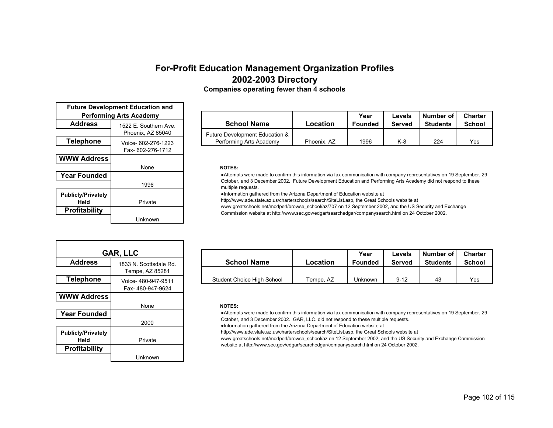| <b>Future Development Education and</b><br><b>Performing Arts Academy</b> |                                            |  |  |  |  |  |
|---------------------------------------------------------------------------|--------------------------------------------|--|--|--|--|--|
| <b>Address</b>                                                            | 1522 E. Southern Ave.<br>Phoenix, AZ 85040 |  |  |  |  |  |
| <b>Telephone</b>                                                          | Voice- 602-276-1223<br>Fax- 602-276-1712   |  |  |  |  |  |
| <b>WWW Address</b>                                                        |                                            |  |  |  |  |  |
|                                                                           | None                                       |  |  |  |  |  |
| <b>Year Founded</b>                                                       |                                            |  |  |  |  |  |
|                                                                           | 1996                                       |  |  |  |  |  |
| <b>Publicly/Privately</b><br>Held                                         | Private                                    |  |  |  |  |  |
| <b>Profitability</b>                                                      |                                            |  |  |  |  |  |
|                                                                           | Unknown                                    |  |  |  |  |  |

| Performing Arts Academy |                       |  |                                |             | Year           | Levels | l Number of l   | <b>Charter</b> |
|-------------------------|-----------------------|--|--------------------------------|-------------|----------------|--------|-----------------|----------------|
| <b>Address</b>          | 1522 E. Southern Ave. |  | <b>School Name</b>             | Location    | <b>Founded</b> | Served | <b>Students</b> | School         |
|                         | Phoenix, AZ 85040     |  | Future Development Education & |             |                |        |                 |                |
| Telephone               | Voice- 602-276-1223   |  | Performing Arts Academy        | Phoenix, AZ | 1996           | K-8    | 224             | Yes            |

#### **NOTES:**

●Attempts were made to confirm this information via fax communication with company representatives on 19 September, 29 October, and 3 December 2002. Future Development Education and Performing Arts Academy did not respond to these multiple requests.

●Information gathered from the Arizona Department of Education website at

http://www.ade.state.az.us/charterschools/search/SiteList.asp, the Great Schools website at

www.greatschools.net/modperl/browse\_school/az/707 on 12 September 2002, and the US Security and Exchange Commission website at http://www.sec.gov/edgar/searchedgar/companysearch.html on 24 October 2002.

| GAR, LLC                          |                                         |  |  |  |  |  |  |  |
|-----------------------------------|-----------------------------------------|--|--|--|--|--|--|--|
| <b>Address</b>                    | 1833 N Scottsdale Rd<br>Tempe, AZ 85281 |  |  |  |  |  |  |  |
| <b>Telephone</b>                  | Voice-480-947-9511<br>Fax-480-947-9624  |  |  |  |  |  |  |  |
| <b>WWW Address</b>                | None                                    |  |  |  |  |  |  |  |
| <b>Year Founded</b>               | 2000                                    |  |  |  |  |  |  |  |
| <b>Publicly/Privately</b><br>Held | Private                                 |  |  |  |  |  |  |  |
| <b>Profitability</b>              | Unknown                                 |  |  |  |  |  |  |  |

| <b>GAR, LLC</b> |                        |                            |           | Year    | ∟evels   | Number of       | <b>Charter</b> |
|-----------------|------------------------|----------------------------|-----------|---------|----------|-----------------|----------------|
| <b>Address</b>  | 1833 N. Scottsdale Rd. | <b>School Name</b>         | Location  | Founded | Served   | <b>Students</b> | <b>School</b>  |
|                 | Tempe, AZ 85281        |                            |           |         |          |                 |                |
| Telephone       | Voice- 480-947-9511    | Student Choice High School | Tempe, AZ | Unknown | $9 - 12$ | 43              | Yes            |

### **NOTES:**

●Attempts were made to confirm this information via fax communication with company representatives on 19 September, 29 October, and 3 December 2002. GAR, LLC. did not respond to these multiple requests.

http://www.ade.state.az.us/charterschools/search/SiteList.asp, the Great Schools website at

www.greatschools.net/modperl/browse\_school/az on 12 September 2002, and the US Security and Exchange Commission website at http://www.sec.gov/edgar/searchedgar/companysearch.html on 24 October 2002.

<sup>●</sup>Information gathered from the Arizona Department of Education website at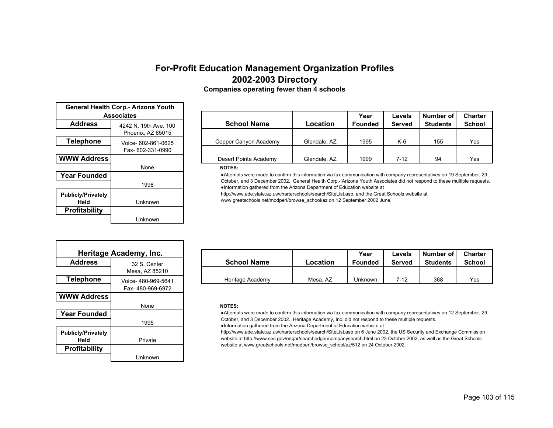| General Health Corp.- Arizona Youth<br><b>Associates</b> |                                          |  |  |  |  |  |
|----------------------------------------------------------|------------------------------------------|--|--|--|--|--|
| <b>Address</b>                                           | 4242 N 19th Ave 100<br>Phoenix, AZ 85015 |  |  |  |  |  |
| <b>Telephone</b>                                         | Voice- 602-861-0625<br>Fax- 602-331-0990 |  |  |  |  |  |
| <b>WWW Address</b>                                       |                                          |  |  |  |  |  |
|                                                          | None                                     |  |  |  |  |  |
| <b>Year Founded</b>                                      |                                          |  |  |  |  |  |
|                                                          | 1998                                     |  |  |  |  |  |
| <b>Publicly/Privately</b><br>Held                        | Unknown                                  |  |  |  |  |  |
| Profitability                                            |                                          |  |  |  |  |  |
|                                                          | Unknown                                  |  |  |  |  |  |

| <b>Associates</b> |                       |                       |              | Year           | Levels        | Number of       | <b>Charter</b> |
|-------------------|-----------------------|-----------------------|--------------|----------------|---------------|-----------------|----------------|
| s                 | 4242 N. 19th Ave. 100 | <b>School Name</b>    | Location     | <b>Founded</b> | <b>Served</b> | <b>Students</b> | <b>School</b>  |
|                   | Phoenix, AZ 85015     |                       |              |                |               |                 |                |
| ne                | Voice- 602-861-0625   | Copper Canyon Academy | Glendale, AZ | 1995           | K-6           | 155             | Yes            |
|                   | Fax-602-331-0990      |                       |              |                |               |                 |                |
| ress              |                       | Desert Pointe Academy | Glendale, AZ | 1999           | $7-12$        | 94              | Yes            |

#### **NOTES:**

●Attempts were made to confirm this information via fax communication with company representatives on 19 September, 29 October, and 3 December 2002. General Health Corp.- Arizona Youth Associates did not respond to these multiple requests. ●Information gathered from the Arizona Department of Education website at

http://www.ade.state.az.us/charterschools/search/SiteList.asp, and the Great Schools website at www.greatschools.net/modperl/browse\_school/az on 12 September 2002 June.

|                                   | Heritage Academy, Inc. |
|-----------------------------------|------------------------|
| <b>Address</b>                    | 32 S. Center           |
|                                   | Mesa, AZ 85210         |
| <b>Telephone</b>                  | Voice- 480-969-5641    |
|                                   | Fax-480-969-6972       |
| <b>WWW Address</b>                |                        |
|                                   | None                   |
| <b>Year Founded</b>               |                        |
|                                   | 1995                   |
| <b>Publicly/Privately</b><br>Held | Private                |
| <b>Profitability</b>              |                        |
|                                   | Unknown                |

| Heritage Academy, Inc. |                    |                    |          | Year           | Levels | Number of       | <b>Charter</b> |
|------------------------|--------------------|--------------------|----------|----------------|--------|-----------------|----------------|
| <b>Address</b>         | 32 S. Center       | <b>School Name</b> | Location | <b>Founded</b> | Served | <b>Students</b> | <b>School</b>  |
|                        | Mesa, AZ 85210     |                    |          |                |        |                 |                |
| Telephone              | Voice-480-969-5641 | Heritage Academy   | Mesa. AZ | Jnknown        | 7-12   | 368             | Yes            |

### **NOTES:**

●Attempts were made to confirm this information via fax communication with company representatives on 12 September, 29 October, and 3 December 2002. Heritage Academy, Inc. did not respond to these multiple requests.

●Information gathered from the Arizona Department of Education website at

http://www.ade.state.az.us/charterschools/search/SiteList.asp on 6 June 2002, the US Security and Exchange Commission website at http://www.sec.gov/edgar/searchedgar/companysearch.html on 23 October 2002, as well as the Great Schools website at www.greatschools.net/modperl/browse\_school/az/512 on 24 October 2002.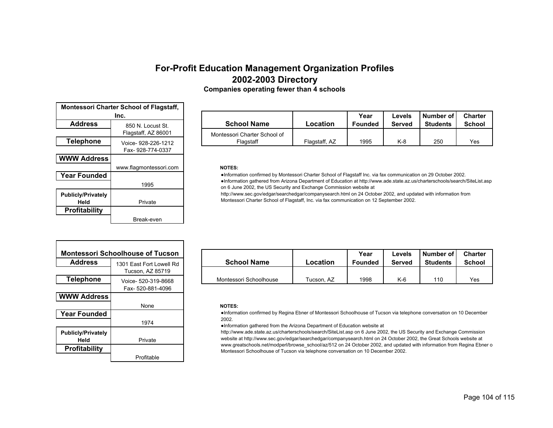|  |  | <b>Companies operating fewer than 4 schools</b> |  |
|--|--|-------------------------------------------------|--|
|--|--|-------------------------------------------------|--|

| Montessori Charter School of Flagstaff, |                        |  |  |  |  |  |  |
|-----------------------------------------|------------------------|--|--|--|--|--|--|
| Inc.                                    |                        |  |  |  |  |  |  |
| <b>Address</b>                          | 850 N Locust St        |  |  |  |  |  |  |
|                                         | Flagstaff, AZ 86001    |  |  |  |  |  |  |
| Telephone                               | Voice- 928-226-1212    |  |  |  |  |  |  |
|                                         | Fax- 928-774-0337      |  |  |  |  |  |  |
| <b>WWW Address</b>                      |                        |  |  |  |  |  |  |
|                                         | www.flagmontessori.com |  |  |  |  |  |  |
| <b>Year Founded</b>                     |                        |  |  |  |  |  |  |
|                                         | 1995                   |  |  |  |  |  |  |
| <b>Publicly/Privately</b><br>Held       |                        |  |  |  |  |  |  |
|                                         | Private                |  |  |  |  |  |  |
| <b>Profitability</b>                    |                        |  |  |  |  |  |  |

| Inc. |                     |                              |               | Year           | Levels        | Number of       | <b>Charter</b> |
|------|---------------------|------------------------------|---------------|----------------|---------------|-----------------|----------------|
| e    | 850 N. Locust St.   | <b>School Name</b>           | Location      | <b>Founded</b> | <b>Served</b> | <b>Students</b> | School         |
|      | Flagstaff, AZ 86001 | Montessori Charter School of |               |                |               |                 |                |
| ne   | Voice- 928-226-1212 | Flaɑstaff                    | Flagstaff. AZ | 1995           | K-8           | 250             | Yes            |

#### $NOTES:$

●Information confirmed by Montessori Charter School of Flagstaff Inc. via fax communication on 29 October 2002. ●Information gathered from Arizona Department of Education at http://www.ade.state.az.us/charterschools/search/SiteList.asp on 6 June 2002, the US Security and Exchange Commission website at

http://www.sec.gov/edgar/searchedgar/companysearch.html on 24 October 2002, and updated with information from Montessori Charter School of Flagstaff, Inc. via fax communication on 12 September 2002.

| <b>Montessori Schoolhouse of Tucson</b> |                          |  |  |  |  |  |  |
|-----------------------------------------|--------------------------|--|--|--|--|--|--|
| <b>Address</b>                          | 1301 Fast Fort Lowell Rd |  |  |  |  |  |  |
|                                         | Tucson, AZ 85719         |  |  |  |  |  |  |
| <b>Telephone</b>                        | Voice- 520-319-8668      |  |  |  |  |  |  |
|                                         | Fax- 520-881-4096        |  |  |  |  |  |  |
| <b>WWW Address</b>                      |                          |  |  |  |  |  |  |
|                                         | None                     |  |  |  |  |  |  |
| <b>Year Founded</b>                     |                          |  |  |  |  |  |  |
|                                         | 1974                     |  |  |  |  |  |  |
| <b>Publicly/Privately</b>               |                          |  |  |  |  |  |  |
| Held                                    | Private                  |  |  |  |  |  |  |
| <b>Profitability</b>                    |                          |  |  |  |  |  |  |
|                                         | Profitable               |  |  |  |  |  |  |

|                | ontessori Schoolhouse of Tucson |                        |            | Year    | Levels | Number of I     | <b>Charter</b> |
|----------------|---------------------------------|------------------------|------------|---------|--------|-----------------|----------------|
| <b>Address</b> | 1301 East Fort Lowell Rd        | <b>School Name</b>     | Location   | Founded | Served | <b>Students</b> | <b>School</b>  |
|                | Tucson, AZ 85719                |                        |            |         |        |                 |                |
| Telephone      | Voice- 520-319-8668             | Montessori Schoolhouse | Tucson. AZ | 1998    | $K-6$  | 110             | Yes            |

### **NOTES:**

●Information confirmed by Regina Ebner of Montessori Schoolhouse of Tucson via telephone conversation on 10 December 2002.

●Information gathered from the Arizona Department of Education website at

http://www.ade.state.az.us/charterschools/search/SiteList.asp on 6 June 2002, the US Security and Exchange Commission website at http://www.sec.gov/edgar/searchedgar/companysearch.html on 24 October 2002, the Great Schools website at www.greatschools.net/modperl/browse\_school/az/512 on 24 October 2002, and updated with information from Regina Ebner o Montessori Schoolhouse of Tucson via telephone conversation on 10 December 2002.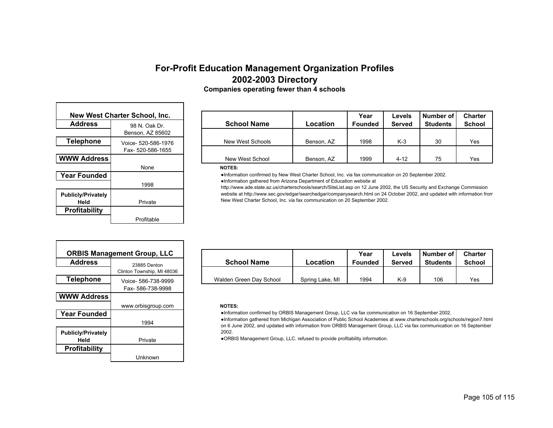| New West Charter School, Inc.     |                     |  |  |  |  |  |  |
|-----------------------------------|---------------------|--|--|--|--|--|--|
| <b>Address</b>                    | 98 N. Oak Dr.       |  |  |  |  |  |  |
|                                   | Benson, AZ 85602    |  |  |  |  |  |  |
| <b>Telephone</b>                  | Voice- 520-586-1976 |  |  |  |  |  |  |
|                                   | Fax- 520-586-1655   |  |  |  |  |  |  |
| <b>WWW Address</b>                |                     |  |  |  |  |  |  |
|                                   | None                |  |  |  |  |  |  |
| <b>Year Founded</b>               |                     |  |  |  |  |  |  |
|                                   | 1998                |  |  |  |  |  |  |
| <b>Publicly/Privately</b><br>Held | Private             |  |  |  |  |  |  |
| <b>Profitability</b>              |                     |  |  |  |  |  |  |
|                                   | Profitable          |  |  |  |  |  |  |

|      | est Charter School, Inc. |                    |            | Year           | Levels        | Number of       | <b>Charter</b> |
|------|--------------------------|--------------------|------------|----------------|---------------|-----------------|----------------|
| s    | 98 N. Oak Dr.            | <b>School Name</b> | Location   | <b>Founded</b> | <b>Served</b> | <b>Students</b> | <b>School</b>  |
|      | Benson, AZ 85602         |                    |            |                |               |                 |                |
| ne   | Voice- 520-586-1976      | New West Schools   | Benson, AZ | 1998           | $K-3$         | 30              | Yes            |
|      | Fax-520-586-1655         |                    |            |                |               |                 |                |
| ress |                          | New West School    | Benson, AZ | 1999           | $4 - 12$      | 75              | Yes            |

#### **NOTES:**

●Information confirmed by New West Charter School, Inc. via fax communication on 20 September 2002. ●Information gathered from Arizona Department of Education website at

http://www.ade.state.az.us/charterschools/search/SiteList.asp on 12 June 2002, the US Security and Exchange Commission website at http://www.sec.gov/edgar/searchedgar/companysearch.html on 24 October 2002, and updated with information from New West Charter School, Inc. via fax communication on 20 September 2002.

| <b>ORBIS Management Group, LLC</b> |                            |  |  |  |  |  |  |  |
|------------------------------------|----------------------------|--|--|--|--|--|--|--|
| <b>Address</b>                     | 23885 Denton               |  |  |  |  |  |  |  |
|                                    | Clinton Township, MI 48036 |  |  |  |  |  |  |  |
| <b>Telephone</b>                   | Voice- 586-738-9999        |  |  |  |  |  |  |  |
|                                    | Fax-586-738-9998           |  |  |  |  |  |  |  |
| <b>WWW Address</b>                 |                            |  |  |  |  |  |  |  |
|                                    | www.orbisgroup.com         |  |  |  |  |  |  |  |
| <b>Year Founded</b>                |                            |  |  |  |  |  |  |  |
|                                    | 1994                       |  |  |  |  |  |  |  |
| <b>Publicly/Privately</b>          |                            |  |  |  |  |  |  |  |
| Held                               | Private                    |  |  |  |  |  |  |  |
| Profitability                      |                            |  |  |  |  |  |  |  |
|                                    | Unknown                    |  |  |  |  |  |  |  |

|                | <b>ORBIS Management Group, LLC</b> |                         |                 | Year           | Levels | Number of I     | <b>Charter</b> |
|----------------|------------------------------------|-------------------------|-----------------|----------------|--------|-----------------|----------------|
| <b>Address</b> | 23885 Denton                       | <b>School Name</b>      | Location        | <b>Founded</b> | Served | <b>Students</b> | <b>School</b>  |
|                | Clinton Township, MI 48036         |                         |                 |                |        |                 |                |
| Telephone      | Voice- 586-738-9999                | Walden Green Day School | Spring Lake, MI | 1994           | K-9    | 106             | Yes            |

### **NOTES:**

●Information confirmed by ORBIS Management Group, LLC via fax communication on 16 September 2002.

●Information gathered from Michigan Association of Public School Academies at www.charterschools.org/schools/region7.html on 6 June 2002, and updated with information from ORBIS Management Group, LLC via fax communication on 16 September 2002.

●ORBIS Management Group, LLC. refused to provide profitability information.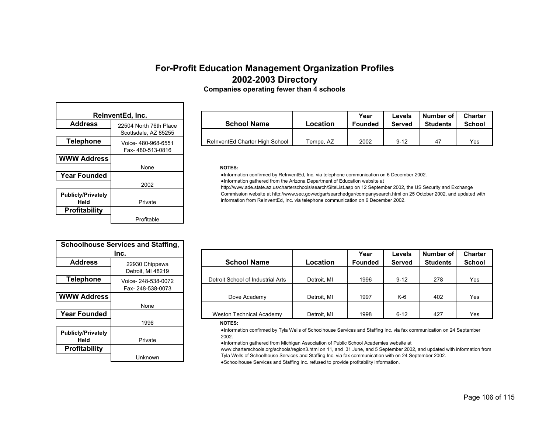| <b>Companies operating fewer than 4 schools</b> |  |  |  |  |
|-------------------------------------------------|--|--|--|--|
|-------------------------------------------------|--|--|--|--|

| ReInventEd, Inc.                  |                        |  |  |  |  |  |  |  |
|-----------------------------------|------------------------|--|--|--|--|--|--|--|
| <b>Address</b>                    | 22504 North 76th Place |  |  |  |  |  |  |  |
|                                   | Scottsdale, AZ 85255   |  |  |  |  |  |  |  |
| Telephone                         | Voice- 480-968-6551    |  |  |  |  |  |  |  |
|                                   | Fax-480-513-0816       |  |  |  |  |  |  |  |
| <b>WWW Address</b>                |                        |  |  |  |  |  |  |  |
|                                   | None                   |  |  |  |  |  |  |  |
| <b>Year Founded</b>               |                        |  |  |  |  |  |  |  |
|                                   | 2002                   |  |  |  |  |  |  |  |
| <b>Publicly/Privately</b><br>Held | Private                |  |  |  |  |  |  |  |
| <b>Profitability</b>              |                        |  |  |  |  |  |  |  |
|                                   | Profitable             |  |  |  |  |  |  |  |

|                | ReinventEd. Inc.       |                                |           | Year    | Levels   | I Number of I   | <b>Charter</b> |
|----------------|------------------------|--------------------------------|-----------|---------|----------|-----------------|----------------|
| <b>Address</b> | 22504 North 76th Place | <b>School Name</b>             | Location  | Founded | Served   | <b>Students</b> | <b>School</b>  |
|                | Scottsdale, AZ 85255   |                                |           |         |          |                 |                |
| Telephone      | Voice- 480-968-6551    | ReInventEd Charter High School | Tempe, AZ | 2002    | $9 - 12$ | 47              | Yes            |

#### **NOTES:**

●Information confirmed by ReInventEd, Inc. via telephone communication on 6 December 2002.

●Information gathered from the Arizona Department of Education website at

http://www.ade.state.az.us/charterschools/search/SiteList.asp on 12 September 2002, the US Security and Exchange Commission website at http://www.sec.gov/edgar/searchedgar/companysearch.html on 25 October 2002, and updated with information from ReInventEd, Inc. via telephone communication on 6 December 2002.

| <b>Schoolhouse Services and Staffing,</b> |                    |  |  |  |  |  |  |
|-------------------------------------------|--------------------|--|--|--|--|--|--|
| Inc.                                      |                    |  |  |  |  |  |  |
| <b>Address</b>                            | 22930 Chippewa     |  |  |  |  |  |  |
|                                           | Detroit, MI 48219  |  |  |  |  |  |  |
| <b>Telephone</b>                          | Voice-248-538-0072 |  |  |  |  |  |  |
|                                           | Fax-248-538-0073   |  |  |  |  |  |  |
| <b>WWW Address</b>                        |                    |  |  |  |  |  |  |
|                                           | None               |  |  |  |  |  |  |
| <b>Year Founded</b>                       |                    |  |  |  |  |  |  |
|                                           | 1996               |  |  |  |  |  |  |
| <b>Publicly/Privately</b><br>Held         | Private            |  |  |  |  |  |  |
| <b>Profitability</b>                      |                    |  |  |  |  |  |  |
|                                           | Unknown            |  |  |  |  |  |  |

| Inc.              |                    |                                   |             | Year           | Levels        | Number of       | <b>Charter</b> |
|-------------------|--------------------|-----------------------------------|-------------|----------------|---------------|-----------------|----------------|
| <b>Address</b>    | 22930 Chippewa     | <b>School Name</b>                | Location    | <b>Founded</b> | <b>Served</b> | <b>Students</b> | <b>School</b>  |
|                   | Detroit, MI 48219  |                                   |             |                |               |                 |                |
| Telephone         | Voice-248-538-0072 | Detroit School of Industrial Arts | Detroit, MI | 1996           | $9 - 12$      | 278             | Yes            |
|                   | Fax-248-538-0073   |                                   |             |                |               |                 |                |
| <b>WW Address</b> |                    | Dove Academy                      | Detroit. MI | 1997           | $K-6$         | 402             | Yes            |
|                   | None               |                                   |             |                |               |                 |                |
| ear Founded       |                    | Weston Technical Academy          | Detroit, MI | 1998           | $6 - 12$      | 427             | Yes            |
|                   |                    |                                   |             |                |               |                 |                |

#### **NOTES:**

●Information confirmed by Tyla Wells of Schoolhouse Services and Staffing Inc. via fax communication on 24 September 2002.

●Information gathered from Michigan Association of Public School Academies website at

www.charterschools.org/schools/region3.html on 11, and 31 June, and 5 September 2002, and updated with information from Tyla Wells of Schoolhouse Services and Staffing Inc. via fax communication with on 24 September 2002.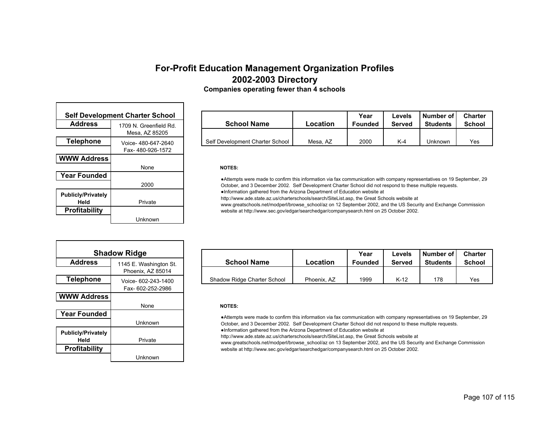| <b>Companies operating fewer than 4 schools</b> |  |  |  |
|-------------------------------------------------|--|--|--|
|-------------------------------------------------|--|--|--|

| <b>Self Development Charter School</b> |                        |  |  |  |
|----------------------------------------|------------------------|--|--|--|
| <b>Address</b>                         | 1709 N. Greenfield Rd. |  |  |  |
|                                        | Mesa, AZ 85205         |  |  |  |
| <b>Telephone</b>                       | Voice- 480-647-2640    |  |  |  |
|                                        | Fax-480-926-1572       |  |  |  |
| <b>WWW Address</b>                     |                        |  |  |  |
|                                        | None                   |  |  |  |
| <b>Year Founded</b>                    |                        |  |  |  |
|                                        | 2000                   |  |  |  |
| <b>Publicly/Privately</b><br>Held      | Private                |  |  |  |
| <b>Profitability</b>                   |                        |  |  |  |
|                                        | Unknown                |  |  |  |

| elopment Charter School |                        |  |                                 | Year     | Levels         | Number of I   | <b>Charter</b>  |               |
|-------------------------|------------------------|--|---------------------------------|----------|----------------|---------------|-----------------|---------------|
|                         | 1709 N. Greenfield Rd. |  | <b>School Name</b>              | Location | <b>Founded</b> | <b>Served</b> | <b>Students</b> | <b>School</b> |
|                         | Mesa. AZ 85205         |  |                                 |          |                |               |                 |               |
| ne                      | Voice-480-647-2640     |  | Self Development Charter School | Mesa, AZ | 2000           | $K-4$         | Jnknown         | Yes           |

#### **NOTES:**

●Attempts were made to confirm this information via fax communication with company representatives on 19 September, 29 October, and 3 December 2002. Self Development Charter School did not respond to these multiple requests. ●Information gathered from the Arizona Department of Education website at

http://www.ade.state.az.us/charterschools/search/SiteList.asp, the Great Schools website at

www.greatschools.net/modperl/browse\_school/az on 12 September 2002, and the US Security and Exchange Commission website at http://www.sec.gov/edgar/searchedgar/companysearch.html on 25 October 2002.

| <b>Shadow Ridge</b>       |                        |  |  |  |  |
|---------------------------|------------------------|--|--|--|--|
| <b>Address</b>            | 1145 E. Washington St. |  |  |  |  |
|                           | Phoenix, AZ 85014      |  |  |  |  |
| <b>Telephone</b>          | Voice- 602-243-1400    |  |  |  |  |
|                           | Fax- 602-252-2986      |  |  |  |  |
| <b>WWW Address</b>        |                        |  |  |  |  |
|                           | None                   |  |  |  |  |
| <b>Year Founded</b>       |                        |  |  |  |  |
|                           | Unknown                |  |  |  |  |
| <b>Publicly/Privately</b> |                        |  |  |  |  |
| Held                      | Private                |  |  |  |  |
| <b>Profitability</b>      |                        |  |  |  |  |
|                           | Unknown                |  |  |  |  |

| <b>Shadow Ridge</b> |                        |                             |             | Year           | Levels | Number of       | <b>Charter</b> |
|---------------------|------------------------|-----------------------------|-------------|----------------|--------|-----------------|----------------|
| <b>Address</b>      | 1145 E. Washington St. | <b>School Name</b>          | Location    | <b>Founded</b> | Served | <b>Students</b> | School         |
|                     | Phoenix, AZ 85014      |                             |             |                |        |                 |                |
| Telephone           | Voice- 602-243-1400    | Shadow Ridge Charter School | Phoenix. AZ | 1999           | $K-12$ | 178             | Yes            |

#### **NOTES:**

●Attempts were made to confirm this information via fax communication with company representatives on 19 September, 29 October, and 3 December 2002. Self Development Charter School did not respond to these multiple requests.

●Information gathered from the Arizona Department of Education website at

http://www.ade.state.az.us/charterschools/search/SiteList.asp, the Great Schools website at

www.greatschools.net/modperl/browse\_school/az on 13 September 2002, and the US Security and Exchange Commission website at http://www.sec.gov/edgar/searchedgar/companysearch.html on 25 October 2002.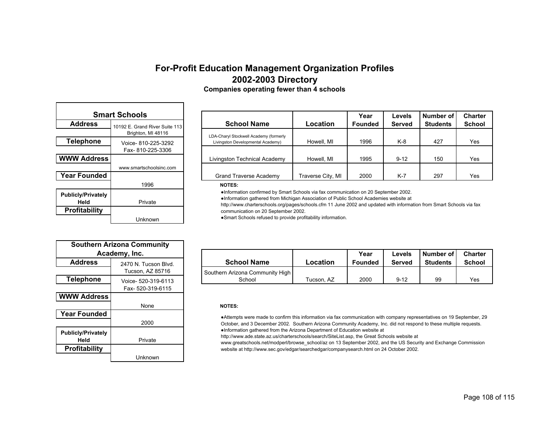| <b>Companies operating fewer than 4 schools</b> |  |  |
|-------------------------------------------------|--|--|
|-------------------------------------------------|--|--|

| <b>Smart Schools</b>              |                                                      |  |  |  |
|-----------------------------------|------------------------------------------------------|--|--|--|
| <b>Address</b>                    | 10192 E. Grand River Suite 113<br>Brighton, MI 48116 |  |  |  |
| <b>Telephone</b>                  | Voice- 810-225-3292<br>Fax-810-225-3306              |  |  |  |
| <b>WWW Address</b>                | www.smartschoolsinc.com                              |  |  |  |
| <b>Year Founded</b>               |                                                      |  |  |  |
|                                   | 1996                                                 |  |  |  |
| <b>Publicly/Privately</b><br>Held | Private                                              |  |  |  |
| <b>Profitability</b>              |                                                      |  |  |  |
|                                   | Unknown                                              |  |  |  |

|             | <b>Smart Schools</b>           |                                        |                   | Year           | Levels        | Number of       | <b>Charter</b> |
|-------------|--------------------------------|----------------------------------------|-------------------|----------------|---------------|-----------------|----------------|
| s           | 10192 E. Grand River Suite 113 | <b>School Name</b>                     | Location          | <b>Founded</b> | <b>Served</b> | <b>Students</b> | <b>School</b>  |
|             | Brighton, MI 48116             | LDA-Charyl Stockwell Academy (formerly |                   |                |               |                 |                |
| ne          | Voice-810-225-3292             | Livingston Developmental Academy)      | Howell, MI        | 1996           | K-8           | 427             | Yes            |
|             | Fax-810-225-3306               |                                        |                   |                |               |                 |                |
| <b>ress</b> |                                | Livingston Technical Academy           | Howell, MI        | 1995           | $9 - 12$      | 150             | Yes            |
|             | www.smartschoolsinc.com        |                                        |                   |                |               |                 |                |
| ded         |                                | Grand Traverse Academy                 | Traverse City, MI | 2000           | $K-7$         | 297             | Yes            |
|             | 1000                           | .                                      |                   |                |               |                 |                |

#### **NOTES:**

●Information confirmed by Smart Schools via fax communication on 20 September 2002.

●Information gathered from Michigan Association of Public School Academies website at

http://www.charterschools.org/pages/schools.cfm 11 June 2002 and updated with information from Smart Schools via fax communication on 20 September 2002.

●Smart Schools refused to provide profitability information.

| Academy, Inc.  |                      |                                 |            | Year           | Levels   | Number of       | <b>Charter</b> |
|----------------|----------------------|---------------------------------|------------|----------------|----------|-----------------|----------------|
| <b>Address</b> | 2470 N. Tucson Blvd. | <b>School Name</b>              | Location   | <b>Founded</b> | Served   | <b>Students</b> | <b>School</b>  |
|                | Tucson. AZ 85716     | Southern Arizona Community High |            |                |          |                 |                |
| Telephone      | Voice- 520-319-6113  | School                          | Tucson. AZ | 2000           | $9 - 12$ | 99              | Yes            |

#### **NOTES:**

●Attempts were made to confirm this information via fax communication with company representatives on 19 September, 29 October, and 3 December 2002. Southern Arizona Community Academy, Inc. did not respond to these multiple requests. ●Information gathered from the Arizona Department of Education website at

http://www.ade.state.az.us/charterschools/search/SiteList.asp, the Great Schools website at

www.greatschools.net/modperl/browse\_school/az on 13 September 2002, and the US Security and Exchange Commission website at http://www.sec.gov/edgar/searchedgar/companysearch.html on 24 October 2002.

| <b>Southern Arizona Community</b> |                      |  |  |  |  |
|-----------------------------------|----------------------|--|--|--|--|
| Academy, Inc.                     |                      |  |  |  |  |
| <b>Address</b>                    | 2470 N. Tucson Blvd. |  |  |  |  |
|                                   | Tucson, AZ 85716     |  |  |  |  |
| <b>Telephone</b>                  | Voice- 520-319-6113  |  |  |  |  |
|                                   | Fax-520-319-6115     |  |  |  |  |
| <b>WWW Address</b>                |                      |  |  |  |  |
|                                   | None                 |  |  |  |  |
| <b>Year Founded</b>               |                      |  |  |  |  |
|                                   | 2000                 |  |  |  |  |
| <b>Publicly/Privately</b>         |                      |  |  |  |  |
| Held                              | Private              |  |  |  |  |
| <b>Profitability</b>              |                      |  |  |  |  |
|                                   | Unknown              |  |  |  |  |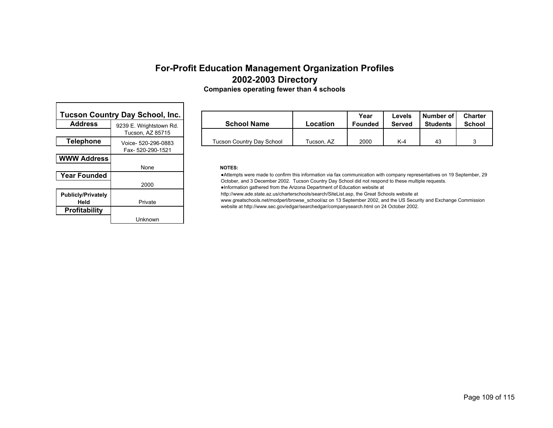# **For-Profit Education Management Organization Profiles 2002-2003 Directory**

| <b>Tucson Country Day School, Inc.</b> |                         |  |
|----------------------------------------|-------------------------|--|
| <b>Address</b>                         | 9239 E. Wrightstown Rd. |  |
|                                        | Tucson, AZ 85715        |  |
| <b>Telephone</b>                       | Voice- 520-296-0883     |  |
|                                        | Fax-520-290-1521        |  |
| <b>WWW Address</b>                     |                         |  |
|                                        | None                    |  |
| <b>Year Founded</b>                    |                         |  |
|                                        | 2000                    |  |
| <b>Publicly/Privately</b><br>Held      | Private                 |  |
|                                        |                         |  |
| <b>Profitability</b>                   |                         |  |
|                                        | Unknown                 |  |

.

|    | ountry Day School, Inc. |                           |            | Year           | Levels | l Number of I   | Charter       |
|----|-------------------------|---------------------------|------------|----------------|--------|-----------------|---------------|
|    | 9239 E. Wrightstown Rd. | <b>School Name</b>        | Location   | <b>Founded</b> | Served | <b>Students</b> | <b>School</b> |
|    | Tucson. AZ 85715        |                           |            |                |        |                 |               |
| ne | Voice- 520-296-0883     | Tucson Country Day School | Tucson. AZ | 2000           | $K-4$  | 43              |               |

### **NOTES:**

┑

●Attempts were made to confirm this information via fax communication with company representatives on 19 September, 29 October, and 3 December 2002. Tucson Country Day School did not respond to these multiple requests.

●Information gathered from the Arizona Department of Education website at

http://www.ade.state.az.us/charterschools/search/SiteList.asp, the Great Schools website at

www.greatschools.net/modperl/browse\_school/az on 13 September 2002, and the US Security and Exchange Commission website at http://www.sec.gov/edgar/searchedgar/companysearch.html on 24 October 2002.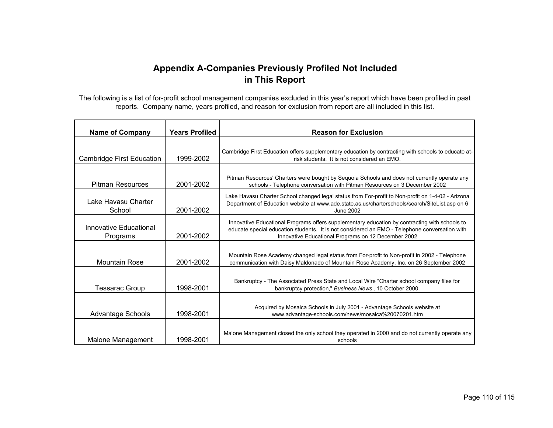## **Appendix A-Companies Previously Profiled Not Included in This Report**

The following is a list of for-profit school management companies excluded in this year's report which have been profiled in past reports. Company name, years profiled, and reason for exclusion from report are all included in this list.

| <b>Name of Company</b>             | <b>Years Profiled</b> | <b>Reason for Exclusion</b>                                                                                                                                                                                                                           |
|------------------------------------|-----------------------|-------------------------------------------------------------------------------------------------------------------------------------------------------------------------------------------------------------------------------------------------------|
| Cambridge First Education          | 1999-2002             | Cambridge First Education offers supplementary education by contracting with schools to educate at-<br>risk students. It is not considered an EMO.                                                                                                    |
| <b>Pitman Resources</b>            | 2001-2002             | Pitman Resources' Charters were bought by Sequoia Schools and does not currently operate any<br>schools - Telephone conversation with Pitman Resources on 3 December 2002                                                                             |
| Lake Havasu Charter<br>School      | 2001-2002             | Lake Havasu Charter School changed legal status from For-profit to Non-profit on 1-4-02 - Arizona<br>Department of Education website at www.ade.state.as.us/charterschools/search/SiteList.asp on 6<br>June 2002                                      |
| Innovative Educational<br>Programs | 2001-2002             | Innovative Educational Programs offers supplementary education by contracting with schools to<br>educate special education students. It is not considered an EMO - Telephone conversation with<br>Innovative Educational Programs on 12 December 2002 |
| <b>Mountain Rose</b>               | 2001-2002             | Mountain Rose Academy changed legal status from For-profit to Non-profit in 2002 - Telephone<br>communication with Daisy Maldonado of Mountain Rose Academy, Inc. on 26 September 2002                                                                |
| <b>Tessarac Group</b>              | 1998-2001             | Bankruptcy - The Associated Press State and Local Wire "Charter school company files for<br>bankruptcy protection," Business News, 10 October 2000.                                                                                                   |
| <b>Advantage Schools</b>           | 1998-2001             | Acquired by Mosaica Schools in July 2001 - Advantage Schools website at<br>www.advantage-schools.com/news/mosaica%20070201.htm                                                                                                                        |
| Malone Management                  | 1998-2001             | Malone Management closed the only school they operated in 2000 and do not currently operate any<br>schools                                                                                                                                            |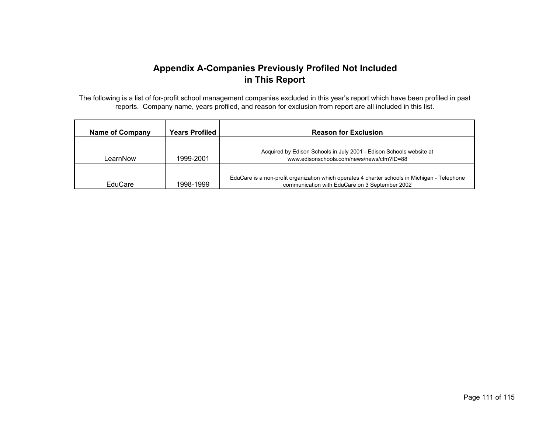## **Appendix A-Companies Previously Profiled Not Included in This Report**

The following is a list of for-profit school management companies excluded in this year's report which have been profiled in past reports. Company name, years profiled, and reason for exclusion from report are all included in this list.

| <b>Name of Company</b> | <b>Years Profiled</b> | <b>Reason for Exclusion</b>                                                                                                                     |
|------------------------|-----------------------|-------------------------------------------------------------------------------------------------------------------------------------------------|
| LearnNow               | 1999-2001             | Acquired by Edison Schools in July 2001 - Edison Schools website at<br>www.edisonschools.com/news/news/cfm?ID=88                                |
| EduCare                | 1998-1999             | EduCare is a non-profit organization which operates 4 charter schools in Michigan - Telephone<br>communication with EduCare on 3 September 2002 |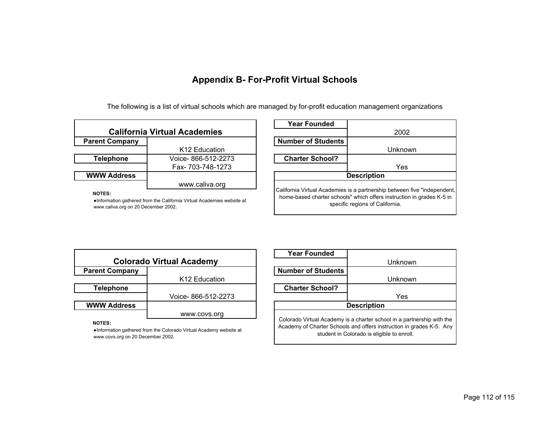The following is a list of virtual schools which are managed by for-profit education management organizations

| <b>California Virtual Academies</b> |                           |  |
|-------------------------------------|---------------------------|--|
| <b>Parent Company</b>               |                           |  |
|                                     | K <sub>12</sub> Education |  |
| <b>Telephone</b>                    | Voice-866-512-2273        |  |
|                                     | Fax- 703-748-1273         |  |
| <b>WWW Address</b>                  |                           |  |
|                                     | www.caliva.org            |  |

**NOTES:**

●Information gathered from the California Virtual Academies website at www.caliva.org on 20 December 2002.

| Year Founded                                                                                                                                                                         |         |  |
|--------------------------------------------------------------------------------------------------------------------------------------------------------------------------------------|---------|--|
|                                                                                                                                                                                      | 2002    |  |
| <b>Number of Students</b>                                                                                                                                                            |         |  |
|                                                                                                                                                                                      | Unknown |  |
| <b>Charter School?</b>                                                                                                                                                               |         |  |
|                                                                                                                                                                                      | Yes     |  |
| <b>Description</b>                                                                                                                                                                   |         |  |
| California Virtual Academies is a partnership between five "independent,<br>home-based charter schools" which offers instruction in grades K-5 in<br>specific regions of California. |         |  |

| <b>Colorado Virtual Academy</b> |                           |  |
|---------------------------------|---------------------------|--|
| <b>Parent Company</b>           |                           |  |
|                                 | K <sub>12</sub> Education |  |
| <b>Telephone</b>                |                           |  |
|                                 | Voice-866-512-2273        |  |
| <b>WWW Address</b>              |                           |  |
|                                 | www.covs.org              |  |

### **NOTES:**

●Information gathered from the Colorado Virtual Academy website at www.covs.org on 20 December 2002.

| <b>Year Founded</b>                                                                                                                                                                          |         |  |
|----------------------------------------------------------------------------------------------------------------------------------------------------------------------------------------------|---------|--|
|                                                                                                                                                                                              | Unknown |  |
| <b>Number of Students</b>                                                                                                                                                                    |         |  |
|                                                                                                                                                                                              | Unknown |  |
| <b>Charter School?</b>                                                                                                                                                                       |         |  |
|                                                                                                                                                                                              | Yes     |  |
| <b>Description</b>                                                                                                                                                                           |         |  |
| Colorado Virtual Academy is a charter school in a partnership with the<br>Academy of Charter Schools and offers instruction in grades K-5. Any<br>student in Colorado is eligible to enroll. |         |  |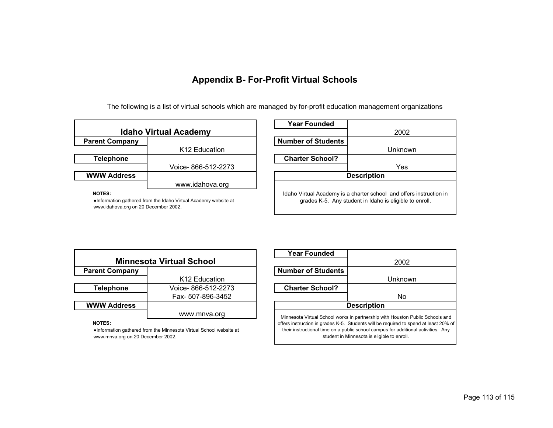The following is a list of virtual schools which are managed by for-profit education management organizations

| <b>Idaho Virtual Academy</b> |                           |  |  |
|------------------------------|---------------------------|--|--|
| <b>Parent Company</b>        |                           |  |  |
|                              | K <sub>12</sub> Education |  |  |
| <b>Telephone</b>             |                           |  |  |
|                              | Voice-866-512-2273        |  |  |
| <b>WWW Address</b>           |                           |  |  |
|                              | www.idahova.org           |  |  |
| <b>NOTES:</b>                |                           |  |  |

●Information gathered from the Idaho Virtual Academy website at

www.idahova.org on 20 December 2002.

| <b>Year Founded</b>                                                                                                            |         |  |
|--------------------------------------------------------------------------------------------------------------------------------|---------|--|
|                                                                                                                                | 2002    |  |
| <b>Number of Students</b>                                                                                                      |         |  |
|                                                                                                                                | Unknown |  |
| <b>Charter School?</b>                                                                                                         |         |  |
|                                                                                                                                | Yes     |  |
| <b>Description</b>                                                                                                             |         |  |
| Idaho Virtual Academy is a charter school and offers instruction in<br>grades K-5. Any student in Idaho is eligible to enroll. |         |  |

|                       | <b>Minnesota Virtual School</b> |
|-----------------------|---------------------------------|
| <b>Parent Company</b> |                                 |
|                       | K12 Education                   |

|                    | K <sub>12</sub> Education |
|--------------------|---------------------------|
| <b>Telephone</b>   | Voice-866-512-2273        |
|                    | Fax- 507-896-3452         |
| <b>WWW Address</b> |                           |
|                    | www.mnva.org              |
|                    |                           |

### **NOTES:**

●Information gathered from the Minnesota Virtual School website at www.mnva.org on 20 December 2002.

| <b>Year Founded</b>                                                                                                                                                                                                                                                                                       |         |
|-----------------------------------------------------------------------------------------------------------------------------------------------------------------------------------------------------------------------------------------------------------------------------------------------------------|---------|
|                                                                                                                                                                                                                                                                                                           | 2002    |
| <b>Number of Students</b>                                                                                                                                                                                                                                                                                 |         |
|                                                                                                                                                                                                                                                                                                           | Unknown |
| <b>Charter School?</b>                                                                                                                                                                                                                                                                                    |         |
|                                                                                                                                                                                                                                                                                                           | No      |
| <b>Description</b>                                                                                                                                                                                                                                                                                        |         |
| Minnesota Virtual School works in partnership with Houston Public Schools and<br>offers instruction in grades K-5. Students will be required to spend at least 20% of<br>their instructional time on a public school campus for additional activities. Any<br>student in Minnesota is eligible to enroll. |         |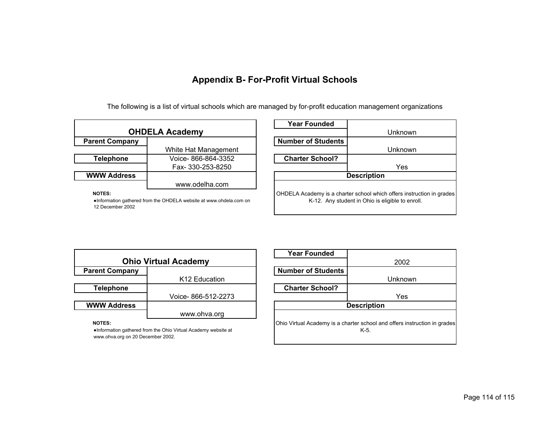The following is a list of virtual schools which are managed by for-profit education management organizations

| <b>OHDELA Academy</b>                                                               |                      |
|-------------------------------------------------------------------------------------|----------------------|
| <b>Parent Company</b>                                                               |                      |
|                                                                                     | White Hat Management |
| <b>Telephone</b>                                                                    | Voice-866-864-3352   |
|                                                                                     | Fax- 330-253-8250    |
| <b>WWW Address</b>                                                                  |                      |
|                                                                                     | www.odelha.com       |
| <b>NOTES:</b><br>•Information gathered from the OHDELA website at www.ohdela.com on |                      |

| Year Founded                                                                                                              |         |
|---------------------------------------------------------------------------------------------------------------------------|---------|
|                                                                                                                           | Unknown |
| <b>Number of Students</b>                                                                                                 |         |
|                                                                                                                           | Unknown |
| <b>Charter School?</b>                                                                                                    |         |
|                                                                                                                           | Yes     |
| <b>Description</b>                                                                                                        |         |
| OHDELA Academy is a charter school which offers instruction in grades<br>K-12. Any student in Ohio is eligible to enroll. |         |

| <b>Ohio Virtual Academy</b> |                           |
|-----------------------------|---------------------------|
| <b>Parent Company</b>       |                           |
|                             | K <sub>12</sub> Education |
| <b>Telephone</b>            |                           |
|                             | Voice-866-512-2273        |
| <b>WWW Address</b>          |                           |
|                             | www.ohva.org              |
| 107770                      |                           |

|                                                                                      | 2002    |
|--------------------------------------------------------------------------------------|---------|
| <b>Number of Students</b>                                                            |         |
|                                                                                      | Unknown |
| <b>Charter School?</b>                                                               |         |
|                                                                                      | Yes     |
| <b>Description</b>                                                                   |         |
| Ohio Virtual Academy is a charter school and offers instruction in grades<br>$K-5$ . |         |

**Year Founded**

#### **NOTES:**

12 December 2002

●Information gathered from the Ohio Virtual Academy website at www.ohva.org on 20 December 2002.